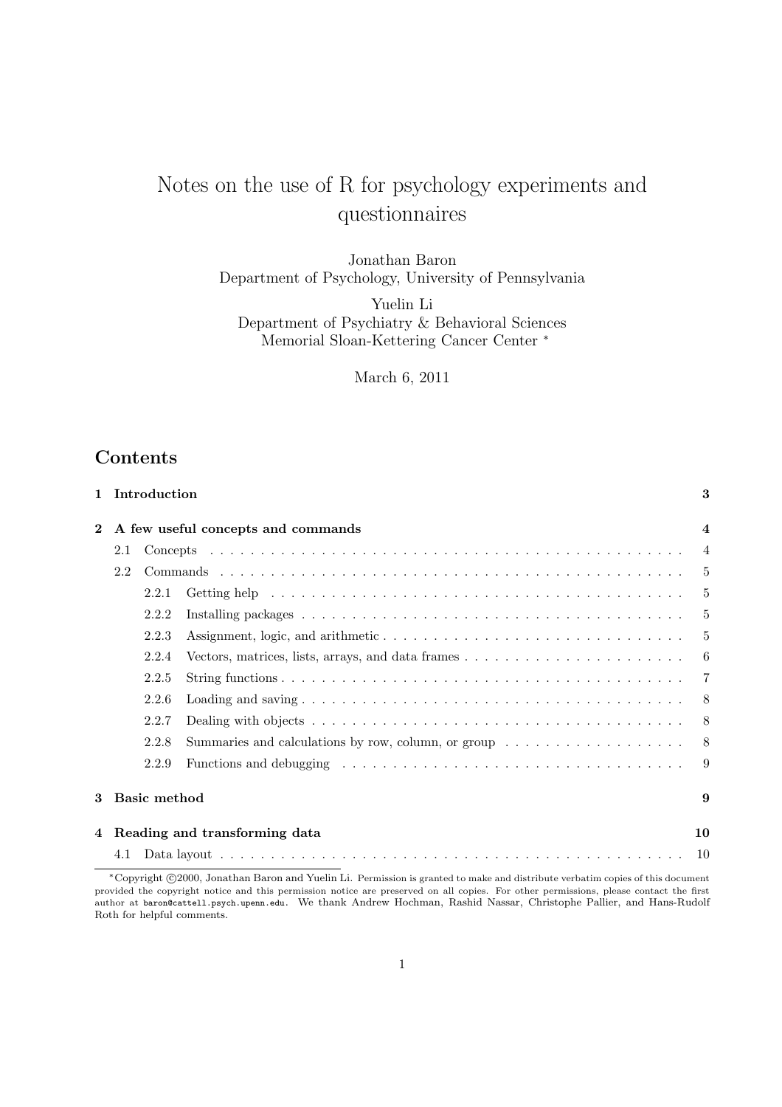# Notes on the use of R for psychology experiments and questionnaires

Jonathan Baron Department of Psychology, University of Pennsylvania

Yuelin Li Department of Psychiatry & Behavioral Sciences Memorial Sloan-Kettering Cancer Center <sup>∗</sup>

March 6, 2011

# **Contents**

| $\mathbf{1}$                                                                                                 | Introduction        | 3                                  |                                                                                                                     |                |  |  |  |  |  |  |  |  |  |  |  |
|--------------------------------------------------------------------------------------------------------------|---------------------|------------------------------------|---------------------------------------------------------------------------------------------------------------------|----------------|--|--|--|--|--|--|--|--|--|--|--|
| $\mathbf{2}$                                                                                                 |                     | A few useful concepts and commands |                                                                                                                     |                |  |  |  |  |  |  |  |  |  |  |  |
|                                                                                                              | 2.1                 |                                    |                                                                                                                     | $\overline{4}$ |  |  |  |  |  |  |  |  |  |  |  |
|                                                                                                              | 2.2                 |                                    |                                                                                                                     |                |  |  |  |  |  |  |  |  |  |  |  |
|                                                                                                              |                     | 2.2.1                              |                                                                                                                     | $-5$           |  |  |  |  |  |  |  |  |  |  |  |
|                                                                                                              |                     | 2.2.2                              |                                                                                                                     |                |  |  |  |  |  |  |  |  |  |  |  |
| 2.2.3                                                                                                        |                     |                                    |                                                                                                                     |                |  |  |  |  |  |  |  |  |  |  |  |
| Vectors, matrices, lists, arrays, and data frames $\dots \dots \dots \dots \dots \dots \dots \dots$<br>2.2.4 |                     |                                    |                                                                                                                     |                |  |  |  |  |  |  |  |  |  |  |  |
|                                                                                                              |                     |                                    | -7                                                                                                                  |                |  |  |  |  |  |  |  |  |  |  |  |
|                                                                                                              |                     | 2.2.6                              |                                                                                                                     |                |  |  |  |  |  |  |  |  |  |  |  |
|                                                                                                              |                     | 2.2.7                              |                                                                                                                     | $8^{\circ}$    |  |  |  |  |  |  |  |  |  |  |  |
|                                                                                                              |                     | 2.2.8                              | Summaries and calculations by row, column, or group $\dots \dots \dots \dots \dots \dots$                           |                |  |  |  |  |  |  |  |  |  |  |  |
|                                                                                                              |                     | 2.2.9                              | Functions and debugging $\dots \dots \dots \dots \dots \dots \dots \dots \dots \dots \dots \dots \dots \dots \dots$ |                |  |  |  |  |  |  |  |  |  |  |  |
| 3                                                                                                            | <b>Basic method</b> |                                    |                                                                                                                     |                |  |  |  |  |  |  |  |  |  |  |  |
| 4                                                                                                            |                     |                                    | Reading and transforming data                                                                                       | 10             |  |  |  |  |  |  |  |  |  |  |  |
|                                                                                                              | 4.1                 |                                    |                                                                                                                     |                |  |  |  |  |  |  |  |  |  |  |  |

<sup>∗</sup>Copyright °c 2000, Jonathan Baron and Yuelin Li. Permission is granted to make and distribute verbatim copies of this document provided the copyright notice and this permission notice are preserved on all copies. For other permissions, please contact the first author at baron@cattell.psych.upenn.edu. We thank Andrew Hochman, Rashid Nassar, Christophe Pallier, and Hans-Rudolf Roth for helpful comments.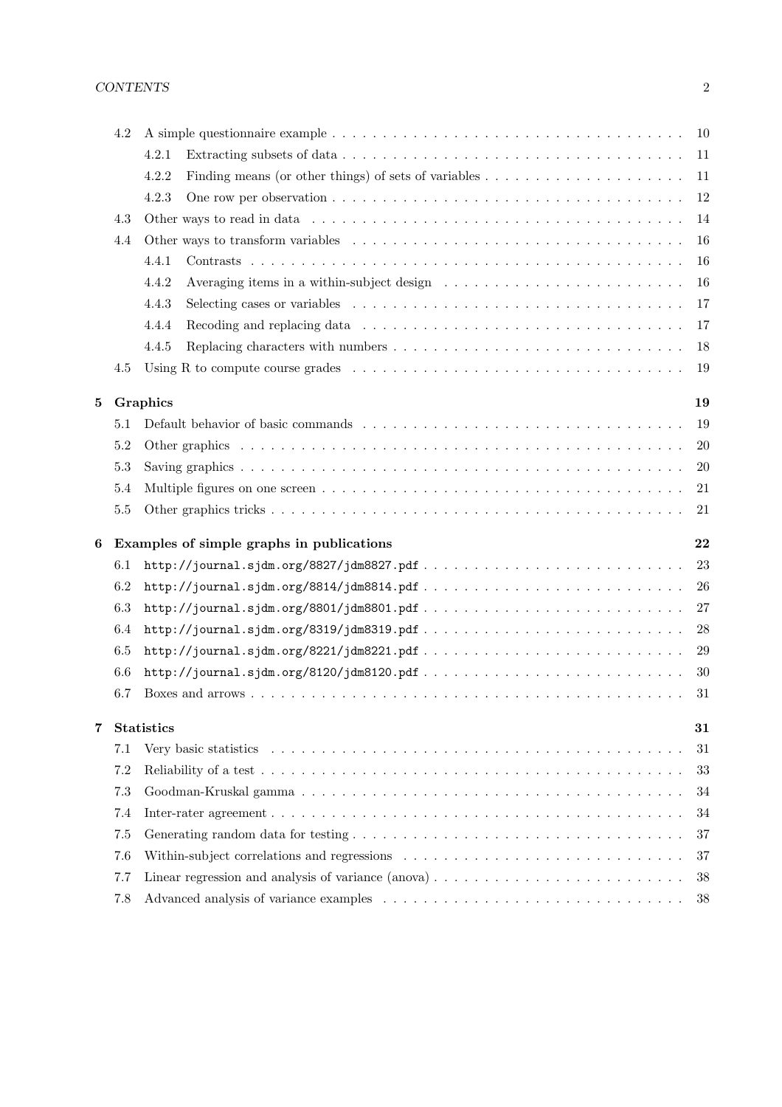|   | 4.2        |                                                                                                                      | 10       |  |  |  |  |  |  |  |  |  |  |  |  |
|---|------------|----------------------------------------------------------------------------------------------------------------------|----------|--|--|--|--|--|--|--|--|--|--|--|--|
|   |            | 4.2.1                                                                                                                | -11      |  |  |  |  |  |  |  |  |  |  |  |  |
|   |            | 4.2.2                                                                                                                | 11       |  |  |  |  |  |  |  |  |  |  |  |  |
|   |            | 4.2.3                                                                                                                | 12       |  |  |  |  |  |  |  |  |  |  |  |  |
|   | 4.3        |                                                                                                                      |          |  |  |  |  |  |  |  |  |  |  |  |  |
|   | 4.4        |                                                                                                                      | 16       |  |  |  |  |  |  |  |  |  |  |  |  |
|   |            | 4.4.1                                                                                                                | 16       |  |  |  |  |  |  |  |  |  |  |  |  |
|   |            | 4.4.2                                                                                                                | 16       |  |  |  |  |  |  |  |  |  |  |  |  |
|   |            | 4.4.3<br>Selecting cases or variables $\ldots \ldots \ldots \ldots \ldots \ldots \ldots \ldots \ldots \ldots \ldots$ | 17       |  |  |  |  |  |  |  |  |  |  |  |  |
|   |            | 4.4.4                                                                                                                | 17       |  |  |  |  |  |  |  |  |  |  |  |  |
|   |            | 4.4.5                                                                                                                | 18       |  |  |  |  |  |  |  |  |  |  |  |  |
|   | 4.5        | Using R to compute course grades $\dots \dots \dots \dots \dots \dots \dots \dots \dots \dots \dots \dots \dots$     | 19       |  |  |  |  |  |  |  |  |  |  |  |  |
| 5 |            | Graphics                                                                                                             | 19       |  |  |  |  |  |  |  |  |  |  |  |  |
|   | 5.1        |                                                                                                                      | 19       |  |  |  |  |  |  |  |  |  |  |  |  |
|   | $5.2\,$    |                                                                                                                      | 20       |  |  |  |  |  |  |  |  |  |  |  |  |
|   | $5.3\,$    |                                                                                                                      | 20       |  |  |  |  |  |  |  |  |  |  |  |  |
|   | 5.4        |                                                                                                                      | 21       |  |  |  |  |  |  |  |  |  |  |  |  |
|   | 5.5        |                                                                                                                      | 21       |  |  |  |  |  |  |  |  |  |  |  |  |
|   |            |                                                                                                                      |          |  |  |  |  |  |  |  |  |  |  |  |  |
|   |            |                                                                                                                      |          |  |  |  |  |  |  |  |  |  |  |  |  |
| 6 |            | Examples of simple graphs in publications                                                                            | 22       |  |  |  |  |  |  |  |  |  |  |  |  |
|   | 6.1        |                                                                                                                      | 23       |  |  |  |  |  |  |  |  |  |  |  |  |
|   | 6.2        |                                                                                                                      | 26       |  |  |  |  |  |  |  |  |  |  |  |  |
|   | 6.3        |                                                                                                                      | 27       |  |  |  |  |  |  |  |  |  |  |  |  |
|   | 6.4        |                                                                                                                      | 28       |  |  |  |  |  |  |  |  |  |  |  |  |
|   | 6.5        |                                                                                                                      | 29       |  |  |  |  |  |  |  |  |  |  |  |  |
|   | 6.6        |                                                                                                                      | 30       |  |  |  |  |  |  |  |  |  |  |  |  |
|   | 6.7        |                                                                                                                      | 31       |  |  |  |  |  |  |  |  |  |  |  |  |
|   |            |                                                                                                                      |          |  |  |  |  |  |  |  |  |  |  |  |  |
| 7 |            | <b>Statistics</b>                                                                                                    | 31       |  |  |  |  |  |  |  |  |  |  |  |  |
|   | 7.1<br>7.2 |                                                                                                                      | 31<br>33 |  |  |  |  |  |  |  |  |  |  |  |  |
|   | 7.3        |                                                                                                                      | 34       |  |  |  |  |  |  |  |  |  |  |  |  |
|   | 7.4        |                                                                                                                      | 34       |  |  |  |  |  |  |  |  |  |  |  |  |
|   | 7.5        |                                                                                                                      | 37       |  |  |  |  |  |  |  |  |  |  |  |  |
|   | 7.6        |                                                                                                                      | 37       |  |  |  |  |  |  |  |  |  |  |  |  |
|   | 7.7        | Linear regression and analysis of variance $(anova) \dots \dots \dots \dots \dots \dots \dots \dots \dots \dots$     | 38       |  |  |  |  |  |  |  |  |  |  |  |  |
|   | 7.8        |                                                                                                                      | 38       |  |  |  |  |  |  |  |  |  |  |  |  |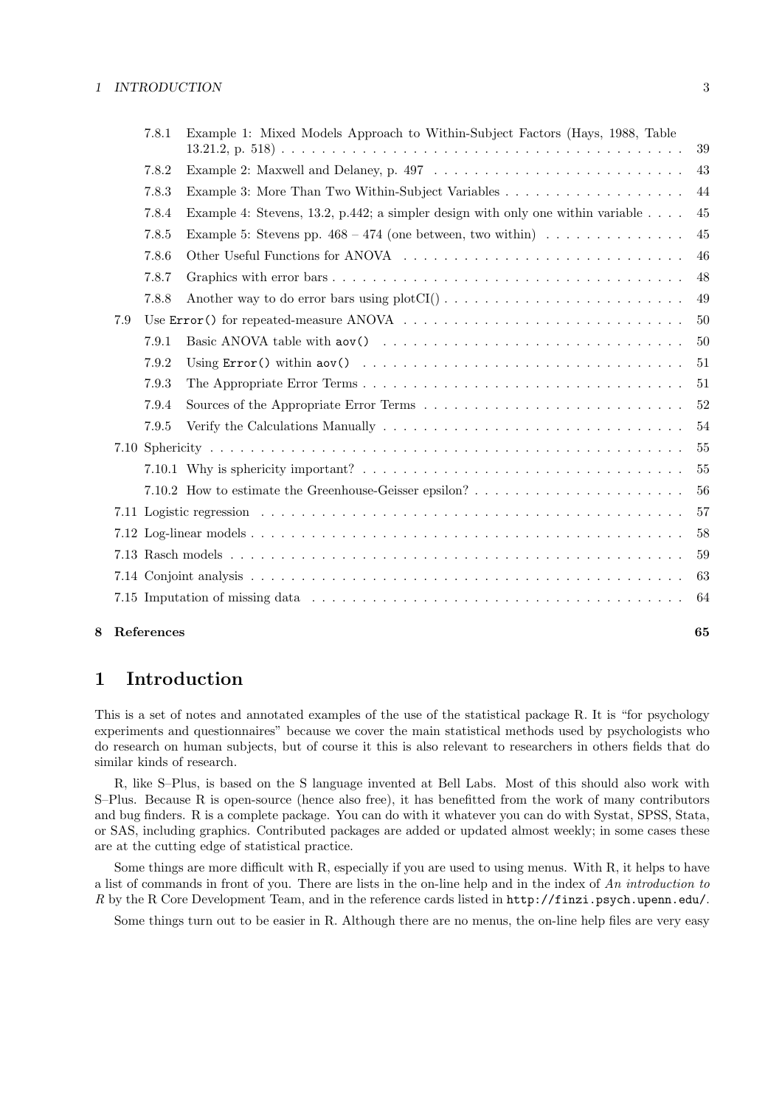|     | 7.8.1 | Example 1: Mixed Models Approach to Within-Subject Factors (Hays, 1988, Table                         | 39 |
|-----|-------|-------------------------------------------------------------------------------------------------------|----|
|     | 7.8.2 |                                                                                                       | 43 |
|     | 7.8.3 |                                                                                                       | 44 |
|     | 7.8.4 | Example 4: Stevens, 13.2, p.442; a simpler design with only one within variable $\dots$ .             | 45 |
|     | 7.8.5 | Example 5: Stevens pp. $468 - 474$ (one between, two within)                                          | 45 |
|     | 7.8.6 |                                                                                                       | 46 |
|     | 7.8.7 |                                                                                                       | 48 |
|     | 7.8.8 | Another way to do error bars using $plotCI() \ldots \ldots \ldots \ldots \ldots \ldots \ldots \ldots$ | 49 |
| 7.9 |       |                                                                                                       | 50 |
|     | 7.9.1 |                                                                                                       | 50 |
|     | 7.9.2 |                                                                                                       | 51 |
|     | 7.9.3 |                                                                                                       | 51 |
|     | 7.9.4 |                                                                                                       | 52 |
|     | 7.9.5 |                                                                                                       | 54 |
|     |       |                                                                                                       | 55 |
|     |       |                                                                                                       | 55 |
|     |       |                                                                                                       | 56 |
|     |       |                                                                                                       | 57 |
|     |       |                                                                                                       | 58 |
|     |       |                                                                                                       | 59 |
|     |       |                                                                                                       | 63 |
|     |       |                                                                                                       | 64 |
|     |       |                                                                                                       |    |

# 8 References 65

# 1 Introduction

This is a set of notes and annotated examples of the use of the statistical package R. It is "for psychology experiments and questionnaires" because we cover the main statistical methods used by psychologists who do research on human subjects, but of course it this is also relevant to researchers in others fields that do similar kinds of research.

R, like S–Plus, is based on the S language invented at Bell Labs. Most of this should also work with S–Plus. Because R is open-source (hence also free), it has benefitted from the work of many contributors and bug finders. R is a complete package. You can do with it whatever you can do with Systat, SPSS, Stata, or SAS, including graphics. Contributed packages are added or updated almost weekly; in some cases these are at the cutting edge of statistical practice.

Some things are more difficult with R, especially if you are used to using menus. With R, it helps to have a list of commands in front of you. There are lists in the on-line help and in the index of An introduction to R by the R Core Development Team, and in the reference cards listed in http://finzi.psych.upenn.edu/.

Some things turn out to be easier in R. Although there are no menus, the on-line help files are very easy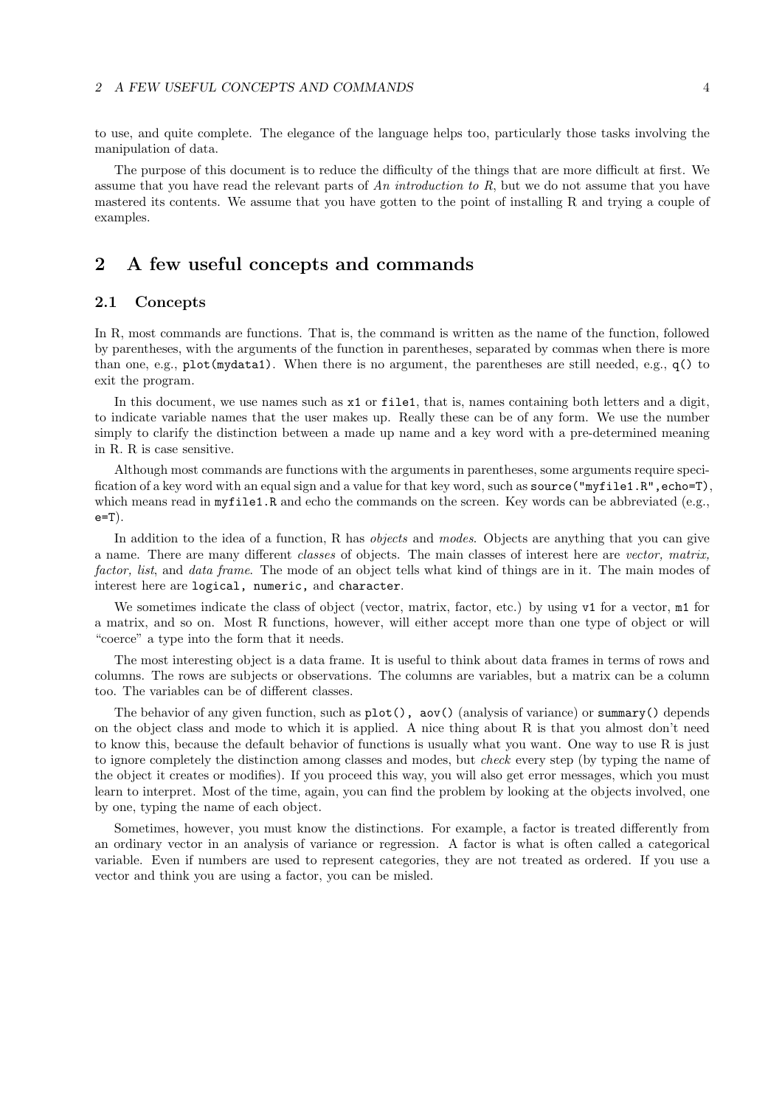to use, and quite complete. The elegance of the language helps too, particularly those tasks involving the manipulation of data.

The purpose of this document is to reduce the difficulty of the things that are more difficult at first. We assume that you have read the relevant parts of An introduction to  $R$ , but we do not assume that you have mastered its contents. We assume that you have gotten to the point of installing R and trying a couple of examples.

# 2 A few useful concepts and commands

# 2.1 Concepts

In R, most commands are functions. That is, the command is written as the name of the function, followed by parentheses, with the arguments of the function in parentheses, separated by commas when there is more than one, e.g.,  $plot(mydata1)$ . When there is no argument, the parentheses are still needed, e.g.,  $q()$  to exit the program.

In this document, we use names such as  $x1$  or file1, that is, names containing both letters and a digit, to indicate variable names that the user makes up. Really these can be of any form. We use the number simply to clarify the distinction between a made up name and a key word with a pre-determined meaning in R. R is case sensitive.

Although most commands are functions with the arguments in parentheses, some arguments require specification of a key word with an equal sign and a value for that key word, such as source("myfile1.R",echo=T), which means read in  $m$ **y** file1.R and echo the commands on the screen. Key words can be abbreviated (e.g.,  $e=T$ ).

In addition to the idea of a function, R has *objects* and modes. Objects are anything that you can give a name. There are many different classes of objects. The main classes of interest here are vector, matrix, factor, list, and data frame. The mode of an object tells what kind of things are in it. The main modes of interest here are logical, numeric, and character.

We sometimes indicate the class of object (vector, matrix, factor, etc.) by using v1 for a vector, m1 for a matrix, and so on. Most R functions, however, will either accept more than one type of object or will "coerce" a type into the form that it needs.

The most interesting object is a data frame. It is useful to think about data frames in terms of rows and columns. The rows are subjects or observations. The columns are variables, but a matrix can be a column too. The variables can be of different classes.

The behavior of any given function, such as  $plot()$ , aov $()$  (analysis of variance) or summary $()$  depends on the object class and mode to which it is applied. A nice thing about R is that you almost don't need to know this, because the default behavior of functions is usually what you want. One way to use R is just to ignore completely the distinction among classes and modes, but check every step (by typing the name of the object it creates or modifies). If you proceed this way, you will also get error messages, which you must learn to interpret. Most of the time, again, you can find the problem by looking at the objects involved, one by one, typing the name of each object.

Sometimes, however, you must know the distinctions. For example, a factor is treated differently from an ordinary vector in an analysis of variance or regression. A factor is what is often called a categorical variable. Even if numbers are used to represent categories, they are not treated as ordered. If you use a vector and think you are using a factor, you can be misled.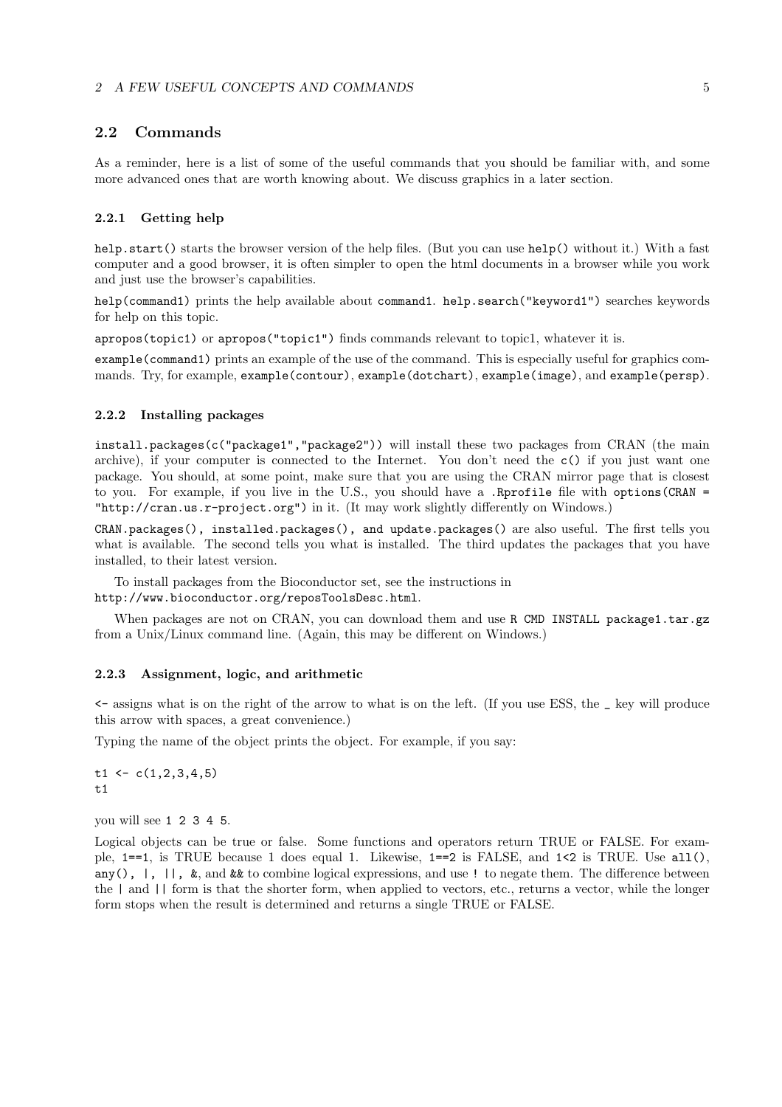### 2 A FEW USEFUL CONCEPTS AND COMMANDS 5

### 2.2 Commands

As a reminder, here is a list of some of the useful commands that you should be familiar with, and some more advanced ones that are worth knowing about. We discuss graphics in a later section.

### 2.2.1 Getting help

help.start() starts the browser version of the help files. (But you can use help() without it.) With a fast computer and a good browser, it is often simpler to open the html documents in a browser while you work and just use the browser's capabilities.

help(command1) prints the help available about command1. help.search("keyword1") searches keywords for help on this topic.

apropos(topic1) or apropos("topic1") finds commands relevant to topic1, whatever it is.

example(command1) prints an example of the use of the command. This is especially useful for graphics commands. Try, for example, example(contour), example(dotchart), example(image), and example(persp).

### 2.2.2 Installing packages

install.packages(c("package1","package2")) will install these two packages from CRAN (the main archive), if your computer is connected to the Internet. You don't need the c() if you just want one package. You should, at some point, make sure that you are using the CRAN mirror page that is closest to you. For example, if you live in the U.S., you should have a .Rprofile file with options(CRAN = "http://cran.us.r-project.org") in it. (It may work slightly differently on Windows.)

CRAN.packages(), installed.packages(), and update.packages() are also useful. The first tells you what is available. The second tells you what is installed. The third updates the packages that you have installed, to their latest version.

To install packages from the Bioconductor set, see the instructions in http://www.bioconductor.org/reposToolsDesc.html.

When packages are not on CRAN, you can download them and use R CMD INSTALL package1.tar.gz from a Unix/Linux command line. (Again, this may be different on Windows.)

### 2.2.3 Assignment, logic, and arithmetic

<- assigns what is on the right of the arrow to what is on the left. (If you use ESS, the \_ key will produce this arrow with spaces, a great convenience.)

Typing the name of the object prints the object. For example, if you say:

 $t1 \leftarrow c(1,2,3,4,5)$  $t<sub>1</sub>$ 

you will see 1 2 3 4 5.

Logical objects can be true or false. Some functions and operators return TRUE or FALSE. For example, 1==1, is TRUE because 1 does equal 1. Likewise, 1==2 is FALSE, and 1<2 is TRUE. Use all(),  $\text{any}(), \mid, \mid, \mid, \mathcal{k}, \text{ and } \mathcal{k}\mathcal{k}$  to combine logical expressions, and use ! to negate them. The difference between the | and || form is that the shorter form, when applied to vectors, etc., returns a vector, while the longer form stops when the result is determined and returns a single TRUE or FALSE.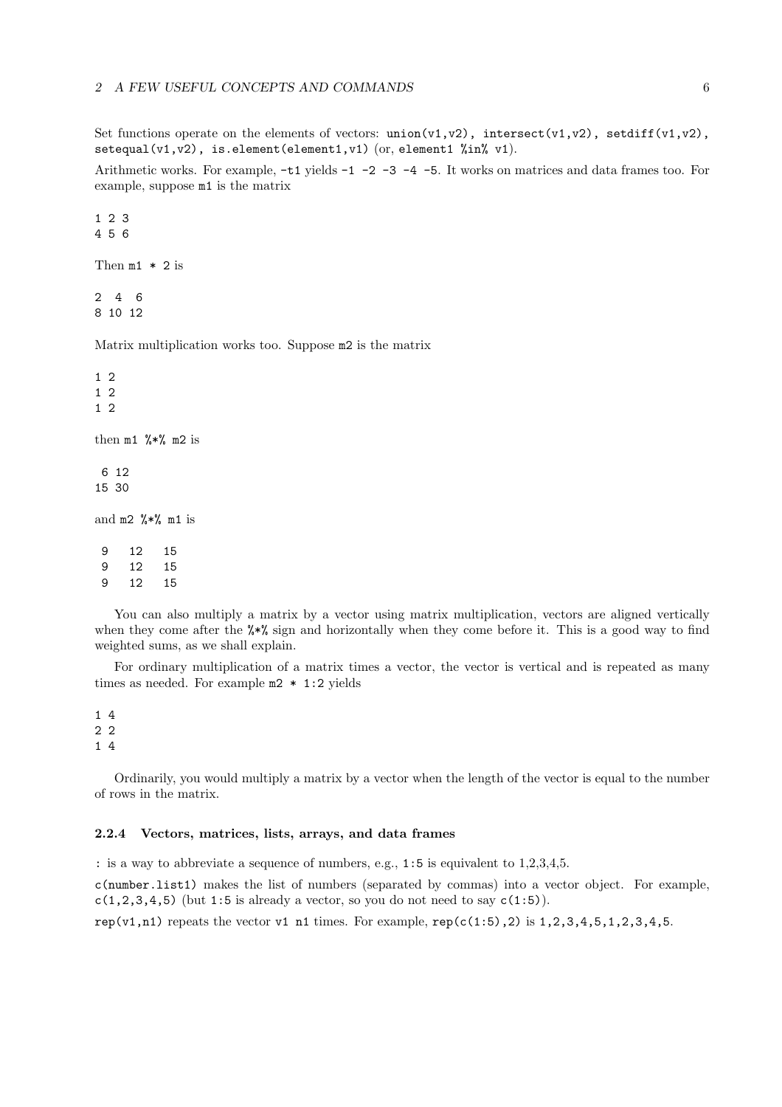Set functions operate on the elements of vectors: union(v1,v2), intersect(v1,v2), setdiff(v1,v2), setequal(v1,v2), is.element(element1,v1) (or, element1 %in% v1).

Arithmetic works. For example, -t1 yields -1 -2 -3 -4 -5. It works on matrices and data frames too. For example, suppose m1 is the matrix

1 2 3 4 5 6 Then  $m1 * 2$  is

2 4 6 8 10 12

Matrix multiplication works too. Suppose m2 is the matrix

You can also multiply a matrix by a vector using matrix multiplication, vectors are aligned vertically when they come after the  $\frac{1}{2}$ , sign and horizontally when they come before it. This is a good way to find weighted sums, as we shall explain.

For ordinary multiplication of a matrix times a vector, the vector is vertical and is repeated as many times as needed. For example m2 \* 1:2 yields

Ordinarily, you would multiply a matrix by a vector when the length of the vector is equal to the number of rows in the matrix.

### 2.2.4 Vectors, matrices, lists, arrays, and data frames

: is a way to abbreviate a sequence of numbers, e.g., 1:5 is equivalent to 1,2,3,4,5.

c(number.list1) makes the list of numbers (separated by commas) into a vector object. For example,  $c(1,2,3,4,5)$  (but 1:5 is already a vector, so you do not need to say  $c(1:5)$ ).

rep(v1,n1) repeats the vector v1 n1 times. For example, rep(c(1:5), 2) is  $1,2,3,4,5,1,2,3,4,5$ .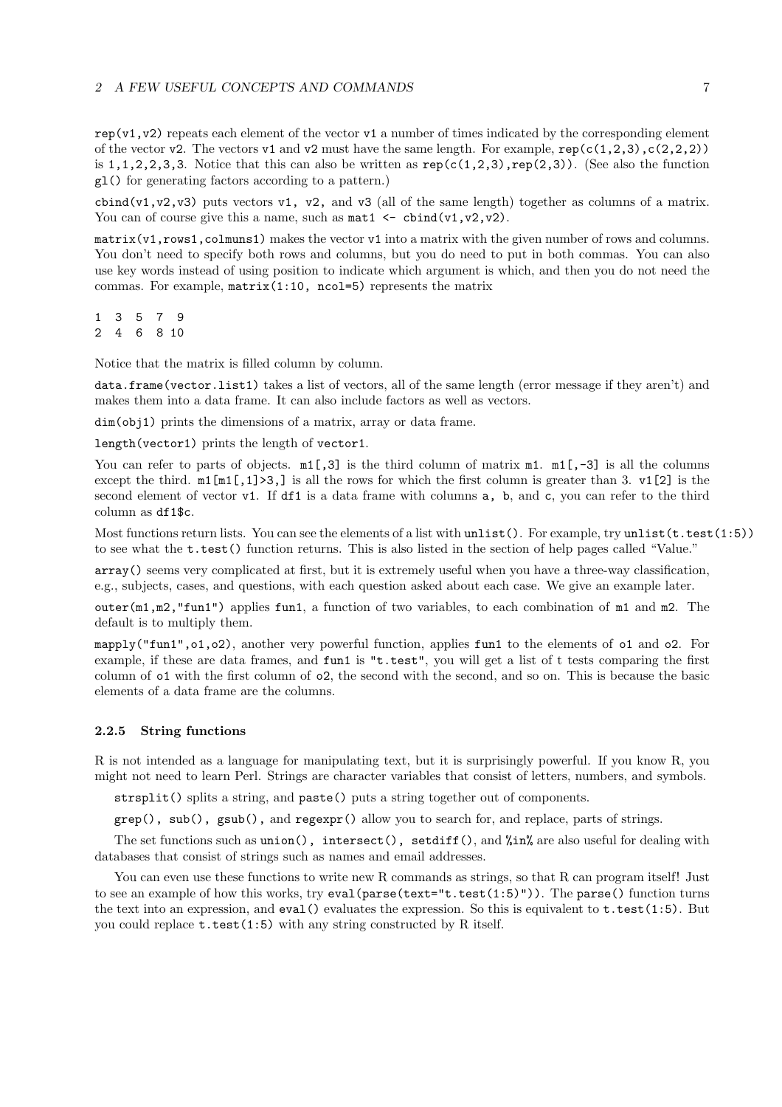### 2 A FEW USEFUL CONCEPTS AND COMMANDS 7

 $rep(v1,v2)$  repeats each element of the vector v1 a number of times indicated by the corresponding element of the vector v2. The vectors v1 and v2 must have the same length. For example,  $rep(c(1,2,3),c(2,2,2))$ is 1,1,2,2,3,3. Notice that this can also be written as  $rep(c(1,2,3),rep(2,3))$ . (See also the function gl() for generating factors according to a pattern.)

cbind(v1,v2,v3) puts vectors v1, v2, and v3 (all of the same length) together as columns of a matrix. You can of course give this a name, such as  $\text{mat1} \leftarrow \text{cbind}(v1, v2, v2)$ .

 $matrix(v1,rows1,columns1)$  makes the vector v1 into a matrix with the given number of rows and columns. You don't need to specify both rows and columns, but you do need to put in both commas. You can also use key words instead of using position to indicate which argument is which, and then you do not need the commas. For example, matrix(1:10, ncol=5) represents the matrix

1 3 5 7 9 2 4 6 8 10

Notice that the matrix is filled column by column.

data.frame(vector.list1) takes a list of vectors, all of the same length (error message if they aren't) and makes them into a data frame. It can also include factors as well as vectors.

dim(obj1) prints the dimensions of a matrix, array or data frame.

length(vector1) prints the length of vector1.

You can refer to parts of objects.  $m1$ [,3] is the third column of matrix  $m1$ .  $m1$ [,-3] is all the columns except the third.  $m1[m1,1]>3,$ ] is all the rows for which the first column is greater than 3.  $v1[2]$  is the second element of vector v1. If df1 is a data frame with columns a, b, and c, you can refer to the third column as df1\$c.

Most functions return lists. You can see the elements of a list with unlist(). For example, try unlist(t.test(1:5)) to see what the t.test() function returns. This is also listed in the section of help pages called "Value."

array() seems very complicated at first, but it is extremely useful when you have a three-way classification, e.g., subjects, cases, and questions, with each question asked about each case. We give an example later.

outer(m1,m2,"fun1") applies fun1, a function of two variables, to each combination of m1 and m2. The default is to multiply them.

mapply("fun1",o1,o2), another very powerful function, applies fun1 to the elements of o1 and o2. For example, if these are data frames, and fun1 is "t.test", you will get a list of t tests comparing the first column of o1 with the first column of o2, the second with the second, and so on. This is because the basic elements of a data frame are the columns.

### 2.2.5 String functions

R is not intended as a language for manipulating text, but it is surprisingly powerful. If you know R, you might not need to learn Perl. Strings are character variables that consist of letters, numbers, and symbols.

strsplit() splits a string, and paste() puts a string together out of components.

 $grep()$ ,  $sub()$ ,  $gsub()$ , and  $regezpr()$  allow you to search for, and replace, parts of strings.

The set functions such as  $union()$ ,  $intersect()$ ,  $setdiff()$ , and  $%$ in $%$  are also useful for dealing with databases that consist of strings such as names and email addresses.

You can even use these functions to write new R commands as strings, so that R can program itself! Just to see an example of how this works, try eval(parse(text="t.test(1:5)")). The parse() function turns the text into an expression, and  $eval()$  evaluates the expression. So this is equivalent to  $t.test(1:5)$ . But you could replace t.test(1:5) with any string constructed by R itself.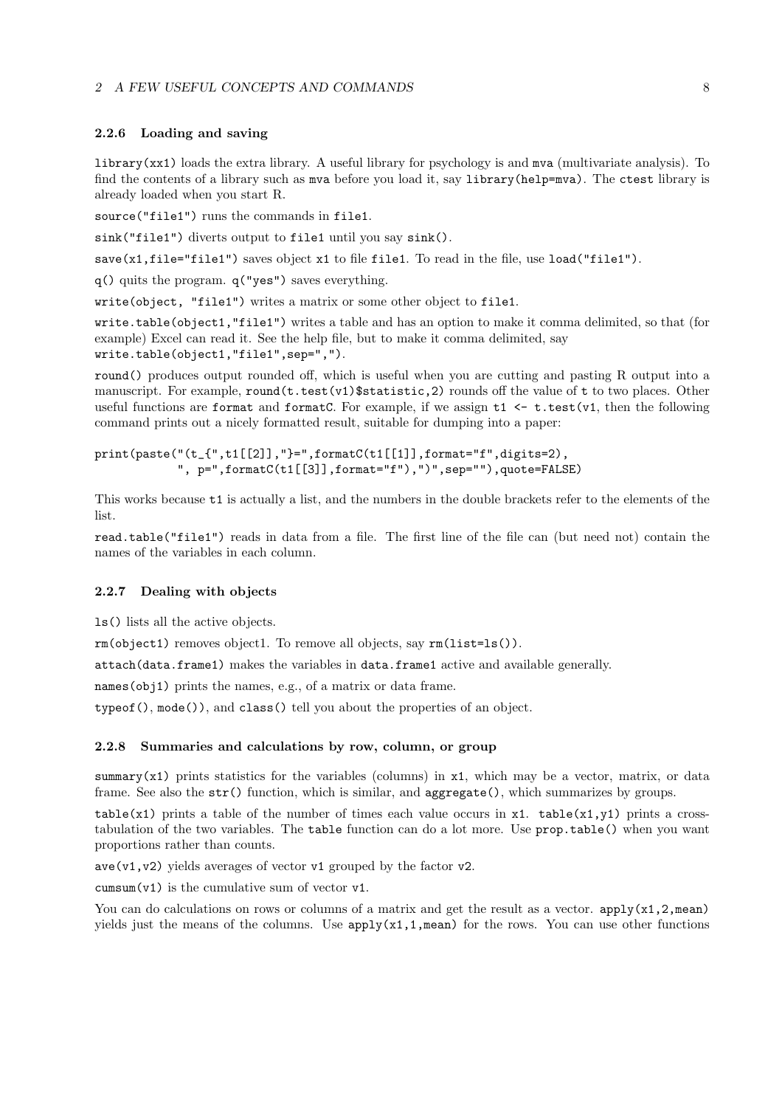### 2 A FEW USEFUL CONCEPTS AND COMMANDS 8

### 2.2.6 Loading and saving

library(xx1) loads the extra library. A useful library for psychology is and mva (multivariate analysis). To find the contents of a library such as mva before you load it, say library(help=mva). The ctest library is already loaded when you start R.

source("file1") runs the commands in file1.

sink("file1") diverts output to file1 until you say sink().

save(x1,file="file1") saves object x1 to file file1. To read in the file, use load("file1").

q() quits the program. q("yes") saves everything.

write(object, "file1") writes a matrix or some other object to file1.

write.table(object1,"file1") writes a table and has an option to make it comma delimited, so that (for example) Excel can read it. See the help file, but to make it comma delimited, say write.table(object1,"file1",sep=",").

round() produces output rounded off, which is useful when you are cutting and pasting R output into a manuscript. For example,  $round(t.test(v1)$ \$statistic, 2) rounds off the value of t to two places. Other useful functions are format and formatC. For example, if we assign t1 <- t.test(v1, then the following command prints out a nicely formatted result, suitable for dumping into a paper:

print(paste(" $(t_{-1}$ ",t1[[2]],"}=",formatC(t1[[1]],format="f",digits=2), ", p=",formatC(t1[[3]],format="f"),")",sep=""),quote=FALSE)

This works because t1 is actually a list, and the numbers in the double brackets refer to the elements of the list.

read.table("file1") reads in data from a file. The first line of the file can (but need not) contain the names of the variables in each column.

# 2.2.7 Dealing with objects

ls() lists all the active objects.

rm(object1) removes object1. To remove all objects, say rm(list=ls()).

attach(data.frame1) makes the variables in data.frame1 active and available generally.

names(obj1) prints the names, e.g., of a matrix or data frame.

typeof(), mode()), and class() tell you about the properties of an object.

### 2.2.8 Summaries and calculations by row, column, or group

summary( $x1$ ) prints statistics for the variables (columns) in  $x1$ , which may be a vector, matrix, or data frame. See also the str() function, which is similar, and aggregate(), which summarizes by groups.

table(x1) prints a table of the number of times each value occurs in  $x1$ . table(x1,y1) prints a crosstabulation of the two variables. The table function can do a lot more. Use prop.table() when you want proportions rather than counts.

 $ave(v1, v2)$  yields averages of vector v1 grouped by the factor v2.

cumsum(v1) is the cumulative sum of vector v1.

You can do calculations on rows or columns of a matrix and get the result as a vector. apply(x1,2,mean) yields just the means of the columns. Use  $\text{apply}(x1,1,\text{mean})$  for the rows. You can use other functions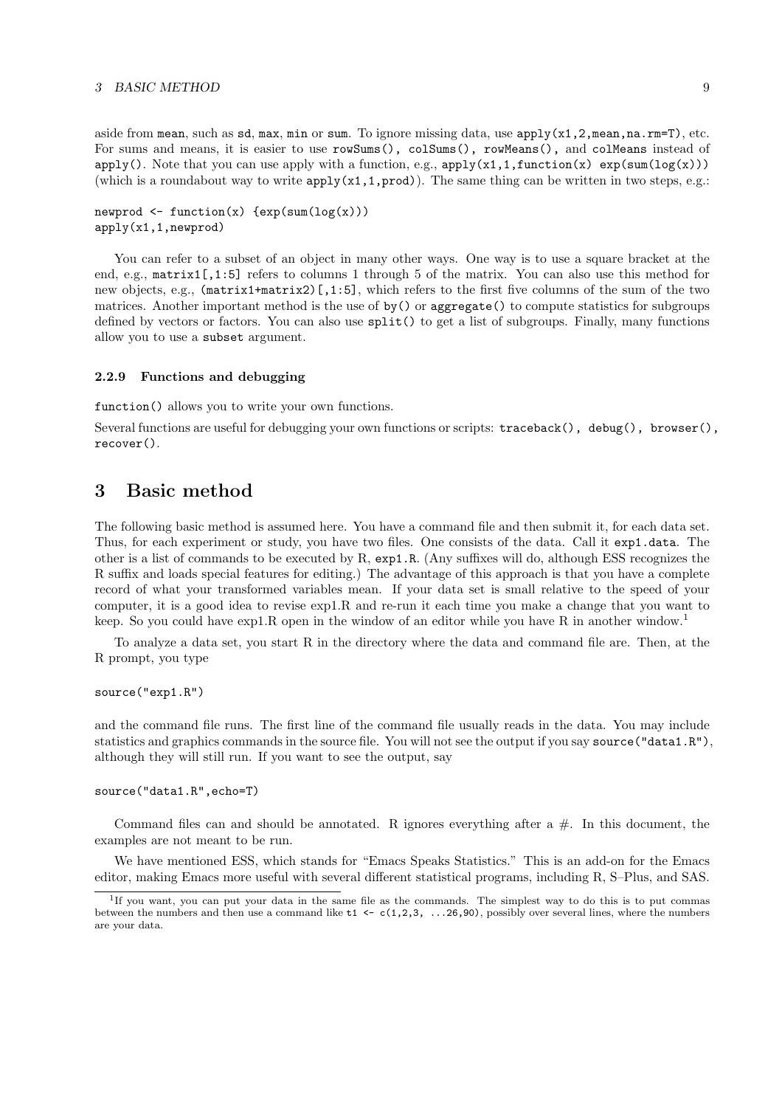aside from mean, such as sd, max, min or sum. To ignore missing data, use apply(x1,2,mean,na.rm=T), etc. For sums and means, it is easier to use  $rowSums()$ ,  $colSums()$ ,  $rowMeans()$ , and  $colMeans$  instead of  $apply()$ . Note that you can use apply with a function, e.g.,  $apply(x1,1,function(x) exp(sum(log(x)))$ (which is a roundabout way to write  $apply(x1,1,prod)$ ). The same thing can be written in two steps, e.g.:

```
newprod \leq function(x) \{ \exp(\text{sum}(\log(x))) \}apply(x1,1,newprod)
```
You can refer to a subset of an object in many other ways. One way is to use a square bracket at the end, e.g., matrix1[,1:5] refers to columns 1 through 5 of the matrix. You can also use this method for new objects, e.g., (matrix1+matrix2)[,1:5], which refers to the first five columns of the sum of the two matrices. Another important method is the use of  $by()$  or aggregate() to compute statistics for subgroups defined by vectors or factors. You can also use split() to get a list of subgroups. Finally, many functions allow you to use a subset argument.

### 2.2.9 Functions and debugging

function() allows you to write your own functions.

Several functions are useful for debugging your own functions or scripts: traceback(), debug(), browser(), recover().

# 3 Basic method

The following basic method is assumed here. You have a command file and then submit it, for each data set. Thus, for each experiment or study, you have two files. One consists of the data. Call it exp1.data. The other is a list of commands to be executed by R, exp1.R. (Any suffixes will do, although ESS recognizes the R suffix and loads special features for editing.) The advantage of this approach is that you have a complete record of what your transformed variables mean. If your data set is small relative to the speed of your computer, it is a good idea to revise exp1.R and re-run it each time you make a change that you want to keep. So you could have exp1.R open in the window of an editor while you have R in another window.<sup>1</sup>

To analyze a data set, you start R in the directory where the data and command file are. Then, at the R prompt, you type

source("exp1.R")

and the command file runs. The first line of the command file usually reads in the data. You may include statistics and graphics commands in the source file. You will not see the output if you say source("data1.R"), although they will still run. If you want to see the output, say

source("data1.R",echo=T)

Command files can and should be annotated. R ignores everything after  $a \#$ . In this document, the examples are not meant to be run.

We have mentioned ESS, which stands for "Emacs Speaks Statistics." This is an add-on for the Emacs editor, making Emacs more useful with several different statistical programs, including R, S–Plus, and SAS.

<sup>1</sup> If you want, you can put your data in the same file as the commands. The simplest way to do this is to put commas between the numbers and then use a command like  $t1 \leftarrow c(1,2,3,\dots,26,90)$ , possibly over several lines, where the numbers are your data.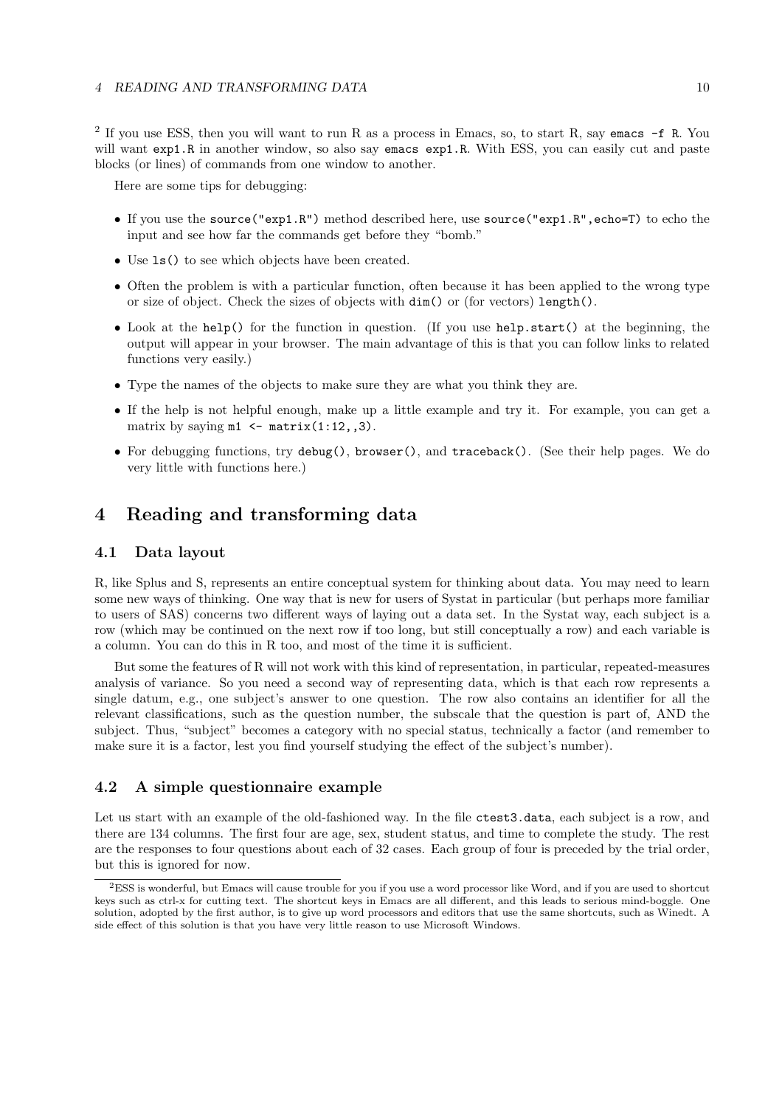<sup>2</sup> If you use ESS, then you will want to run R as a process in Emacs, so, to start R, say emacs  $-f R$ . You will want exp1.R in another window, so also say emacs exp1.R. With ESS, you can easily cut and paste blocks (or lines) of commands from one window to another.

Here are some tips for debugging:

- If you use the source("exp1.R") method described here, use source("exp1.R",echo=T) to echo the input and see how far the commands get before they "bomb."
- Use ls() to see which objects have been created.
- Often the problem is with a particular function, often because it has been applied to the wrong type or size of object. Check the sizes of objects with dim() or (for vectors) length().
- Look at the help() for the function in question. (If you use help start() at the beginning, the output will appear in your browser. The main advantage of this is that you can follow links to related functions very easily.)
- Type the names of the objects to make sure they are what you think they are.
- If the help is not helpful enough, make up a little example and try it. For example, you can get a matrix by saying  $m1 \leftarrow matrix(1:12,3)$ .
- For debugging functions, try debug(), browser(), and traceback(). (See their help pages. We do very little with functions here.)

# 4 Reading and transforming data

### 4.1 Data layout

R, like Splus and S, represents an entire conceptual system for thinking about data. You may need to learn some new ways of thinking. One way that is new for users of Systat in particular (but perhaps more familiar to users of SAS) concerns two different ways of laying out a data set. In the Systat way, each subject is a row (which may be continued on the next row if too long, but still conceptually a row) and each variable is a column. You can do this in R too, and most of the time it is sufficient.

But some the features of R will not work with this kind of representation, in particular, repeated-measures analysis of variance. So you need a second way of representing data, which is that each row represents a single datum, e.g., one subject's answer to one question. The row also contains an identifier for all the relevant classifications, such as the question number, the subscale that the question is part of, AND the subject. Thus, "subject" becomes a category with no special status, technically a factor (and remember to make sure it is a factor, lest you find yourself studying the effect of the subject's number).

### 4.2 A simple questionnaire example

Let us start with an example of the old-fashioned way. In the file ctest3.data, each subject is a row, and there are 134 columns. The first four are age, sex, student status, and time to complete the study. The rest are the responses to four questions about each of 32 cases. Each group of four is preceded by the trial order, but this is ignored for now.

<sup>2</sup>ESS is wonderful, but Emacs will cause trouble for you if you use a word processor like Word, and if you are used to shortcut keys such as ctrl-x for cutting text. The shortcut keys in Emacs are all different, and this leads to serious mind-boggle. One solution, adopted by the first author, is to give up word processors and editors that use the same shortcuts, such as Winedt. A side effect of this solution is that you have very little reason to use Microsoft Windows.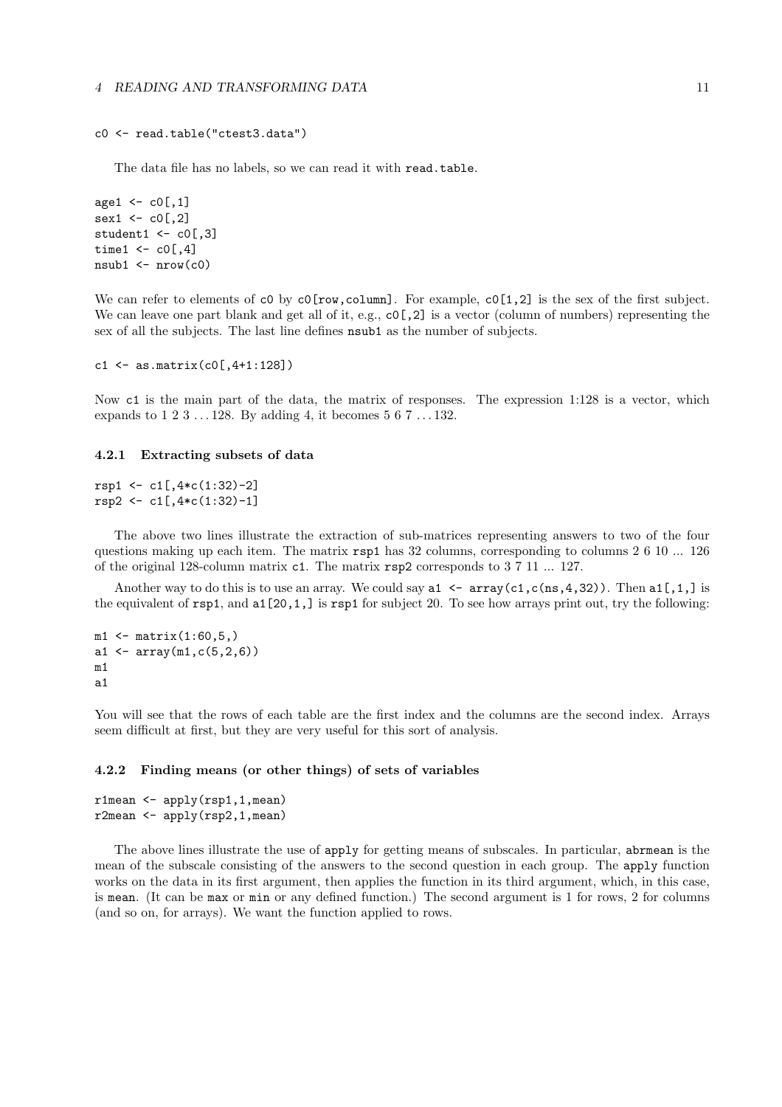```
c0 <- read.table("ctest3.data")
```
The data file has no labels, so we can read it with read.table.

```
age1 \leq c0[, 1]sex1 \leftarrow c0[.2]
student1 \leq c0[,3]
time1 \leftarrow c0[, 4]nsub1 \leftarrow nrow(c0)
```
We can refer to elements of c0 by c0[row,column]. For example, c0[1,2] is the sex of the first subject. We can leave one part blank and get all of it, e.g.,  $c0[$ , 2] is a vector (column of numbers) representing the sex of all the subjects. The last line defines nsub1 as the number of subjects.

```
c1 <- as.matrix(c0[,4+1:128])
```
Now c1 is the main part of the data, the matrix of responses. The expression 1:128 is a vector, which expands to  $1\ 2\ 3\ \ldots 128$ . By adding 4, it becomes  $5\ 6\ 7\ \ldots 132$ .

### 4.2.1 Extracting subsets of data

```
rsp1 \leftarrow c1[, 4*c(1:32)-2]rsp2 <- c1[,4*c(1:32)-1]
```
The above two lines illustrate the extraction of sub-matrices representing answers to two of the four questions making up each item. The matrix rsp1 has 32 columns, corresponding to columns 2 6 10 ... 126 of the original 128-column matrix c1. The matrix rsp2 corresponds to 3 7 11 ... 127.

Another way to do this is to use an array. We could say  $a1 \leftarrow \ar{ray}(c1, c(\text{ns},4,32))$ . Then  $a1[,1,]\$  is the equivalent of rsp1, and a1[20,1,] is rsp1 for subject 20. To see how arrays print out, try the following:

```
m1 <- matrix(1:60,5)a1 <- array(m1, c(5, 2, 6))m1
a1
```
You will see that the rows of each table are the first index and the columns are the second index. Arrays seem difficult at first, but they are very useful for this sort of analysis.

### 4.2.2 Finding means (or other things) of sets of variables

```
r1mean \leftarrow apply(rsp1,1,mean)r2mean <- apply(rsp2,1,mean)
```
The above lines illustrate the use of apply for getting means of subscales. In particular, abrmean is the mean of the subscale consisting of the answers to the second question in each group. The apply function works on the data in its first argument, then applies the function in its third argument, which, in this case, is mean. (It can be max or min or any defined function.) The second argument is 1 for rows, 2 for columns (and so on, for arrays). We want the function applied to rows.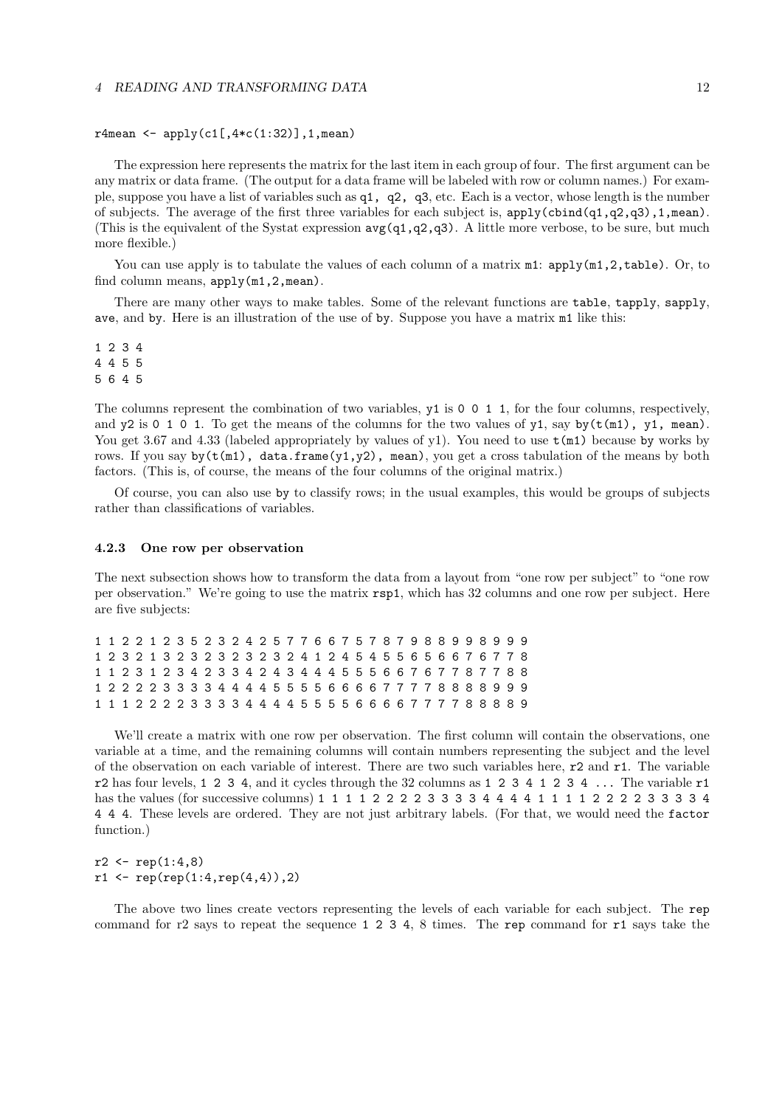### 4 READING AND TRANSFORMING DATA 12

```
r4mean <- apply(c1[,4*c(1:32)],1,mean)
```
The expression here represents the matrix for the last item in each group of four. The first argument can be any matrix or data frame. (The output for a data frame will be labeled with row or column names.) For example, suppose you have a list of variables such as q1, q2, q3, etc. Each is a vector, whose length is the number of subjects. The average of the first three variables for each subject is, apply(cbind(q1,q2,q3),1,mean). (This is the equivalent of the Systat expression  $\arg(q_1, q_2, q_3)$ ). A little more verbose, to be sure, but much more flexible.)

You can use apply is to tabulate the values of each column of a matrix  $m1$ :  $\text{apply}(m1,2,\text{table})$ . Or, to find column means, apply(m1,2,mean).

There are many other ways to make tables. Some of the relevant functions are table, tapply, sapply, ave, and by. Here is an illustration of the use of by. Suppose you have a matrix m1 like this:

1 2 3 4 4 4 5 5 5 6 4 5

The columns represent the combination of two variables, y1 is 0 0 1 1, for the four columns, respectively, and y2 is 0 1 0 1. To get the means of the columns for the two values of y1, say by( $t(m1)$ , y1, mean). You get 3.67 and 4.33 (labeled appropriately by values of y1). You need to use  $t(m1)$  because by works by rows. If you say by( $t(m1)$ , data.frame(y1,y2), mean), you get a cross tabulation of the means by both factors. (This is, of course, the means of the four columns of the original matrix.)

Of course, you can also use by to classify rows; in the usual examples, this would be groups of subjects rather than classifications of variables.

#### 4.2.3 One row per observation

The next subsection shows how to transform the data from a layout from "one row per subject" to "one row per observation." We're going to use the matrix rsp1, which has 32 columns and one row per subject. Here are five subjects:

1 1 2 2 1 2 3 5 2 3 2 4 2 5 7 7 6 6 7 5 7 8 7 9 8 8 9 9 8 9 9 9 1 2 3 2 1 3 2 3 2 3 2 3 2 3 2 4 1 2 4 5 4 5 5 6 5 6 6 7 6 7 7 8 1 1 2 3 1 2 3 4 2 3 3 4 2 4 3 4 4 4 5 5 5 6 6 7 6 7 7 8 7 7 8 8 1 2 2 2 2 3 3 3 3 4 4 4 4 5 5 5 5 6 6 6 6 7 7 7 7 8 8 8 8 9 9 9 1 1 1 2 2 2 2 3 3 3 3 4 4 4 4 5 5 5 5 6 6 6 6 7 7 7 7 8 8 8 8 9

We'll create a matrix with one row per observation. The first column will contain the observations, one variable at a time, and the remaining columns will contain numbers representing the subject and the level of the observation on each variable of interest. There are two such variables here, r2 and r1. The variable r2 has four levels,  $1 \ 2 \ 3 \ 4$ , and it cycles through the 32 columns as  $1 \ 2 \ 3 \ 4 \ 1 \ 2 \ 3 \ 4 \ \ldots$  The variable r1 has the values (for successive columns) 1 1 1 1 2 2 2 2 3 3 3 3 4 4 4 4 1 1 1 1 2 2 2 2 3 3 3 3 4 4 4 4. These levels are ordered. They are not just arbitrary labels. (For that, we would need the factor function.)

 $r2 \leftarrow rep(1:4,8)$  $r1 \leftarrow rep(rep(1:4,rep(4,4)),2)$ 

The above two lines create vectors representing the levels of each variable for each subject. The rep command for r2 says to repeat the sequence 1 2 3 4, 8 times. The rep command for r1 says take the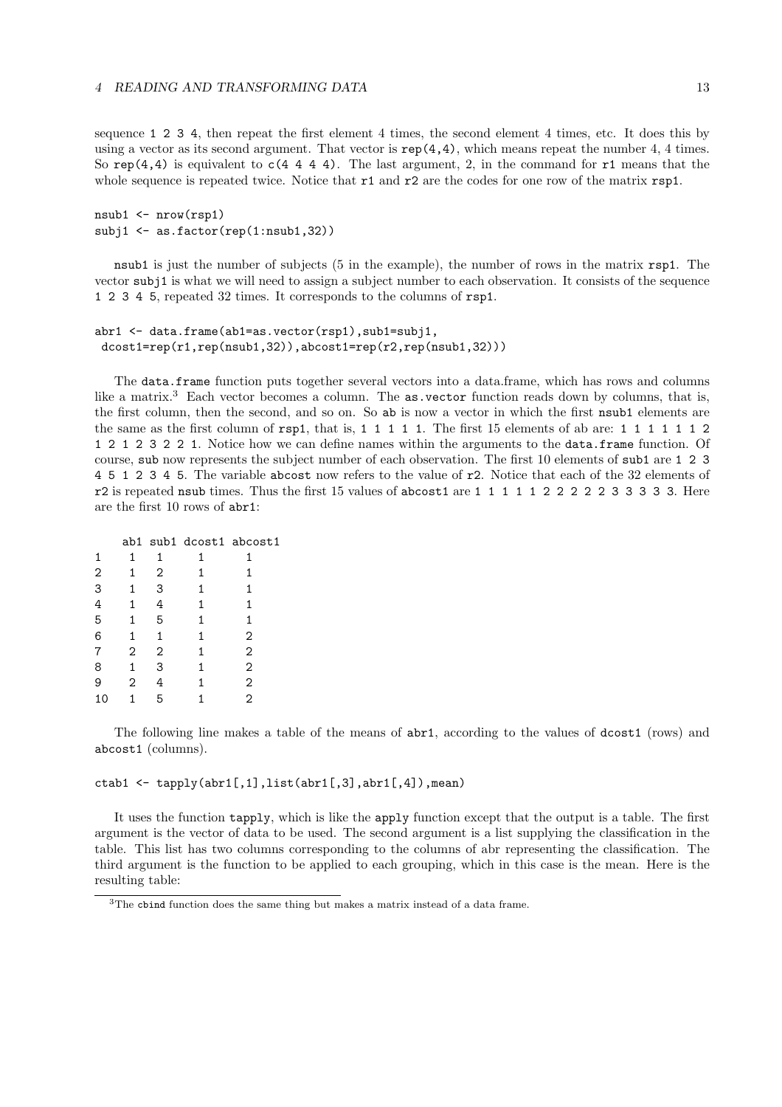sequence 1 2 3 4, then repeat the first element 4 times, the second element 4 times, etc. It does this by using a vector as its second argument. That vector is  $\text{rep}(4,4)$ , which means repeat the number 4, 4 times. So rep(4,4) is equivalent to  $c(4 4 4 4)$ . The last argument, 2, in the command for r1 means that the whole sequence is repeated twice. Notice that r1 and r2 are the codes for one row of the matrix rsp1.

```
nsub1 <- nrow(rsp1)
subj1 <- as.factor(rep(1:nsub1,32))
```
nsub1 is just the number of subjects (5 in the example), the number of rows in the matrix rsp1. The vector subj1 is what we will need to assign a subject number to each observation. It consists of the sequence 1 2 3 4 5, repeated 32 times. It corresponds to the columns of rsp1.

```
abr1 <- data.frame(ab1=as.vector(rsp1),sub1=subj1,
 dcost1=rep(r1,rep(nsub1,32)),abcost1=rep(r2,rep(nsub1,32)))
```
The data.frame function puts together several vectors into a data.frame, which has rows and columns like a matrix.<sup>3</sup> Each vector becomes a column. The **as**, vector function reads down by columns, that is, the first column, then the second, and so on. So ab is now a vector in which the first nsub1 elements are the same as the first column of rsp1, that is, 1 1 1 1 1. The first 15 elements of ab are: 1 1 1 1 1 1 2 1 2 1 2 3 2 2 1. Notice how we can define names within the arguments to the data.frame function. Of course, sub now represents the subject number of each observation. The first 10 elements of sub1 are 1 2 3 4 5 1 2 3 4 5. The variable abcost now refers to the value of r2. Notice that each of the 32 elements of r2 is repeated nsub times. Thus the first 15 values of abcost1 are  $1 \t1 \t1 \t1 \t2 \t2 \t2 \t2 \t3 \t3 \t3 \t3$ . Here are the first 10 rows of abr1:

|                |   |   |   | ab1 sub1 dcost1 abcost1 |
|----------------|---|---|---|-------------------------|
| 1              |   | 1 |   |                         |
| $\overline{c}$ | 1 | 2 | 1 | 1                       |
| 3              |   | 3 |   | 1                       |
| 4              |   | 4 | 1 | 1                       |
| 5              |   | 5 | 1 | 1                       |
| 6              | 1 | 1 | 1 | 2                       |
| 7              | 2 | 2 | 1 | 2                       |
| 8              |   | 3 | 1 | 2                       |
| 9              | 2 |   |   | 2                       |
| 10             |   | 5 |   | $\overline{2}$          |

The following line makes a table of the means of abr1, according to the values of dcost1 (rows) and abcost1 (columns).

ctab1 <- tapply(abr1[,1],list(abr1[,3],abr1[,4]),mean)

It uses the function tapply, which is like the apply function except that the output is a table. The first argument is the vector of data to be used. The second argument is a list supplying the classification in the table. This list has two columns corresponding to the columns of abr representing the classification. The third argument is the function to be applied to each grouping, which in this case is the mean. Here is the resulting table:

<sup>&</sup>lt;sup>3</sup>The cbind function does the same thing but makes a matrix instead of a data frame.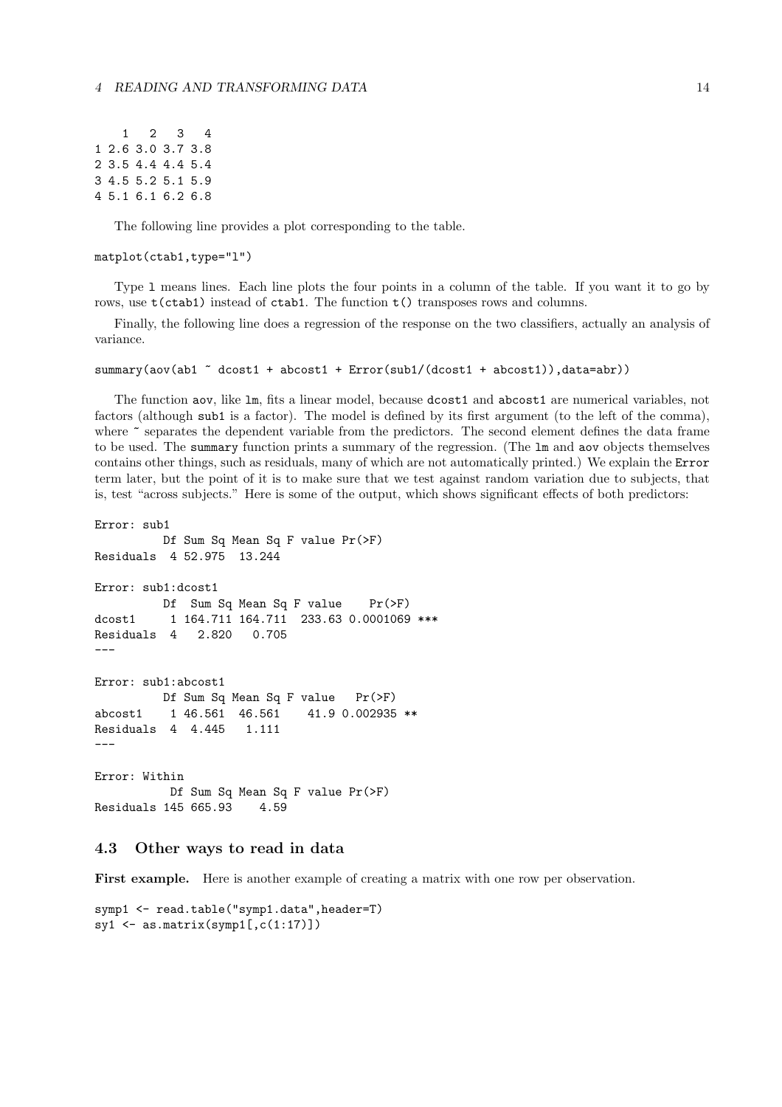```
1 2 3 4
1 2.6 3.0 3.7 3.8
2 3.5 4.4 4.4 5.4
3 4.5 5.2 5.1 5.9
4 5.1 6.1 6.2 6.8
```
The following line provides a plot corresponding to the table.

```
matplot(ctab1,type="l")
```
Type l means lines. Each line plots the four points in a column of the table. If you want it to go by rows, use  $t(ctab1)$  instead of ctab1. The function  $t()$  transposes rows and columns.

Finally, the following line does a regression of the response on the two classifiers, actually an analysis of variance.

```
summary(aov(ab1 ~ dcost1 + abcost1 + Error(sub1/(dcost1 + abcost1)),data=abr))
```
The function aov, like lm, fits a linear model, because dcost1 and abcost1 are numerical variables, not factors (although sub1 is a factor). The model is defined by its first argument (to the left of the comma), where  $\tilde{\phantom{a}}$  separates the dependent variable from the predictors. The second element defines the data frame to be used. The summary function prints a summary of the regression. (The lm and aov objects themselves contains other things, such as residuals, many of which are not automatically printed.) We explain the Error term later, but the point of it is to make sure that we test against random variation due to subjects, that is, test "across subjects." Here is some of the output, which shows significant effects of both predictors:

```
Error: sub1
         Df Sum Sq Mean Sq F value Pr(>F)
Residuals 4 52.975 13.244
Error: sub1:dcost1
         Df Sum Sq Mean Sq F value Pr(>F)
dcost1 1 164.711 164.711 233.63 0.0001069 ***
Residuals 4 2.820 0.705
---
Error: sub1:abcost1
         Df Sum Sq Mean Sq F value Pr(>F)
abcost1 1 46.561 46.561 41.9 0.002935 **
Residuals 4 4.445 1.111
---
Error: Within
          Df Sum Sq Mean Sq F value Pr(>F)
Residuals 145 665.93 4.59
```
### 4.3 Other ways to read in data

First example. Here is another example of creating a matrix with one row per observation.

```
symp1 <- read.table("symp1.data",header=T)
syl \leftarrow as.matrix(sympl[,c(1:17)]
```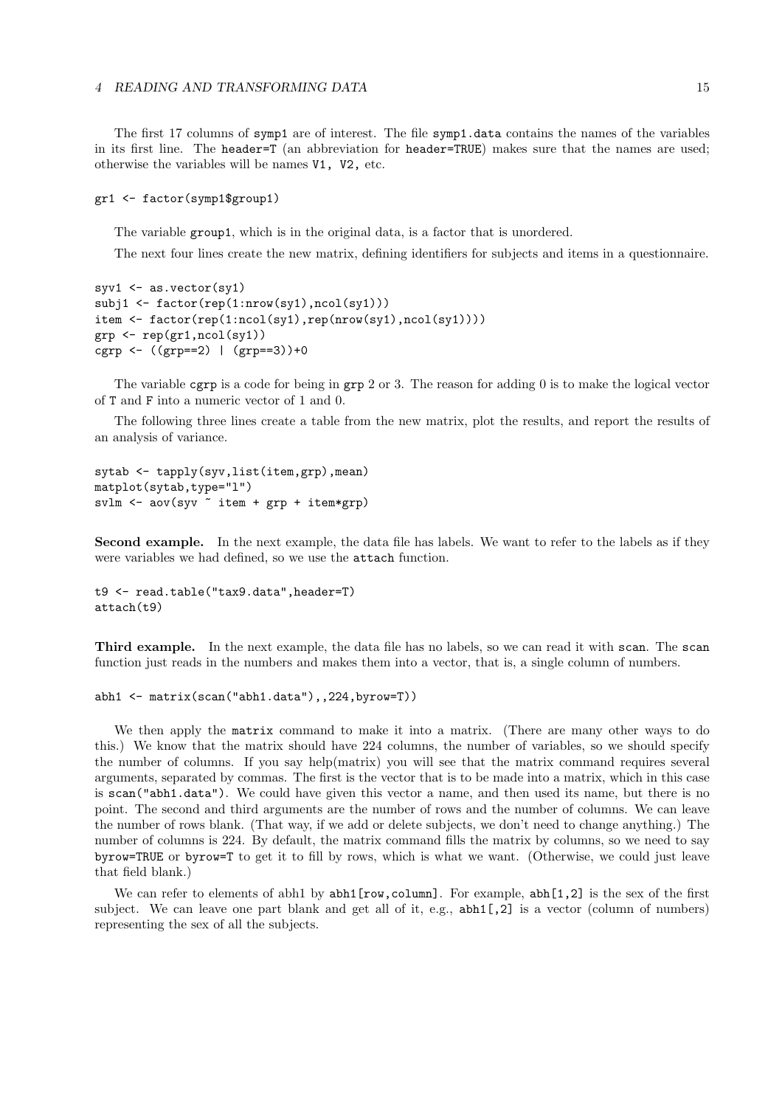### 4 READING AND TRANSFORMING DATA 15

The first 17 columns of symp1 are of interest. The file symp1.data contains the names of the variables in its first line. The header=T (an abbreviation for header=TRUE) makes sure that the names are used; otherwise the variables will be names V1, V2, etc.

### gr1 <- factor(symp1\$group1)

The variable group1, which is in the original data, is a factor that is unordered.

The next four lines create the new matrix, defining identifiers for subjects and items in a questionnaire.

```
syv1 \leftarrow as. vector(sy1)
subj1 <- factor(rep(1:nrow(sy1),ncol(sy1)))
item <- factor(rep(1:ncol(sy1),rep(nrow(sy1),ncol(sy1))))
grp \leftarrow rep(gr1,ncol(sy1))cgrp <- ((grp==2) | (grp==3))+0
```
The variable cgrp is a code for being in grp 2 or 3. The reason for adding 0 is to make the logical vector of T and F into a numeric vector of 1 and 0.

The following three lines create a table from the new matrix, plot the results, and report the results of an analysis of variance.

```
sytab <- tapply(syv,list(item,grp),mean)
matplot(sytab,type="l")
svlm <- aov(syv ~ item + grp + item*grp)
```
Second example. In the next example, the data file has labels. We want to refer to the labels as if they were variables we had defined, so we use the attach function.

```
t9 <- read.table("tax9.data",header=T)
attach(t9)
```
Third example. In the next example, the data file has no labels, so we can read it with scan. The scan function just reads in the numbers and makes them into a vector, that is, a single column of numbers.

```
abh1 <- matrix(scan("abh1.data"),,224,byrow=T))
```
We then apply the matrix command to make it into a matrix. (There are many other ways to do this.) We know that the matrix should have 224 columns, the number of variables, so we should specify the number of columns. If you say help(matrix) you will see that the matrix command requires several arguments, separated by commas. The first is the vector that is to be made into a matrix, which in this case is scan("abh1.data"). We could have given this vector a name, and then used its name, but there is no point. The second and third arguments are the number of rows and the number of columns. We can leave the number of rows blank. (That way, if we add or delete subjects, we don't need to change anything.) The number of columns is 224. By default, the matrix command fills the matrix by columns, so we need to say byrow=TRUE or byrow=T to get it to fill by rows, which is what we want. (Otherwise, we could just leave that field blank.)

We can refer to elements of abh1 by  $abh1[row,column]$ . For example,  $abh[1,2]$  is the sex of the first subject. We can leave one part blank and get all of it, e.g.,  $abh1$ [, 2] is a vector (column of numbers) representing the sex of all the subjects.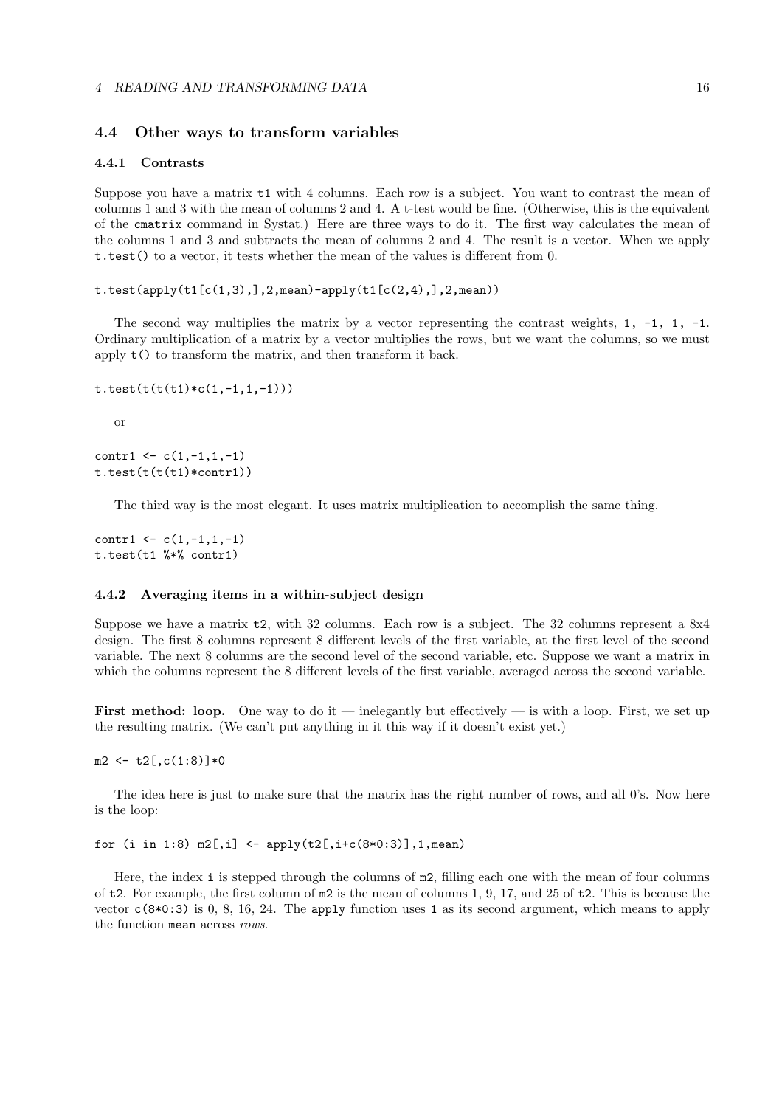### 4 READING AND TRANSFORMING DATA 16

# 4.4 Other ways to transform variables

### 4.4.1 Contrasts

Suppose you have a matrix t1 with 4 columns. Each row is a subject. You want to contrast the mean of columns 1 and 3 with the mean of columns 2 and 4. A t-test would be fine. (Otherwise, this is the equivalent of the cmatrix command in Systat.) Here are three ways to do it. The first way calculates the mean of the columns 1 and 3 and subtracts the mean of columns 2 and 4. The result is a vector. When we apply t.test() to a vector, it tests whether the mean of the values is different from 0.

t.test(apply(t1[c(1,3),],2,mean)-apply(t1[c(2,4),],2,mean))

The second way multiplies the matrix by a vector representing the contrast weights,  $1, -1, 1, -1$ . Ordinary multiplication of a matrix by a vector multiplies the rows, but we want the columns, so we must apply t() to transform the matrix, and then transform it back.

```
t.test(t(t(1)*c(1,-1,1,-1)))
```
or

contr1 <-  $c(1,-1,1,-1)$  $t.test(t(t(1)*contr))$ 

The third way is the most elegant. It uses matrix multiplication to accomplish the same thing.

 $contr1 \leftarrow c(1,-1,1,-1)$ t.test(t1 %\*% contr1)

### 4.4.2 Averaging items in a within-subject design

Suppose we have a matrix t2, with 32 columns. Each row is a subject. The 32 columns represent a 8x4 design. The first 8 columns represent 8 different levels of the first variable, at the first level of the second variable. The next 8 columns are the second level of the second variable, etc. Suppose we want a matrix in which the columns represent the 8 different levels of the first variable, averaged across the second variable.

**First method:** loop. One way to do it — inelegantly but effectively — is with a loop. First, we set up the resulting matrix. (We can't put anything in it this way if it doesn't exist yet.)

 $m2 \leftarrow t2[,c(1:8)]*0$ 

The idea here is just to make sure that the matrix has the right number of rows, and all 0's. Now here is the loop:

```
for (i in 1:8) m2[,i] <- apply(t2[,i+c(8*0:3)],1,mean)
```
Here, the index i is stepped through the columns of m2, filling each one with the mean of four columns of t2. For example, the first column of m2 is the mean of columns 1, 9, 17, and 25 of t2. This is because the vector  $c(8*0:3)$  is 0, 8, 16, 24. The apply function uses 1 as its second argument, which means to apply the function mean across rows.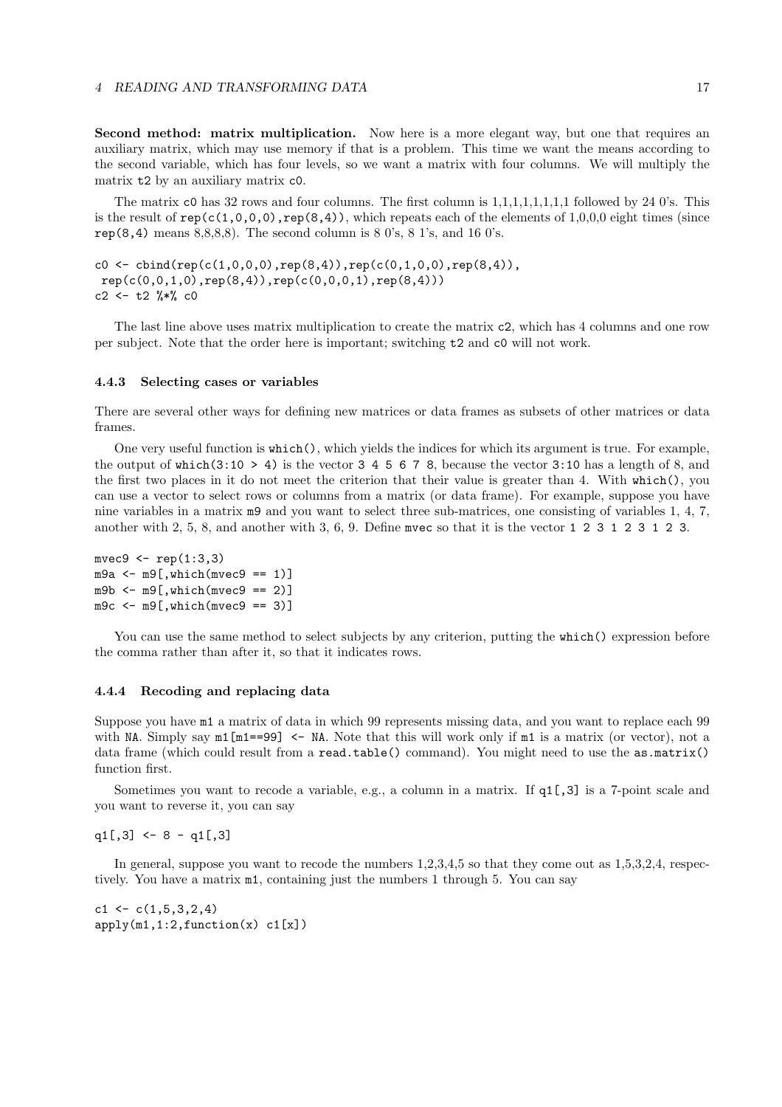Second method: matrix multiplication. Now here is a more elegant way, but one that requires an auxiliary matrix, which may use memory if that is a problem. This time we want the means according to the second variable, which has four levels, so we want a matrix with four columns. We will multiply the matrix t2 by an auxiliary matrix c0.

The matrix c0 has 32 rows and four columns. The first column is  $1,1,1,1,1,1,1,1$  followed by 24 0's. This is the result of  $rep(c(1,0,0,0),rep(8,4))$ , which repeats each of the elements of 1,0,0,0 eight times (since **rep(8,4)** means 8,8,8,8). The second column is 8 0's, 8 1's, and 16 0's.

```
c0 <- cbind(rep(c(1,0,0,0),rep(8,4)),rep(c(0,1,0,0),rep(8,4)),
rep(c(0,0,1,0),rep(8,4)),rep(c(0,0,0,1),rep(8,4)))
c2 <- t2 % *% c0
```
The last line above uses matrix multiplication to create the matrix c2, which has 4 columns and one row per subject. Note that the order here is important; switching t2 and c0 will not work.

#### 4.4.3 Selecting cases or variables

There are several other ways for defining new matrices or data frames as subsets of other matrices or data frames.

One very useful function is which(), which yields the indices for which its argument is true. For example, the output of which(3:10  $> 4$ ) is the vector 3 4 5 6 7 8, because the vector 3:10 has a length of 8, and the first two places in it do not meet the criterion that their value is greater than 4. With which(), you can use a vector to select rows or columns from a matrix (or data frame). For example, suppose you have nine variables in a matrix m9 and you want to select three sub-matrices, one consisting of variables 1, 4, 7, another with 2, 5, 8, and another with 3, 6, 9. Define mvec so that it is the vector 1 2 3 1 2 3 1 2 3.

```
mvec9 \leftarrow \text{rep}(1:3,3)m9a \leftarrow m9[,which(mvec9 == 1)]
m9b \leftarrow m9[,which(mvec9 == 2)]
m9c \leftarrow m9[,which(mvec9 == 3)]
```
You can use the same method to select subjects by any criterion, putting the which() expression before the comma rather than after it, so that it indicates rows.

### 4.4.4 Recoding and replacing data

Suppose you have m1 a matrix of data in which 99 represents missing data, and you want to replace each 99 with NA. Simply say  $m1$ [m1==99]  $\leq$  NA. Note that this will work only if m1 is a matrix (or vector), not a data frame (which could result from a read.table() command). You might need to use the as.matrix() function first.

Sometimes you want to recode a variable, e.g., a column in a matrix. If q1[,3] is a 7-point scale and you want to reverse it, you can say

 $q1[, 3]$  <- 8 -  $q1[, 3]$ 

In general, suppose you want to recode the numbers 1,2,3,4,5 so that they come out as 1,5,3,2,4, respectively. You have a matrix m1, containing just the numbers 1 through 5. You can say

c1 <-  $c(1,5,3,2,4)$  $apply(m1,1:2,function(x) c1[x])$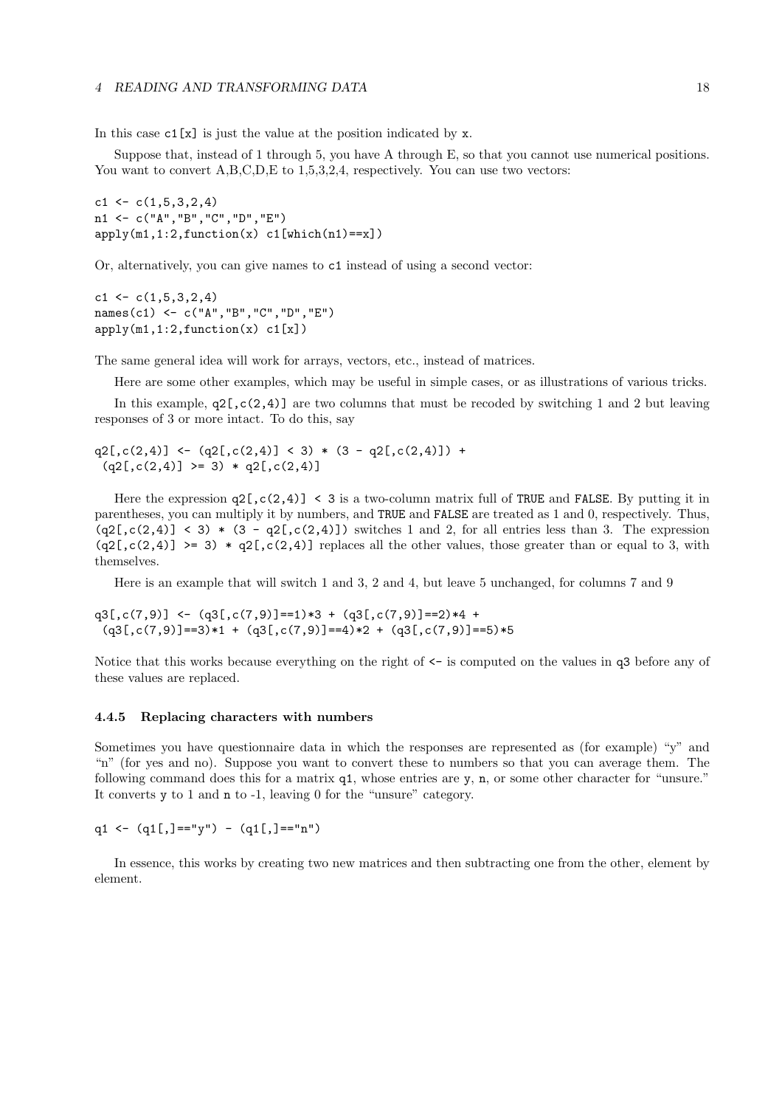### 4 READING AND TRANSFORMING DATA 18

In this case c1[x] is just the value at the position indicated by x.

Suppose that, instead of 1 through 5, you have A through E, so that you cannot use numerical positions. You want to convert A,B,C,D,E to 1,5,3,2,4, respectively. You can use two vectors:

```
c1 \leftarrow c(1,5,3,2,4)
n1 <- c("A","B","C","D","E")
apply(m1,1:2,function(x) c1[which(n1)=x])
```
Or, alternatively, you can give names to c1 instead of using a second vector:

```
c1 \leftarrow c(1,5,3,2,4)
names(c1) <- c("A","B","C","D","E")
apply(m1,1:2,function(x) c1[x])
```
The same general idea will work for arrays, vectors, etc., instead of matrices.

Here are some other examples, which may be useful in simple cases, or as illustrations of various tricks.

In this example,  $q2[$ ,  $c(2,4)]$  are two columns that must be recoded by switching 1 and 2 but leaving responses of 3 or more intact. To do this, say

 $q2[,c(2,4)] \leftarrow (q2[,c(2,4)] \leftarrow 3) * (3 - q2[,c(2,4)]$  +  $(q2[,c(2,4)] \geq 3) * q2[,c(2,4)]$ 

Here the expression  $q2[$ ,c(2,4)] < 3 is a two-column matrix full of TRUE and FALSE. By putting it in parentheses, you can multiply it by numbers, and TRUE and FALSE are treated as 1 and 0, respectively. Thus,  $(q2[,c(2,4)] < 3$  \*  $(3 - q2[,c(2,4)]$  switches 1 and 2, for all entries less than 3. The expression  $(q2[,c(2,4)] \geq 3$  \*  $q2[,c(2,4)]$  replaces all the other values, those greater than or equal to 3, with themselves.

Here is an example that will switch 1 and 3, 2 and 4, but leave 5 unchanged, for columns 7 and 9

q3[,c(7,9)] <-  $(q3[,c(7,9)]=-1)*3 + (q3[,c(7,9)]=-2)*4 +$  $(q3[,c(7,9)]=-3)*1 + (q3[,c(7,9)]=-4)*2 + (q3[,c(7,9)]=-5)*5$ 

Notice that this works because everything on the right of  $\leq$  is computed on the values in q3 before any of these values are replaced.

### 4.4.5 Replacing characters with numbers

Sometimes you have questionnaire data in which the responses are represented as (for example) "y" and "n" (for yes and no). Suppose you want to convert these to numbers so that you can average them. The following command does this for a matrix q1, whose entries are y, n, or some other character for "unsure." It converts y to 1 and n to -1, leaving 0 for the "unsure" category.

q1 <-  $(q1[$ ,]=="y") -  $(q1[$ ,]=="n")

In essence, this works by creating two new matrices and then subtracting one from the other, element by element.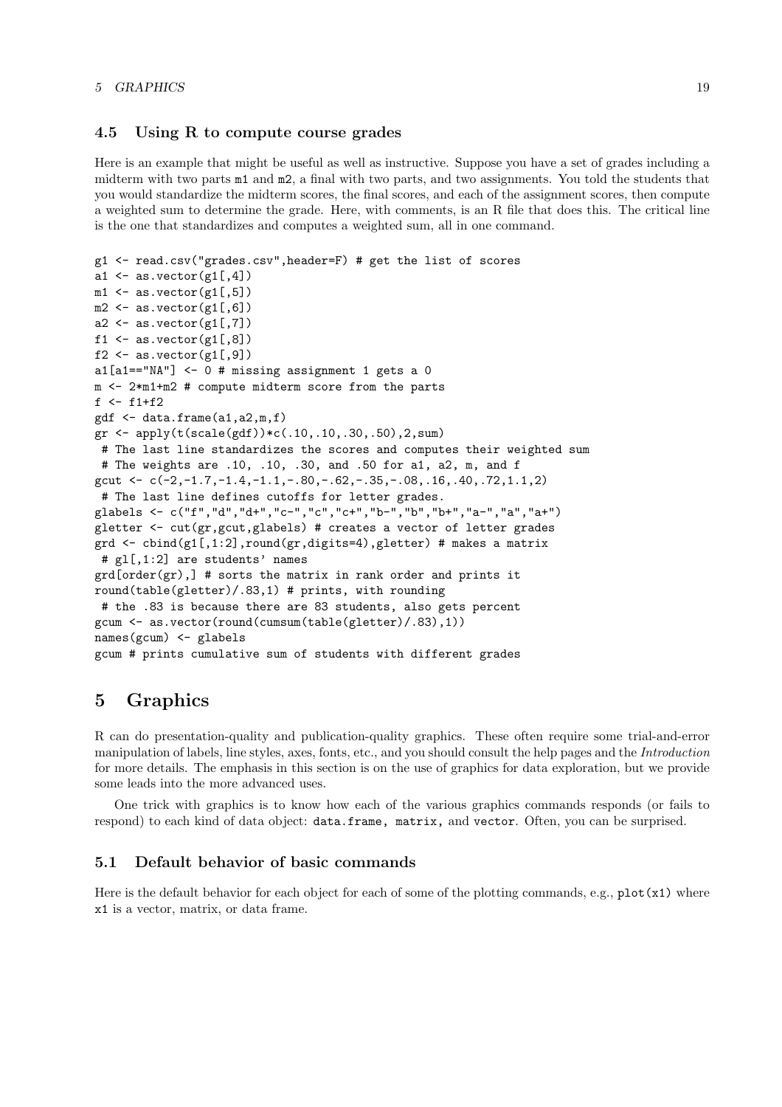### 4.5 Using R to compute course grades

Here is an example that might be useful as well as instructive. Suppose you have a set of grades including a midterm with two parts m1 and m2, a final with two parts, and two assignments. You told the students that you would standardize the midterm scores, the final scores, and each of the assignment scores, then compute a weighted sum to determine the grade. Here, with comments, is an R file that does this. The critical line is the one that standardizes and computes a weighted sum, all in one command.

```
g1 \leq read.csv("grades.csv", header=F) # get the list of scores
a1 \leftarrow as. vector(g1[,4])
m1 \leftarrow as.vector(g1[,5])m2 \leftarrow as.vector(g1[,6])a2 \leftarrow as.vector(g1[,7])f1 \leftarrow as. vector(g1[,g])
f2 \leftarrow as.vector(g1[,9])a1[a1 == "NA"] <- 0 # missing assignment 1 gets a 0
m <- 2*m1+m2 # compute midterm score from the parts
f \leftarrow f1+f2gdf <- data.frame(a1,a2,m,f)
gr \leftarrow apply(t(scale(gdf)) * c(.10,.10,.30,.50).2, sum)# The last line standardizes the scores and computes their weighted sum
 # The weights are .10, .10, .30, and .50 for a1, a2, m, and f
gcut <- c(-2,-1.7,-1.4,-1.1,-.80,-.62,-.35,-.08,.16,.40,.72,1.1,2)
 # The last line defines cutoffs for letter grades.
glabels <- c("f","d","d+","c-","c","c+","b-","b","b+","a-","a","a+")
gletter <- cut(gr,gcut,glabels) # creates a vector of letter grades
\text{grad} \leq \text{cbind}(\text{gl}[,1:2], \text{round}(\text{gr}, \text{digits=4}), \text{gletter}) # makes a matrix
 # gl[,1:2] are students' names
\text{grd}[\text{order}(gr),] # sorts the matrix in rank order and prints it
round(table(gletter)/.83,1) # prints, with rounding
 # the .83 is because there are 83 students, also gets percent
gcum <- as.vector(round(cumsum(table(gletter)/.83),1))
names(gcum) <- glabels
gcum # prints cumulative sum of students with different grades
```
# 5 Graphics

R can do presentation-quality and publication-quality graphics. These often require some trial-and-error manipulation of labels, line styles, axes, fonts, etc., and you should consult the help pages and the Introduction for more details. The emphasis in this section is on the use of graphics for data exploration, but we provide some leads into the more advanced uses.

One trick with graphics is to know how each of the various graphics commands responds (or fails to respond) to each kind of data object: data.frame, matrix, and vector. Often, you can be surprised.

# 5.1 Default behavior of basic commands

Here is the default behavior for each object for each of some of the plotting commands, e.g.,  $plot(x1)$  where x1 is a vector, matrix, or data frame.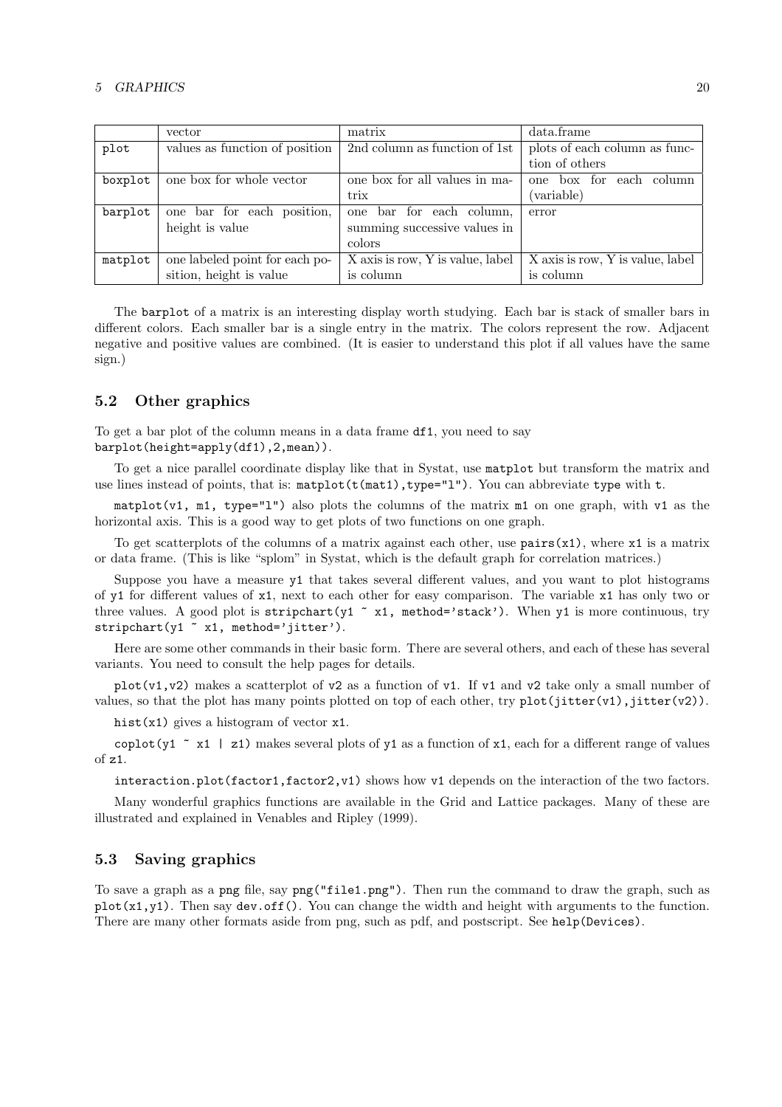|         | vector                         | matrix                               | data.frame                          |
|---------|--------------------------------|--------------------------------------|-------------------------------------|
| plot    | values as function of position | 2nd column as function of 1st        | plots of each column as func-       |
|         |                                |                                      | tion of others                      |
| boxplot | one box for whole vector       | one box for all values in ma-        | for<br>column<br>each<br>box<br>one |
|         |                                | trix                                 | (variable)                          |
| barplot | one bar for each position.     | column,<br>for<br>each<br>bar<br>one | error                               |
|         | height is value                | summing successive values in         |                                     |
|         |                                | colors                               |                                     |
| matplot | one labeled point for each po- | X axis is row, Y is value, label     | X axis is row, Y is value, label    |
|         | sition, height is value        | is column                            | is column                           |

The barplot of a matrix is an interesting display worth studying. Each bar is stack of smaller bars in different colors. Each smaller bar is a single entry in the matrix. The colors represent the row. Adjacent negative and positive values are combined. (It is easier to understand this plot if all values have the same sign.)

# 5.2 Other graphics

To get a bar plot of the column means in a data frame df1, you need to say barplot(height=apply(df1),2,mean)).

To get a nice parallel coordinate display like that in Systat, use matplot but transform the matrix and use lines instead of points, that is:  $\text{matplot}(t(\text{mat1}),type="1")$ . You can abbreviate type with t.

matplot(v1, m1, type="1") also plots the columns of the matrix m1 on one graph, with v1 as the horizontal axis. This is a good way to get plots of two functions on one graph.

To get scatterplots of the columns of a matrix against each other, use  $\text{pairs}(x1)$ , where x1 is a matrix or data frame. (This is like "splom" in Systat, which is the default graph for correlation matrices.)

Suppose you have a measure y1 that takes several different values, and you want to plot histograms of y1 for different values of x1, next to each other for easy comparison. The variable x1 has only two or three values. A good plot is  $\text{stripchart}(y1 \text{ x1}, \text{method='stack').}$  When y1 is more continuous, try stripchart(v1 ~ x1, method='iitter').

Here are some other commands in their basic form. There are several others, and each of these has several variants. You need to consult the help pages for details.

plot(v1,v2) makes a scatterplot of v2 as a function of v1. If v1 and v2 take only a small number of values, so that the plot has many points plotted on top of each other, try  $plot(jitter(v1),jitter(v2))$ .

hist $(x1)$  gives a histogram of vector  $x1$ .

coplot(y1  $\degree$  x1 | z1) makes several plots of y1 as a function of x1, each for a different range of values  $of$  z<sub>1</sub>

interaction.plot(factor1,factor2,v1) shows how v1 depends on the interaction of the two factors.

Many wonderful graphics functions are available in the Grid and Lattice packages. Many of these are illustrated and explained in Venables and Ripley (1999).

# 5.3 Saving graphics

To save a graph as a png file, say png("file1.png"). Then run the command to draw the graph, such as  $plot(x1,y1)$ . Then say dev.off(). You can change the width and height with arguments to the function. There are many other formats aside from png, such as pdf, and postscript. See help(Devices).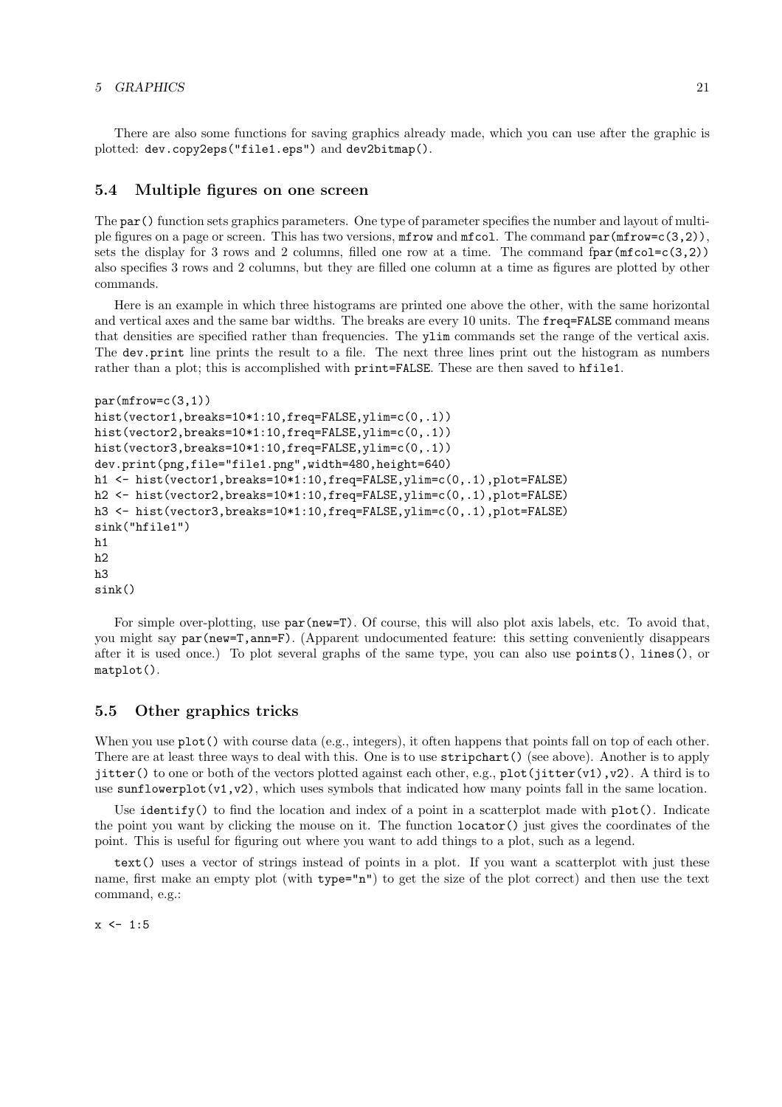### 5 GRAPHICS 21

There are also some functions for saving graphics already made, which you can use after the graphic is plotted: dev.copy2eps("file1.eps") and dev2bitmap().

### 5.4 Multiple figures on one screen

The par() function sets graphics parameters. One type of parameter specifies the number and layout of multiple figures on a page or screen. This has two versions, mfrow and mfcol. The command par(mfrow=c(3,2)), sets the display for 3 rows and 2 columns, filled one row at a time. The command fpar(mfcol=c(3,2)) also specifies 3 rows and 2 columns, but they are filled one column at a time as figures are plotted by other commands.

Here is an example in which three histograms are printed one above the other, with the same horizontal and vertical axes and the same bar widths. The breaks are every 10 units. The freq=FALSE command means that densities are specified rather than frequencies. The ylim commands set the range of the vertical axis. The dev.print line prints the result to a file. The next three lines print out the histogram as numbers rather than a plot; this is accomplished with **print=FALSE**. These are then saved to **hfile1**.

```
par(mfrow=c(3,1))hist(vector1,breaks=10*1:10,freq=FALSE,ylim=c(0,.1))
hist(vector2,breaks=10*1:10,freq=FALSE,ylim=c(0,.1))
hist(vector3,breaks=10*1:10,freq=FALSE,ylim=c(0,.1))
dev.print(png,file="file1.png",width=480,height=640)
h1 <- hist(vector1,breaks=10*1:10,freq=FALSE,ylim=c(0,.1),plot=FALSE)
h2 <- hist(vector2,breaks=10*1:10,freq=FALSE,ylim=c(0,.1),plot=FALSE)
h3 <- hist(vector3,breaks=10*1:10,freq=FALSE,ylim=c(0,.1),plot=FALSE)
sink("hfile1")
h1
h<sub>2</sub>h<sub>3</sub>sink()
```
For simple over-plotting, use  $par(new=T)$ . Of course, this will also plot axis labels, etc. To avoid that, you might say  $par(new=T,ann=F)$ . (Apparent undocumented feature: this setting conveniently disappears after it is used once.) To plot several graphs of the same type, you can also use points(), lines(), or matplot().

# 5.5 Other graphics tricks

When you use  $plot()$  with course data (e.g., integers), it often happens that points fall on top of each other. There are at least three ways to deal with this. One is to use stripchart() (see above). Another is to apply jitter() to one or both of the vectors plotted against each other, e.g.,  $plot(jitter(v1),v2)$ . A third is to use sunflowerplot(v1,v2), which uses symbols that indicated how many points fall in the same location.

Use identify() to find the location and index of a point in a scatterplot made with plot(). Indicate the point you want by clicking the mouse on it. The function locator() just gives the coordinates of the point. This is useful for figuring out where you want to add things to a plot, such as a legend.

text() uses a vector of strings instead of points in a plot. If you want a scatterplot with just these name, first make an empty plot (with type="n") to get the size of the plot correct) and then use the text command, e.g.:

 $x \leftarrow 1:5$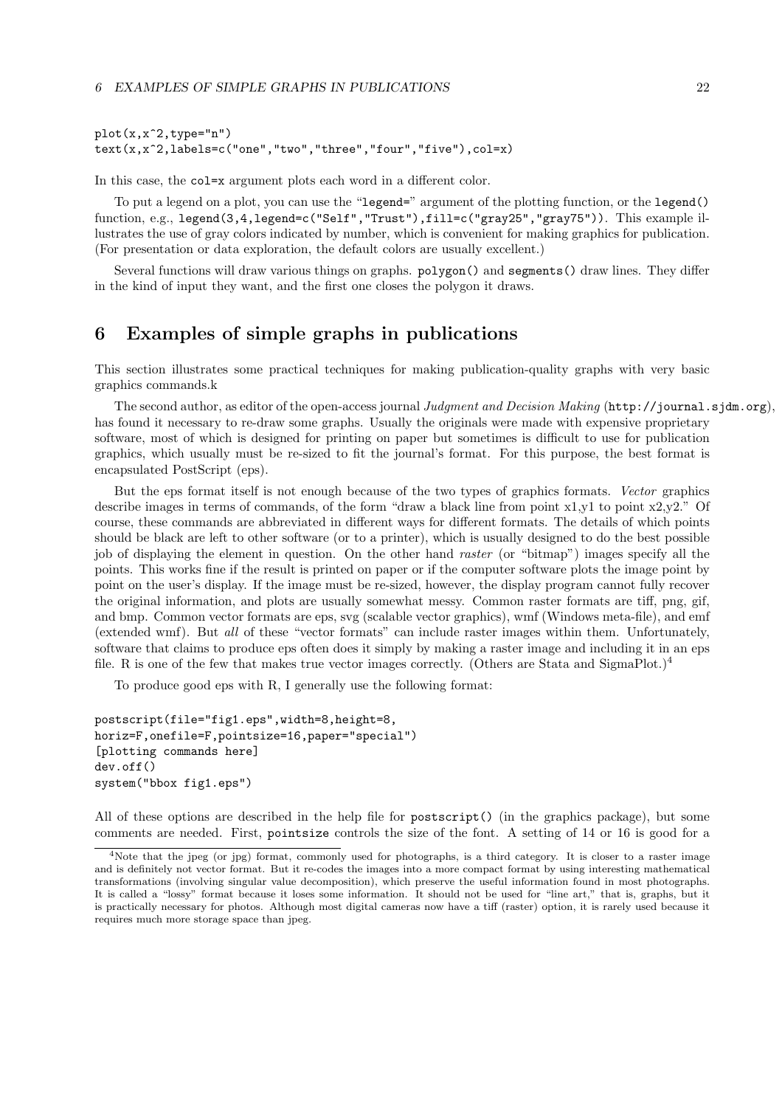```
plot(x,x^2,type="n")
text(x,x^2,labels=c("one","two","three","four","five"),col=x)
```
In this case, the col=x argument plots each word in a different color.

To put a legend on a plot, you can use the "legend=" argument of the plotting function, or the legend() function, e.g., legend(3,4,legend=c("Self","Trust"),fill=c("gray25","gray75")). This example illustrates the use of gray colors indicated by number, which is convenient for making graphics for publication. (For presentation or data exploration, the default colors are usually excellent.)

Several functions will draw various things on graphs. polygon() and segments() draw lines. They differ in the kind of input they want, and the first one closes the polygon it draws.

# 6 Examples of simple graphs in publications

This section illustrates some practical techniques for making publication-quality graphs with very basic graphics commands.k

The second author, as editor of the open-access journal Judgment and Decision Making (http://journal.sjdm.org), has found it necessary to re-draw some graphs. Usually the originals were made with expensive proprietary software, most of which is designed for printing on paper but sometimes is difficult to use for publication graphics, which usually must be re-sized to fit the journal's format. For this purpose, the best format is encapsulated PostScript (eps).

But the eps format itself is not enough because of the two types of graphics formats. Vector graphics describe images in terms of commands, of the form "draw a black line from point  $x1,y1$  to point  $x2,y2$ ." Of course, these commands are abbreviated in different ways for different formats. The details of which points should be black are left to other software (or to a printer), which is usually designed to do the best possible job of displaying the element in question. On the other hand raster (or "bitmap") images specify all the points. This works fine if the result is printed on paper or if the computer software plots the image point by point on the user's display. If the image must be re-sized, however, the display program cannot fully recover the original information, and plots are usually somewhat messy. Common raster formats are tiff, png, gif, and bmp. Common vector formats are eps, svg (scalable vector graphics), wmf (Windows meta-file), and emf (extended wmf). But all of these "vector formats" can include raster images within them. Unfortunately, software that claims to produce eps often does it simply by making a raster image and including it in an eps file. R is one of the few that makes true vector images correctly. (Others are Stata and SigmaPlot.)<sup>4</sup>

To produce good eps with R, I generally use the following format:

```
postscript(file="fig1.eps",width=8,height=8,
horiz=F,onefile=F,pointsize=16,paper="special")
[plotting commands here]
dev.off()
system("bbox fig1.eps")
```
All of these options are described in the help file for postscript() (in the graphics package), but some comments are needed. First, pointsize controls the size of the font. A setting of 14 or 16 is good for a

<sup>&</sup>lt;sup>4</sup>Note that the jpeg (or jpg) format, commonly used for photographs, is a third category. It is closer to a raster image and is definitely not vector format. But it re-codes the images into a more compact format by using interesting mathematical transformations (involving singular value decomposition), which preserve the useful information found in most photographs. It is called a "lossy" format because it loses some information. It should not be used for "line art," that is, graphs, but it is practically necessary for photos. Although most digital cameras now have a tiff (raster) option, it is rarely used because it requires much more storage space than ipeg.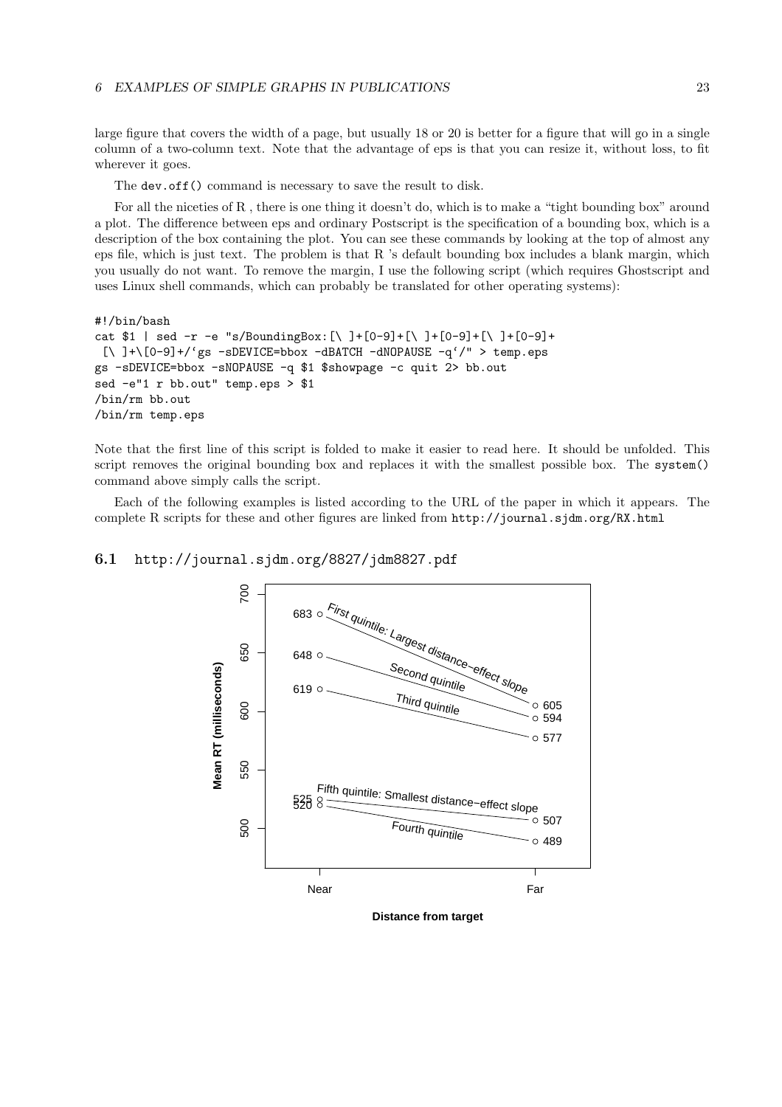large figure that covers the width of a page, but usually 18 or 20 is better for a figure that will go in a single column of a two-column text. Note that the advantage of eps is that you can resize it, without loss, to fit wherever it goes.

The dev.off() command is necessary to save the result to disk.

For all the niceties of R , there is one thing it doesn't do, which is to make a "tight bounding box" around a plot. The difference between eps and ordinary Postscript is the specification of a bounding box, which is a description of the box containing the plot. You can see these commands by looking at the top of almost any eps file, which is just text. The problem is that R 's default bounding box includes a blank margin, which you usually do not want. To remove the margin, I use the following script (which requires Ghostscript and uses Linux shell commands, which can probably be translated for other operating systems):

```
#!/bin/bash
cat $1 | sed -r -e "s/BoundingBox:[\ ]+[0-9]+[\ ]+[0-9]+[\ ]+[0-9]+
 [\ ] + \left[0 - 9\right] +/'gs -sDEVICE=bbox -dBATCH -dNOPAUSE -q'/" > temp.eps
gs -sDEVICE=bbox -sNOPAUSE -q $1 $showpage -c quit 2> bb.out
sed -e"1 r bb.out" temp.eps > $1
/bin/rm bb.out
/bin/rm temp.eps
```
Note that the first line of this script is folded to make it easier to read here. It should be unfolded. This script removes the original bounding box and replaces it with the smallest possible box. The system() command above simply calls the script.

Each of the following examples is listed according to the URL of the paper in which it appears. The complete R scripts for these and other figures are linked from http://journal.sjdm.org/RX.html



# 6.1 http://journal.sjdm.org/8827/jdm8827.pdf

**Distance from target**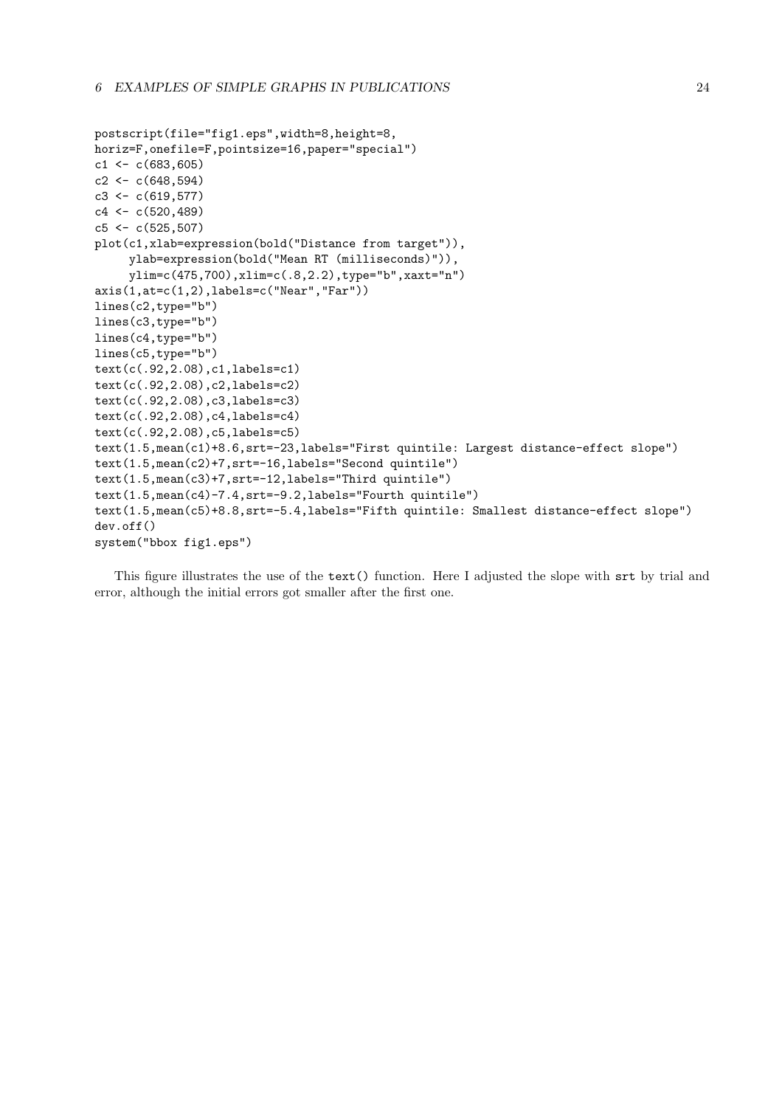```
postscript(file="fig1.eps",width=8,height=8,
horiz=F,onefile=F,pointsize=16,paper="special")
c1 \leftarrow c(683, 605)c2 \leftarrow c(648, 594)c3 \leftarrow c(619.577)c4 \leftarrow c(520, 489)c5 < -c(525, 507)plot(c1,xlab=expression(bold("Distance from target")),
     ylab=expression(bold("Mean RT (milliseconds)")),
     ylim=c(475,700),xlim=c(.8,2.2),type="b",xaxt="n")
axis(1,at=c(1,2),labels=c("Near","Far"))
lines(c2,type="b")
lines(c3,type="b")
lines(c4,type="b")
lines(c5,type="b")
text(c(.92,2.08),c1,labels=c1)
text(c(.92,2.08),c2,labels=c2)
text(c(.92,2.08),c3,labels=c3)
text(c(.92,2.08),c4,labels=c4)
text(c(.92,2.08),c5,labels=c5)
text(1.5,mean(c1)+8.6,srt=-23,labels="First quintile: Largest distance-effect slope")
text(1.5,mean(c2)+7,srt=-16,labels="Second quintile")
text(1.5,mean(c3)+7,srt=-12,labels="Third quintile")
text(1.5,mean(c4)-7.4,srt=-9.2,labels="Fourth quintile")
text(1.5,mean(c5)+8.8,srt=-5.4,labels="Fifth quintile: Smallest distance-effect slope")
dev.off()
system("bbox fig1.eps")
```
This figure illustrates the use of the text() function. Here I adjusted the slope with srt by trial and error, although the initial errors got smaller after the first one.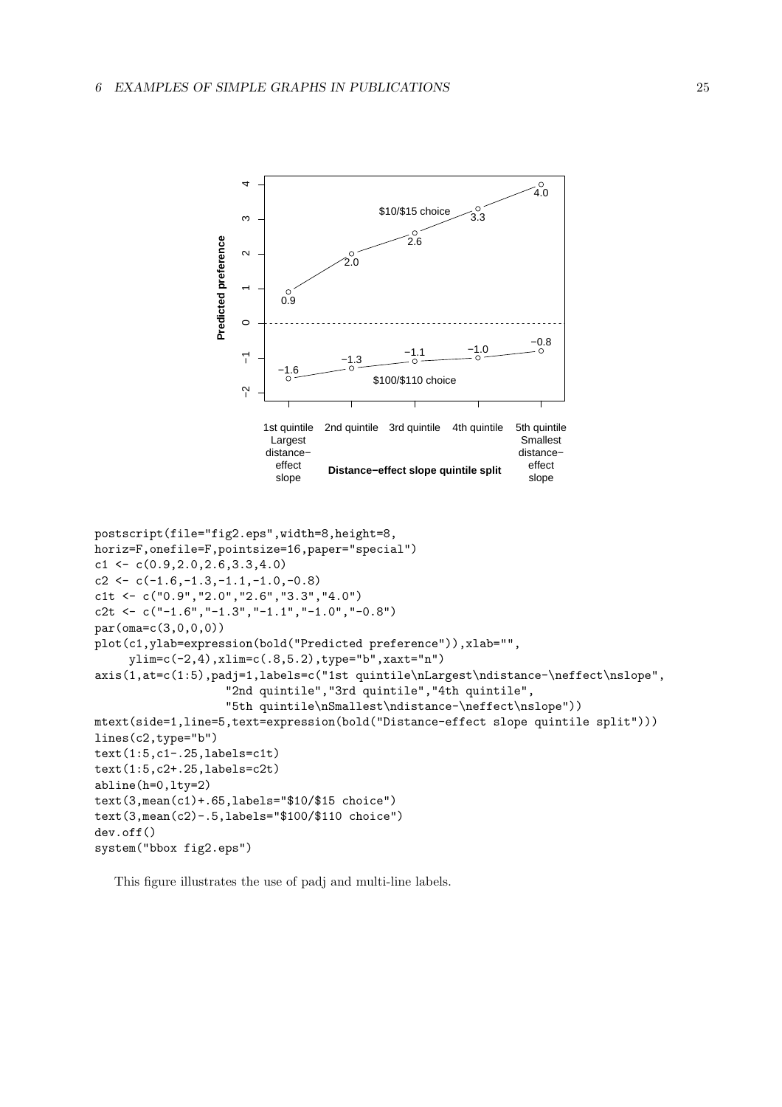

This figure illustrates the use of padj and multi-line labels.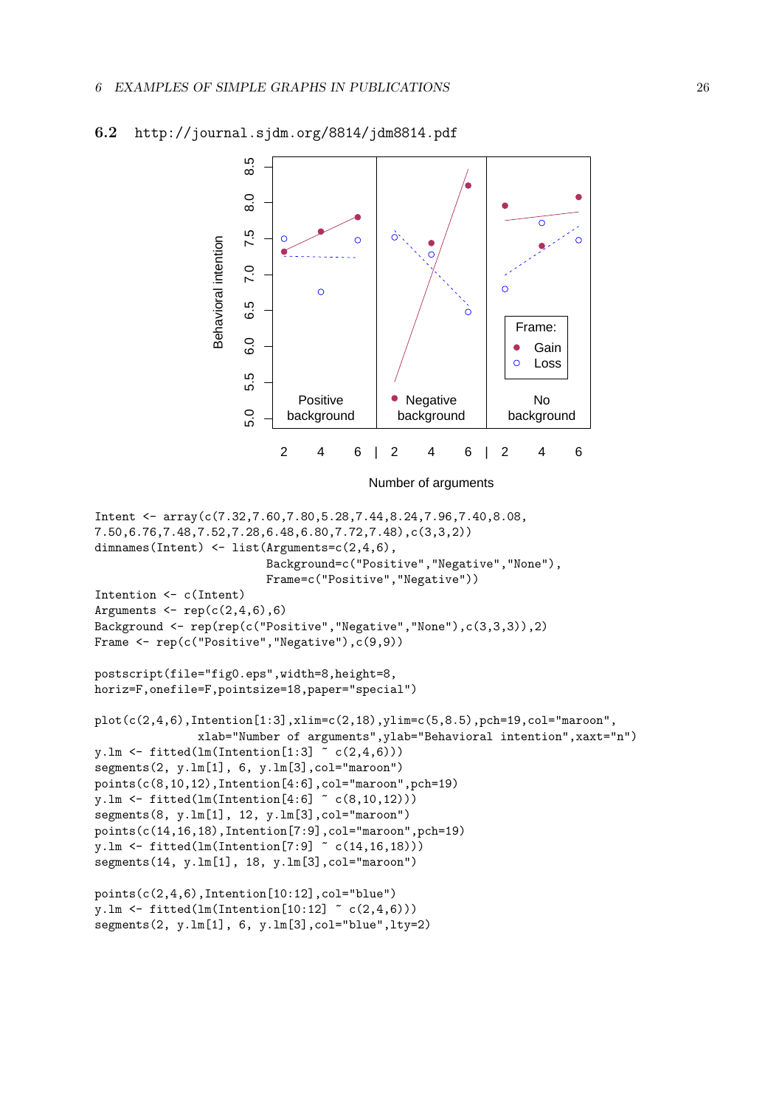

6.2 http://journal.sjdm.org/8814/jdm8814.pdf

Number of arguments

```
Intent <- array(c(7.32,7.60,7.80,5.28,7.44,8.24,7.96,7.40,8.08,
7.50,6.76,7.48,7.52,7.28,6.48,6.80,7.72,7.48),c(3,3,2))
dimnames(Intent) <- list(Arguments=c(2,4,6),
                           Background=c("Positive","Negative","None"),
                           Frame=c("Positive","Negative"))
Intention <- c(Intent)
Arguments \leftarrow \text{rep}(c(2,4,6),6)Background <- rep(rep(c("Positive","Negative","None"),c(3,3,3)),2)
Frame <- rep(c("Positive","Negative"),c(9,9))
postscript(file="fig0.eps",width=8,height=8,
horiz=F,onefile=F,pointsize=18,paper="special")
plot(c(2,4,6),Intention[1:3],xlim=c(2,18),ylim=c(5,8.5),pch=19,col="maroon",
                xlab="Number of arguments",ylab="Behavioral intention",xaxt="n")
y.lm \leftarrow fitted(lm(Intention[1:3] \sim c(2,4,6)))
segments(2, y.lm[1], 6, y.lm[3],col="maroon")
points(c(8,10,12),Intention[4:6],col="maroon",pch=19)
y.lm \leftarrow \text{fitted}(\text{Im}(\text{Intention}[4:6] \text{ } ^\circ \text{ } c(8,10,12)))segments(8, y.lm[1], 12, y.lm[3],col="maroon")
points(c(14,16,18),Intention[7:9],col="maroon",pch=19)
y.lm \leftarrow fitted(lm(Intention[7:9] \sim c(14,16,18)))
segments(14, y.lm[1], 18, y.lm[3],col="maroon")
points(c(2,4,6),Intention[10:12],col="blue")
y.lm \leftarrow fitted(lm(Intention[10:12] \sim c(2,4,6)))
```

```
segments(2, y.lm[1], 6, y.lm[3],col="blue",lty=2)
```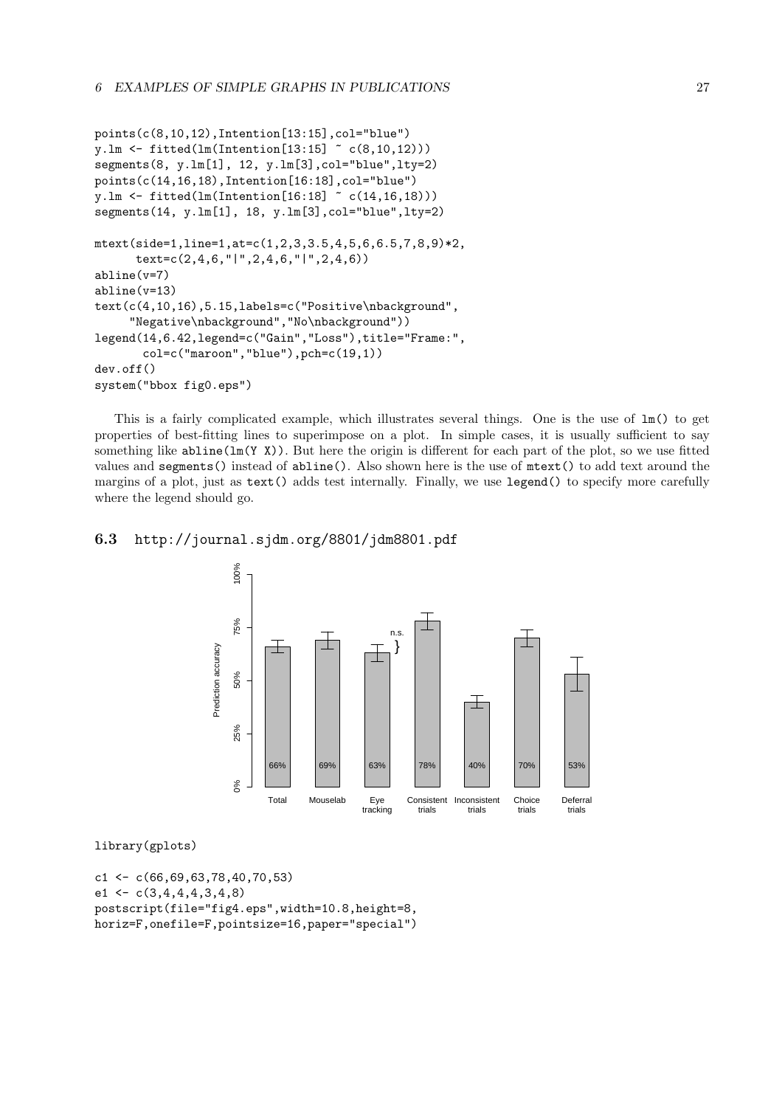```
points(c(8,10,12),Intention[13:15],col="blue")
y.lm <- fitted(lm(Intention[13:15] ~ c(8,10,12)))
segments(8, y.lm[1], 12, y.lm[3],col="blue",lty=2)
points(c(14,16,18),Intention[16:18],col="blue")
v.lm \leftarrow \text{fitted}(\text{Im}(\text{Intention}[16:18] \text{ } ^\circ \text{ } c(14.16.18)))segments(14, y.lm[1], 18, y.lm[3],col="blue",lty=2)
mtext(side=1,line=1,at=c(1,2,3,3.5,4,5,6,6.5,7,8,9)*2,
      text=c(2,4,6,"|",2,4,6,"|",2,4,6))
abline(v=7)
abline(v=13)
text(c(4,10,16),5.15,labels=c("Positive\nbackground",
     "Negative\nbackground","No\nbackground"))
legend(14,6.42,legend=c("Gain","Loss"),title="Frame:",
       col=c("maroon","blue"),pch=c(19,1))
dev.off()
system("bbox fig0.eps")
```
This is a fairly complicated example, which illustrates several things. One is the use of lm() to get properties of best-fitting lines to superimpose on a plot. In simple cases, it is usually sufficient to say something like abline(lm(Y X)). But here the origin is different for each part of the plot, so we use fitted values and segments() instead of abline(). Also shown here is the use of mtext() to add text around the margins of a plot, just as text() adds test internally. Finally, we use legend() to specify more carefully where the legend should go.



# 6.3 http://journal.sjdm.org/8801/jdm8801.pdf

library(gplots)

```
c1 \leftarrow c(66, 69, 63, 78, 40, 70, 53)e1 \leftarrow c(3,4,4,4,3,4,8)postscript(file="fig4.eps",width=10.8,height=8,
horiz=F,onefile=F,pointsize=16,paper="special")
```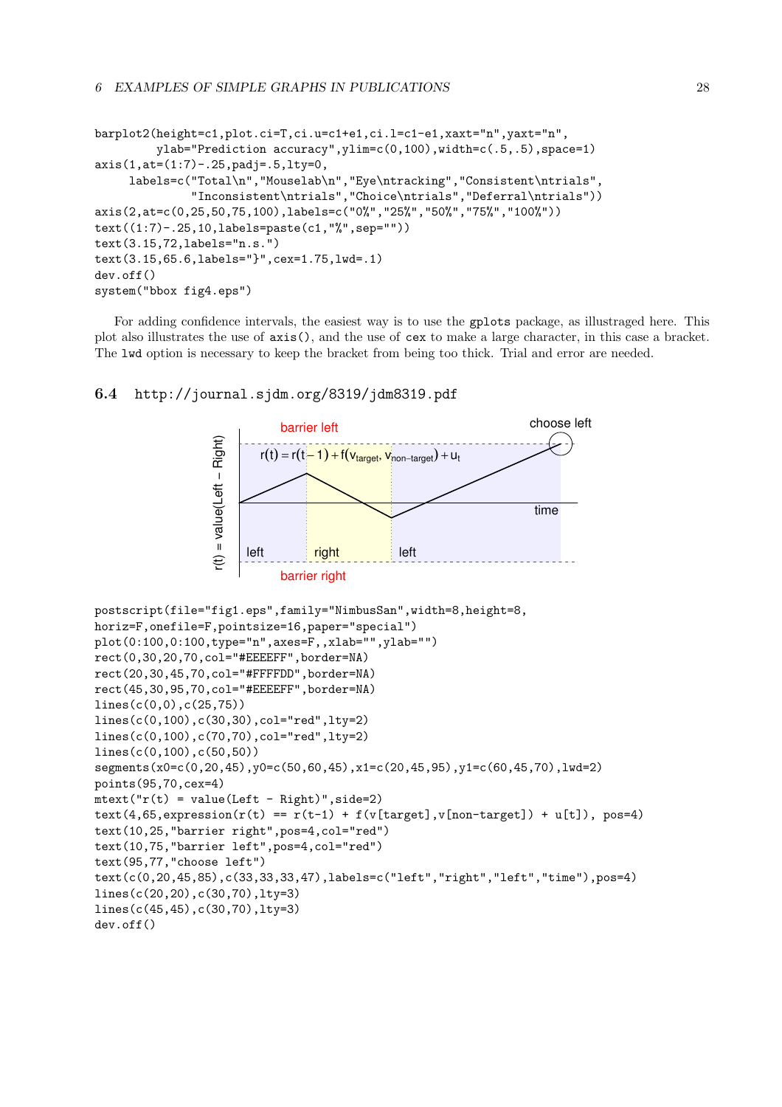```
barplot2(height=c1,plot.ci=T,ci.u=c1+e1,ci.l=c1-e1,xaxt="n",yaxt="n",
         ylab="Prediction accuracy",ylim=c(0,100),width=c(.5,.5),space=1)
axis(1,at=(1:7)-.25,padj=.5,lty=0,
     labels=c("Total\n","Mouselab\n","Eye\ntracking","Consistent\ntrials",
              "Inconsistent\ntrials","Choice\ntrials","Deferral\ntrials"))
axis(2,at=c(0,25,50,75,100),labels=c("0%","25%","50%","75%","100%"))
text((1:7)-.25,10,labels=paste(c1,"%",sep=""))
text(3.15,72,labels="n.s.")
text(3.15,65.6,labels="}",cex=1.75,lwd=.1)
dev.off()
system("bbox fig4.eps")
```
For adding confidence intervals, the easiest way is to use the gplots package, as illustraged here. This plot also illustrates the use of axis(), and the use of cex to make a large character, in this case a bracket. The lwd option is necessary to keep the bracket from being too thick. Trial and error are needed.



# 6.4 http://journal.sjdm.org/8319/jdm8319.pdf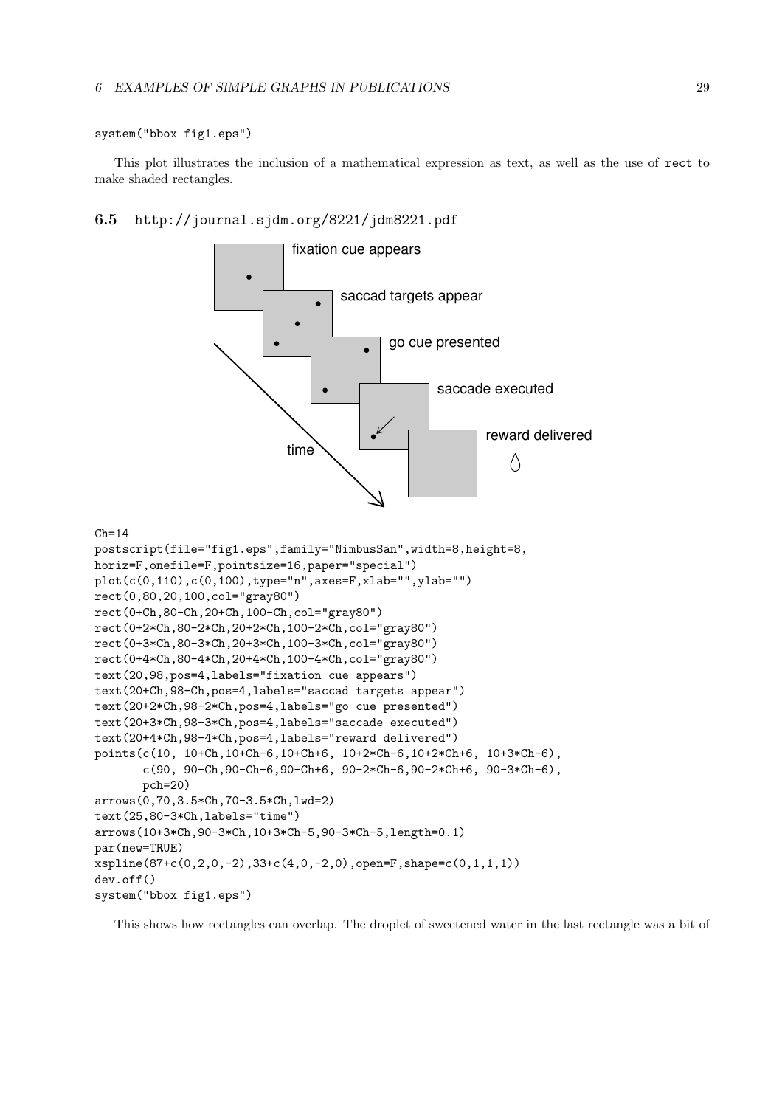### system("bbox fig1.eps")

 $Ch=14$ 

This plot illustrates the inclusion of a mathematical expression as text, as well as the use of rect to make shaded rectangles.

# 6.5 http://journal.sjdm.org/8221/jdm8221.pdf



```
arrows(0,70,3.5*Ch,70-3.5*Ch,lwd=2)
text(25,80-3*Ch,labels="time")
arrows(10+3*Ch,90-3*Ch,10+3*Ch-5,90-3*Ch-5,length=0.1)
par(new=TRUE)
xsplitne(87+c(0,2,0,-2),33+c(4,0,-2,0),open=F,shape=c(0,1,1,1))dev.off()
system("bbox fig1.eps")
```
This shows how rectangles can overlap. The droplet of sweetened water in the last rectangle was a bit of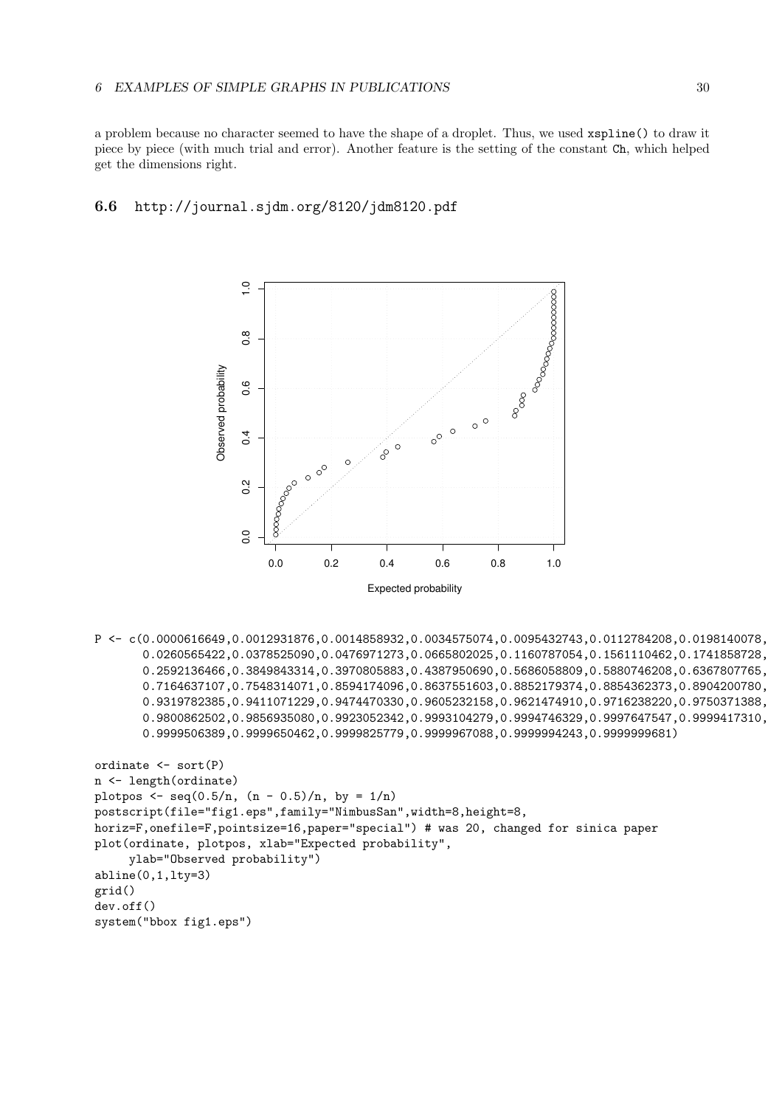a problem because no character seemed to have the shape of a droplet. Thus, we used xspline() to draw it piece by piece (with much trial and error). Another feature is the setting of the constant Ch, which helped get the dimensions right.

# 6.6 http://journal.sjdm.org/8120/jdm8120.pdf



```
P <- c(0.0000616649,0.0012931876,0.0014858932,0.0034575074,0.0095432743,0.0112784208,0.0198140078,
       0.0260565422,0.0378525090,0.0476971273,0.0665802025,0.1160787054,0.1561110462,0.1741858728,
       0.2592136466,0.3849843314,0.3970805883,0.4387950690,0.5686058809,0.5880746208,0.6367807765,
       0.7164637107,0.7548314071,0.8594174096,0.8637551603,0.8852179374,0.8854362373,0.8904200780,
       0.9319782385,0.9411071229,0.9474470330,0.9605232158,0.9621474910,0.9716238220,0.9750371388,
       0.9800862502,0.9856935080,0.9923052342,0.9993104279,0.9994746329,0.9997647547,0.9999417310,
       0.9999506389,0.9999650462,0.9999825779,0.9999967088,0.9999994243,0.9999999681)
ordinate <- sort(P)
```

```
n <- length(ordinate)
plotpos <- seq(0.5/n, (n - 0.5)/n, by = 1/n)postscript(file="fig1.eps",family="NimbusSan",width=8,height=8,
horiz=F,onefile=F,pointsize=16,paper="special") # was 20, changed for sinica paper
plot(ordinate, plotpos, xlab="Expected probability",
     ylab="Observed probability")
abline(0,1,lty=3)
grid()
dev.off()
system("bbox fig1.eps")
```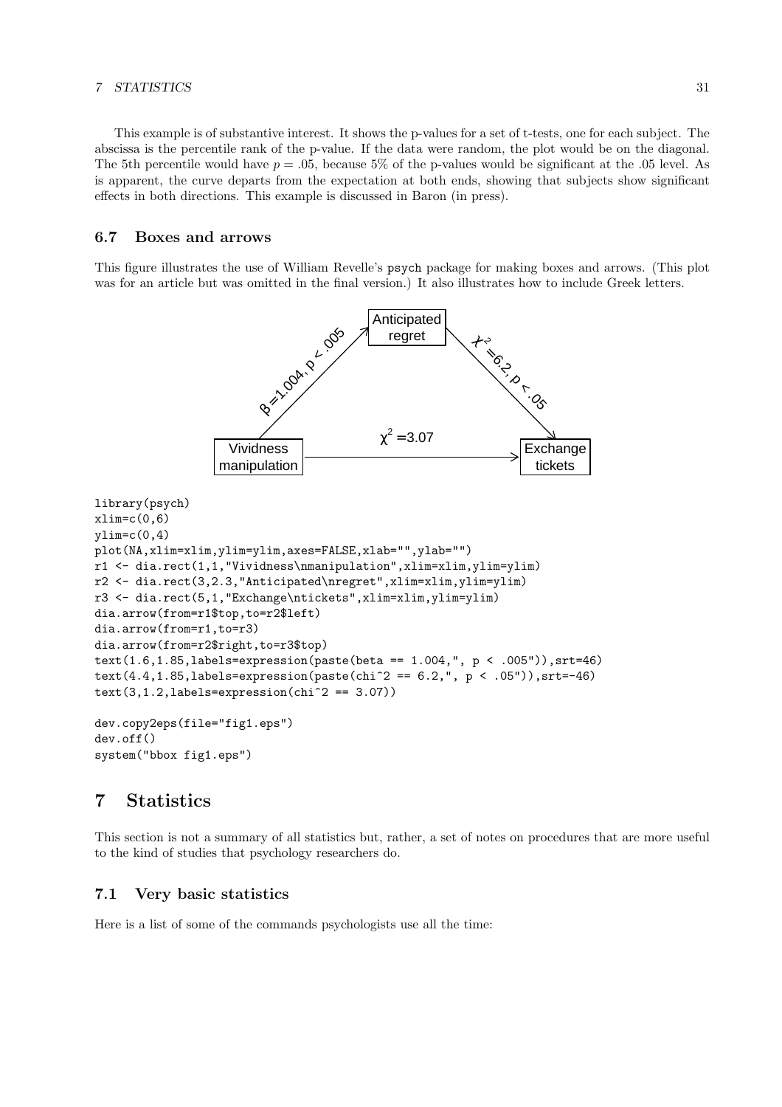### 7 STATISTICS 31

This example is of substantive interest. It shows the p-values for a set of t-tests, one for each subject. The abscissa is the percentile rank of the p-value. If the data were random, the plot would be on the diagonal. The 5th percentile would have  $p = .05$ , because 5% of the p-values would be significant at the .05 level. As is apparent, the curve departs from the expectation at both ends, showing that subjects show significant effects in both directions. This example is discussed in Baron (in press).

# 6.7 Boxes and arrows

This figure illustrates the use of William Revelle's psych package for making boxes and arrows. (This plot was for an article but was omitted in the final version.) It also illustrates how to include Greek letters.



# 7 Statistics

This section is not a summary of all statistics but, rather, a set of notes on procedures that are more useful to the kind of studies that psychology researchers do.

# 7.1 Very basic statistics

Here is a list of some of the commands psychologists use all the time: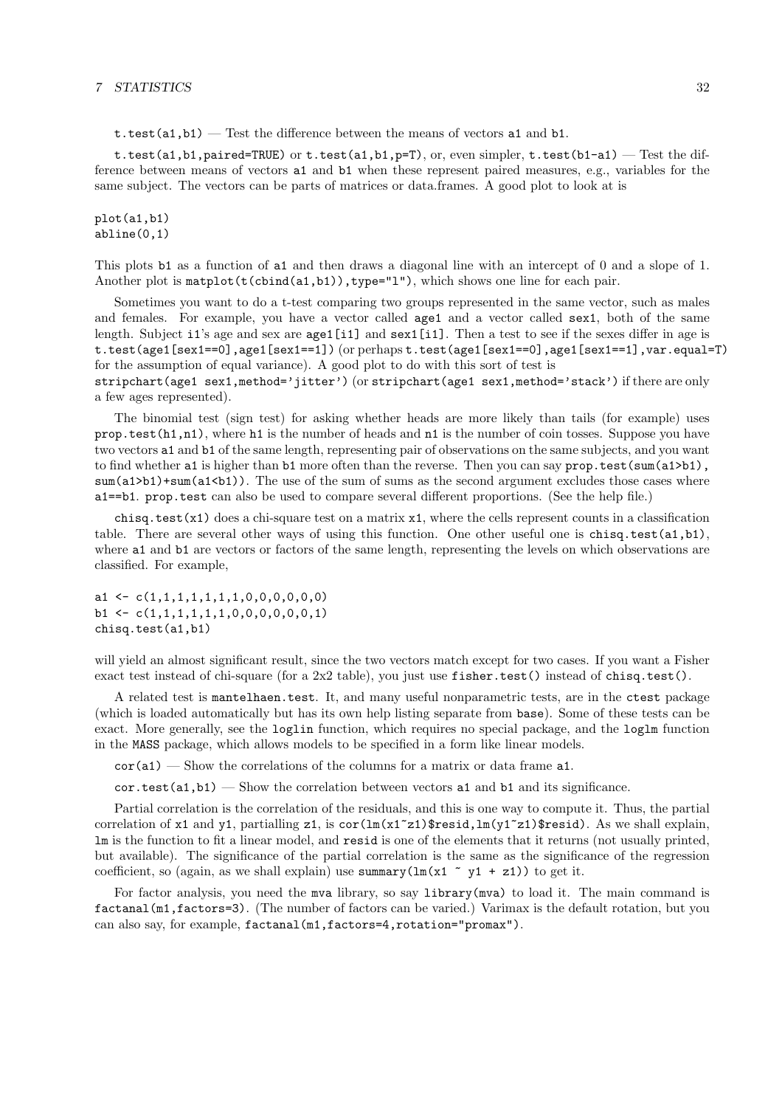t.test(a1,b1) — Test the difference between the means of vectors a1 and b1.

 $t.test(a1,b1,paired=TRUE)$  or  $t.test(a1,b1,p=T)$ , or, even simpler,  $t.test(b1-a1)$  – Test the difference between means of vectors a1 and b1 when these represent paired measures, e.g., variables for the same subject. The vectors can be parts of matrices or data.frames. A good plot to look at is

# plot(a1,b1)  $abline(0,1)$

This plots b1 as a function of a1 and then draws a diagonal line with an intercept of 0 and a slope of 1. Another plot is  $\texttt{match}(\texttt{t}(\texttt{cbind(a1,b1)}), \texttt{type="1"}),$  which shows one line for each pair.

Sometimes you want to do a t-test comparing two groups represented in the same vector, such as males and females. For example, you have a vector called age1 and a vector called sex1, both of the same length. Subject i1's age and sex are age1[i1] and sex1[i1]. Then a test to see if the sexes differ in age is t.test(age1[sex1==0],age1[sex1==1]) (or perhaps t.test(age1[sex1==0],age1[sex1==1],var.equal=T) for the assumption of equal variance). A good plot to do with this sort of test is stripchart(age1 sex1,method='jitter') (or stripchart(age1 sex1,method='stack') if there are only a few ages represented).

The binomial test (sign test) for asking whether heads are more likely than tails (for example) uses prop.test(h1,n1), where h1 is the number of heads and n1 is the number of coin tosses. Suppose you have two vectors a1 and b1 of the same length, representing pair of observations on the same subjects, and you want to find whether a1 is higher than b1 more often than the reverse. Then you can say prop.test(sum(a1>b1), sum(a1>b1)+sum(a1<br/>>b1). The use of the sum of sums as the second argument excludes those cases where a1==b1. prop.test can also be used to compare several different proportions. (See the help file.)

chisq.test $(x1)$  does a chi-square test on a matrix  $x1$ , where the cells represent counts in a classification table. There are several other ways of using this function. One other useful one is chisq.test(a1,b1), where a1 and b1 are vectors or factors of the same length, representing the levels on which observations are classified. For example,

```
a1 \leftarrow c(1,1,1,1,1,1,1,0,0,0,0,0,0)b1 \leftarrow c(1,1,1,1,1,1,0,0,0,0,0,0,1)chisq.test(a1,b1)
```
will yield an almost significant result, since the two vectors match except for two cases. If you want a Fisher exact test instead of chi-square (for a 2x2 table), you just use fisher.test() instead of chisq.test().

A related test is mantelhaen.test. It, and many useful nonparametric tests, are in the ctest package (which is loaded automatically but has its own help listing separate from base). Some of these tests can be exact. More generally, see the loglin function, which requires no special package, and the loglm function in the MASS package, which allows models to be specified in a form like linear models.

 $\cot(\alpha)$  — Show the correlations of the columns for a matrix or data frame  $\alpha$ 1.

 $\text{cor.test}(a1,b1)$  — Show the correlation between vectors a1 and b1 and its significance.

Partial correlation is the correlation of the residuals, and this is one way to compute it. Thus, the partial correlation of x1 and y1, partialling z1, is  $\text{cor}(\ln(\text{xi}^{\text{new}}))$  fresid,  $\ln(\text{y1}^{\text{new}})$  fresid). As we shall explain, lm is the function to fit a linear model, and resid is one of the elements that it returns (not usually printed, but available). The significance of the partial correlation is the same as the significance of the regression coefficient, so (again, as we shall explain) use summary( $\ln(x_1 \sim y_1 + z_1)$ ) to get it.

For factor analysis, you need the mva library, so say library(mva) to load it. The main command is factanal(m1,factors=3). (The number of factors can be varied.) Varimax is the default rotation, but you can also say, for example, factanal(m1,factors=4,rotation="promax").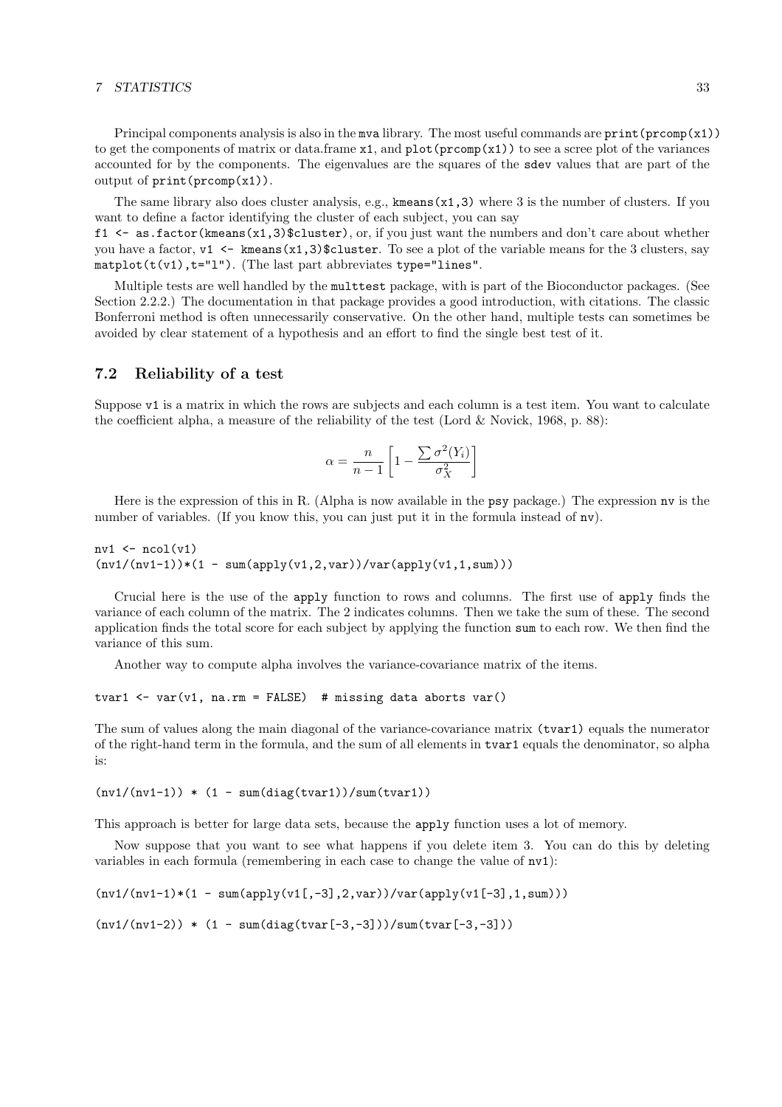### 7 STATISTICS 33

Principal components analysis is also in the mva library. The most useful commands are  $print(prcomp(x1))$ to get the components of matrix or data.frame  $x1$ , and  $plot(prcomp(x1))$  to see a scree plot of the variances accounted for by the components. The eigenvalues are the squares of the sdev values that are part of the output of print(prcomp(x1)).

The same library also does cluster analysis, e.g., kmeans( $x1,3$ ) where 3 is the number of clusters. If you want to define a factor identifying the cluster of each subject, you can say

f1 <- as.factor(kmeans(x1,3)\$cluster), or, if you just want the numbers and don't care about whether you have a factor,  $v1 \leq -$  kmeans(x1,3) \$cluster. To see a plot of the variable means for the 3 clusters, say  $m$ atplot(t(v1), t="1"). (The last part abbreviates type="lines".

Multiple tests are well handled by the multtest package, with is part of the Bioconductor packages. (See Section 2.2.2.) The documentation in that package provides a good introduction, with citations. The classic Bonferroni method is often unnecessarily conservative. On the other hand, multiple tests can sometimes be avoided by clear statement of a hypothesis and an effort to find the single best test of it.

### 7.2 Reliability of a test

Suppose v1 is a matrix in which the rows are subjects and each column is a test item. You want to calculate the coefficient alpha, a measure of the reliability of the test (Lord & Novick, 1968, p. 88):

$$
\alpha = \frac{n}{n-1} \left[ 1 - \frac{\sum \sigma^2(Y_i)}{\sigma_X^2} \right]
$$

Here is the expression of this in R. (Alpha is now available in the psy package.) The expression nv is the number of variables. (If you know this, you can just put it in the formula instead of  $nv$ ).

 $nv1 \leftarrow ncol(v1)$  $(nv1/(nv1-1)*(1 - sum(apply(v1,2,var))/var(apply(v1,1,sum)))$ 

Crucial here is the use of the apply function to rows and columns. The first use of apply finds the variance of each column of the matrix. The 2 indicates columns. Then we take the sum of these. The second application finds the total score for each subject by applying the function sum to each row. We then find the variance of this sum.

Another way to compute alpha involves the variance-covariance matrix of the items.

```
tvar1 \leftarrow var(v1, na.rm = FALSE) # missing data aborts var()
```
The sum of values along the main diagonal of the variance-covariance matrix (tvar1) equals the numerator of the right-hand term in the formula, and the sum of all elements in tvar1 equals the denominator, so alpha is:

 $(nv1/(nv1-1)) * (1 - sum(diag(tvar1))/sum(tvar1))$ 

This approach is better for large data sets, because the apply function uses a lot of memory.

Now suppose that you want to see what happens if you delete item 3. You can do this by deleting variables in each formula (remembering in each case to change the value of nv1):

```
(nv1/(nv1-1)*(1 - sum(apply(v1[, -3], 2, var))/var(apply(v1[-3], 1, sum)))
```
 $(nv1/(nv1-2)) * (1 - sum(diag(tvar[-3,-3]))/sum(tvar[-3,-3]))$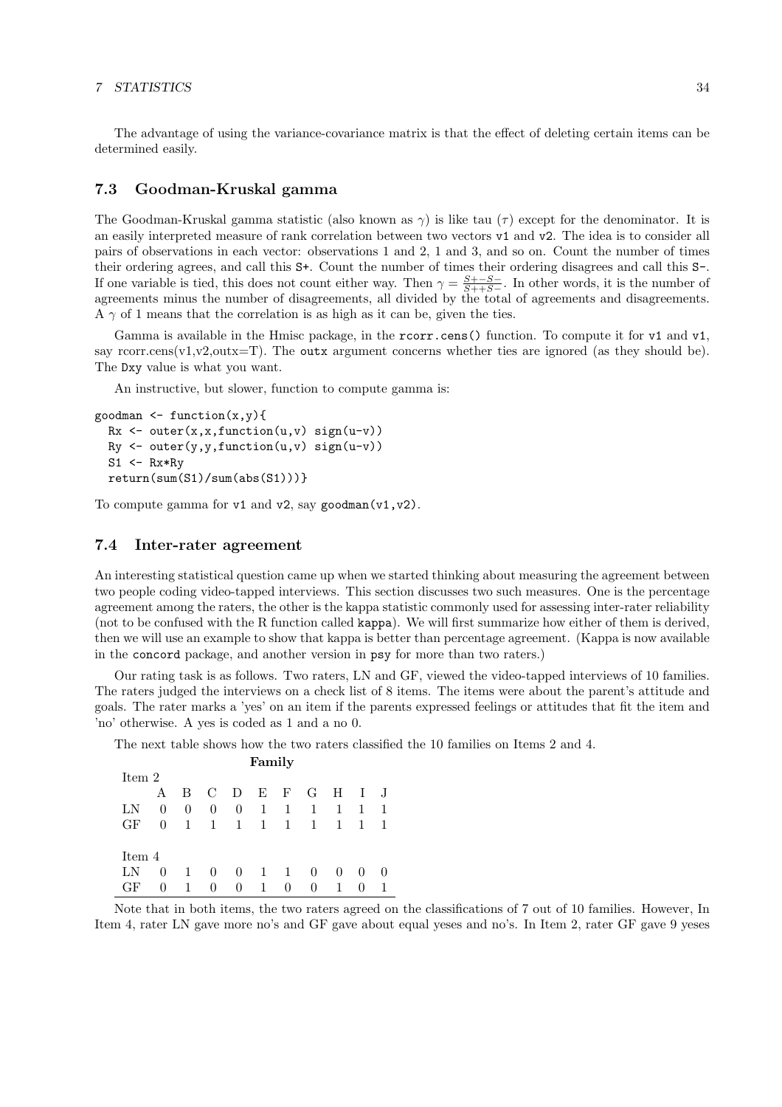The advantage of using the variance-covariance matrix is that the effect of deleting certain items can be determined easily.

# 7.3 Goodman-Kruskal gamma

The Goodman-Kruskal gamma statistic (also known as  $\gamma$ ) is like tau ( $\tau$ ) except for the denominator. It is an easily interpreted measure of rank correlation between two vectors v1 and v2. The idea is to consider all pairs of observations in each vector: observations 1 and 2, 1 and 3, and so on. Count the number of times their ordering agrees, and call this S+. Count the number of times their ordering disagrees and call this S-. If one variable is tied, this does not count either way. Then  $\gamma = \frac{S+ - S-}{S+ + S-}$ . In other words, it is the number of agreements minus the number of disagreements, all divided by the total of agreements and disagreements. A  $\gamma$  of 1 means that the correlation is as high as it can be, given the ties.

Gamma is available in the Hmisc package, in the rcorr.cens() function. To compute it for  $v1$  and  $v1$ , say rcorr.cens(v1,v2,outx=T). The outx argument concerns whether ties are ignored (as they should be). The Dxy value is what you want.

An instructive, but slower, function to compute gamma is:

```
goodman \leq function(x,y){
  Rx \leftarrow outer(x, x, function(u, v) sign(u-v))Ry \leftarrow outer(y, y, function(u, v) sign(u-v))S1 <- Rx*Rvreturn(sum(S1)/sum(abs(S1)))}
```
To compute gamma for  $v1$  and  $v2$ , say goodman( $v1$ ,  $v2$ ).

# 7.4 Inter-rater agreement

An interesting statistical question came up when we started thinking about measuring the agreement between two people coding video-tapped interviews. This section discusses two such measures. One is the percentage agreement among the raters, the other is the kappa statistic commonly used for assessing inter-rater reliability (not to be confused with the R function called kappa). We will first summarize how either of them is derived, then we will use an example to show that kappa is better than percentage agreement. (Kappa is now available in the concord package, and another version in psy for more than two raters.)

Our rating task is as follows. Two raters, LN and GF, viewed the video-tapped interviews of 10 families. The raters judged the interviews on a check list of 8 items. The items were about the parent's attitude and goals. The rater marks a 'yes' on an item if the parents expressed feelings or attitudes that fit the item and 'no' otherwise. A yes is coded as 1 and a no 0.

The next table shows how the two raters classified the 10 families on Items 2 and 4.

|        | Family   |   |   |              |                                       |   |   |          |          |          |  |  |  |  |  |
|--------|----------|---|---|--------------|---------------------------------------|---|---|----------|----------|----------|--|--|--|--|--|
| Item 2 |          |   |   |              |                                       |   |   |          |          |          |  |  |  |  |  |
|        | A        | B | С | D            | E                                     | F | G | Η        | T        | J        |  |  |  |  |  |
| LN     | $\theta$ | 0 | 0 | 0            | 1                                     | 1 | 1 | 1        | 1        | 1        |  |  |  |  |  |
| GF     | 0        | 1 | 1 | $\mathbf{1}$ | 1<br>$\mathbf{1}$<br>1<br>1<br>1<br>1 |   |   |          |          |          |  |  |  |  |  |
| Item 4 |          |   |   |              |                                       |   |   |          |          |          |  |  |  |  |  |
| LN     | 0        | 1 | 0 | 0            | $\mathbf{1}$                          | 1 | 0 | $\Omega$ | $\theta$ | $\theta$ |  |  |  |  |  |
| GF     | $\Omega$ | 1 | 0 | 0            | 1                                     | 0 | 0 | 1        | $\Omega$ |          |  |  |  |  |  |

Note that in both items, the two raters agreed on the classifications of 7 out of 10 families. However, In Item 4, rater LN gave more no's and GF gave about equal yeses and no's. In Item 2, rater GF gave 9 yeses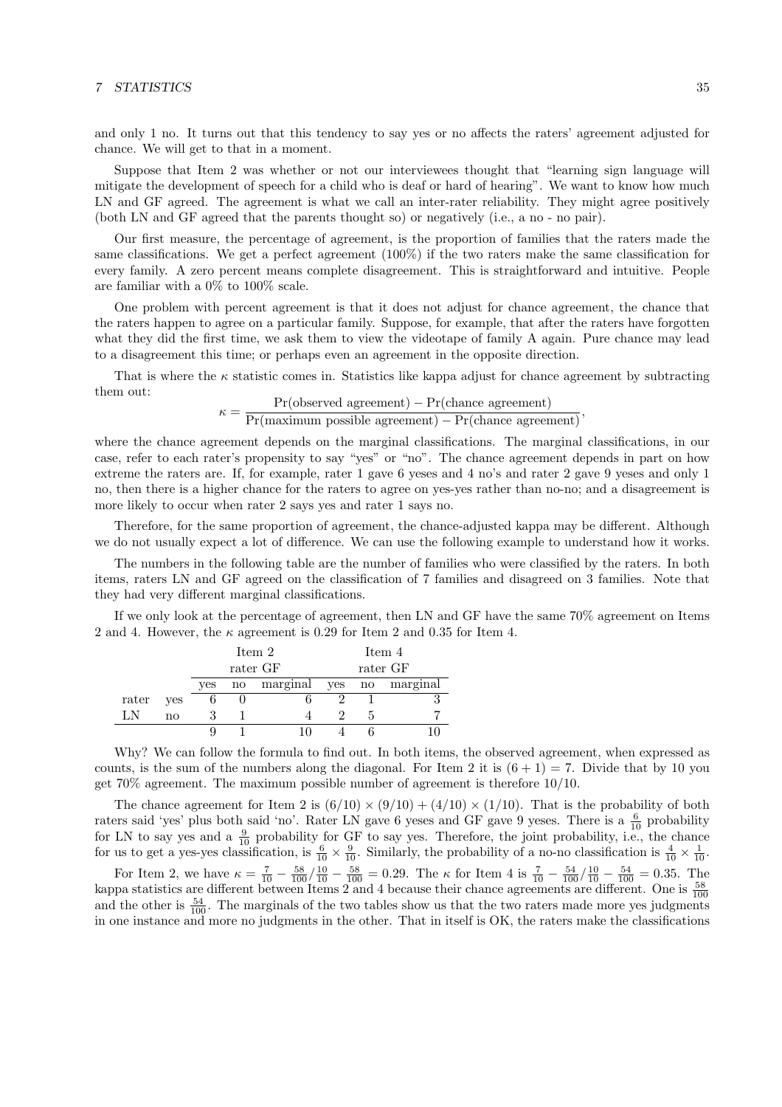### 7 STATISTICS 35

and only 1 no. It turns out that this tendency to say yes or no affects the raters' agreement adjusted for chance. We will get to that in a moment.

Suppose that Item 2 was whether or not our interviewees thought that "learning sign language will mitigate the development of speech for a child who is deaf or hard of hearing". We want to know how much LN and GF agreed. The agreement is what we call an inter-rater reliability. They might agree positively (both LN and GF agreed that the parents thought so) or negatively (i.e., a no - no pair).

Our first measure, the percentage of agreement, is the proportion of families that the raters made the same classifications. We get a perfect agreement (100%) if the two raters make the same classification for every family. A zero percent means complete disagreement. This is straightforward and intuitive. People are familiar with a 0% to 100% scale.

One problem with percent agreement is that it does not adjust for chance agreement, the chance that the raters happen to agree on a particular family. Suppose, for example, that after the raters have forgotten what they did the first time, we ask them to view the videotape of family A again. Pure chance may lead to a disagreement this time; or perhaps even an agreement in the opposite direction.

That is where the  $\kappa$  statistic comes in. Statistics like kappa adjust for chance agreement by subtracting them out:

$$
\kappa = \frac{\Pr(\text{observed agreement}) - \Pr(\text{chance agreement})}{\Pr(\text{maximum possible agreement}) - \Pr(\text{chance agreement})},
$$

where the chance agreement depends on the marginal classifications. The marginal classifications, in our case, refer to each rater's propensity to say "yes" or "no". The chance agreement depends in part on how extreme the raters are. If, for example, rater 1 gave 6 yeses and 4 no's and rater 2 gave 9 yeses and only 1 no, then there is a higher chance for the raters to agree on yes-yes rather than no-no; and a disagreement is more likely to occur when rater 2 says yes and rater 1 says no.

Therefore, for the same proportion of agreement, the chance-adjusted kappa may be different. Although we do not usually expect a lot of difference. We can use the following example to understand how it works.

The numbers in the following table are the number of families who were classified by the raters. In both items, raters LN and GF agreed on the classification of 7 families and disagreed on 3 families. Note that they had very different marginal classifications.

If we only look at the percentage of agreement, then LN and GF have the same 70% agreement on Items 2 and 4. However, the  $\kappa$  agreement is 0.29 for Item 2 and 0.35 for Item 4.

|       |     |     |    | Item 2   | Item 4   |    |          |  |  |  |  |
|-------|-----|-----|----|----------|----------|----|----------|--|--|--|--|
|       |     |     |    | rater GF | rater GF |    |          |  |  |  |  |
|       |     | yes | no | marginal | yes      | no | marginal |  |  |  |  |
| rater | yes |     |    |          |          |    |          |  |  |  |  |
| LN.   | no  |     |    |          |          |    |          |  |  |  |  |
|       |     |     |    |          |          |    |          |  |  |  |  |

Why? We can follow the formula to find out. In both items, the observed agreement, when expressed as counts, is the sum of the numbers along the diagonal. For Item 2 it is  $(6 + 1) = 7$ . Divide that by 10 you get 70% agreement. The maximum possible number of agreement is therefore 10/10.

The chance agreement for Item 2 is  $(6/10) \times (9/10) + (4/10) \times (1/10)$ . That is the probability of both raters said 'yes' plus both said 'no'. Rater LN gave 6 yeses and GF gave 9 yeses. There is a  $\frac{6}{10}$  probability for LN to say yes and a  $\frac{9}{10}$  probability for GF to say yes. Therefore, the joint probability, i.e., the chance for us to get a yes-yes classification, is  $\frac{6}{10} \times \frac{9}{10}$ . Similarly, the probability of a no-no classification is  $\frac{4}{10} \times \frac{1}{10}$ . For Item 2, we have  $\kappa = \frac{7}{10} - \frac{58}{100} / \frac{10}{10} - \frac{58}{100} = 0.29$ . The  $\kappa$  for Item 4 is  $\frac{7}{10} - \frac{54}{100} / \frac{10}{10} - \frac{54}{100} = 0.35$ . The kappa statistics are different between Items 2 and 4 because their chance agreements are different. One is  $\frac{58}{100}$ and the other is  $\frac{54}{100}$ . The marginals of the two tables show us that the two raters made more yes judgments in one instance and more no judgments in the other. That in itself is OK, the raters make the classifications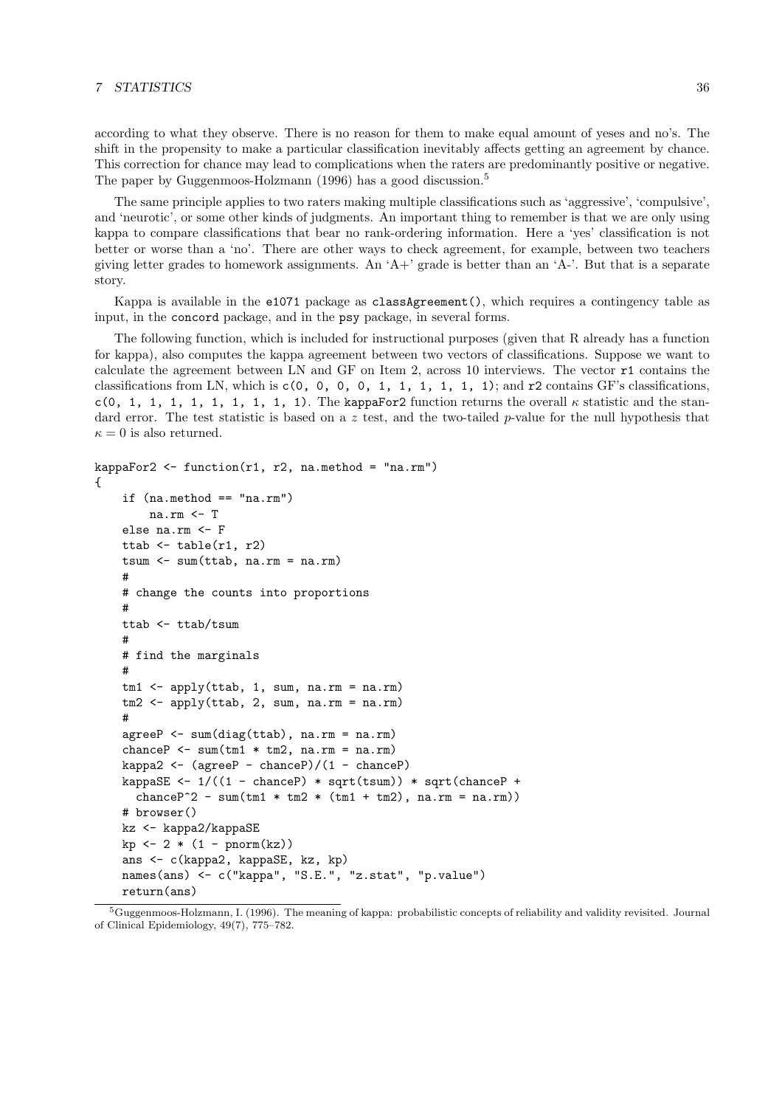according to what they observe. There is no reason for them to make equal amount of yeses and no's. The shift in the propensity to make a particular classification inevitably affects getting an agreement by chance. This correction for chance may lead to complications when the raters are predominantly positive or negative. The paper by Guggenmoos-Holzmann (1996) has a good discussion.<sup>5</sup>

The same principle applies to two raters making multiple classifications such as 'aggressive', 'compulsive', and 'neurotic', or some other kinds of judgments. An important thing to remember is that we are only using kappa to compare classifications that bear no rank-ordering information. Here a 'yes' classification is not better or worse than a 'no'. There are other ways to check agreement, for example, between two teachers giving letter grades to homework assignments. An 'A+' grade is better than an 'A-'. But that is a separate story.

Kappa is available in the e1071 package as classAgreement(), which requires a contingency table as input, in the concord package, and in the psy package, in several forms.

The following function, which is included for instructional purposes (given that R already has a function for kappa), also computes the kappa agreement between two vectors of classifications. Suppose we want to calculate the agreement between LN and GF on Item 2, across 10 interviews. The vector r1 contains the classifications from LN, which is  $c(0, 0, 0, 0, 1, 1, 1, 1, 1, 1)$ ; and  $r^2$  contains GF's classifications, c(0, 1, 1, 1, 1, 1, 1, 1, 1, 1). The kappaFor2 function returns the overall  $\kappa$  statistic and the standard error. The test statistic is based on a z test, and the two-tailed p-value for the null hypothesis that  $\kappa = 0$  is also returned.

```
kappaFor2 \leftarrow function(r1, r2, na.method = "na.rm")
{
    if (na.method == "na.rm")na.rm <- T
    else na.rm <- F
    ttab \leftarrow table(r1, r2)tsum \leq sum(ttab, na.rm = na.rm)
    #
    # change the counts into proportions
    #
    ttab <- ttab/tsum
    #
    # find the marginals
    #
    tm1 < - apply(ttab, 1, sum, na.rm = na.rm)
    tm2 \leq apply(ttab, 2, sum, na.rm = na.rm)#
    agreeP <- sum(diag(ttab), na.rm = na.rm)
    chanceP \leq sum(tm1 * tm2, na.rm = na.rm)
    kappa2 <- (agreeP - chanceP)/(1 - chanceP)
    kappaSE <- 1/((1 - \text{chanceP}) * \text{sqrt}(\text{tsum})) * \text{sqrt}(\text{chanceP} +chanceP^2 - sum(tm1 * tm2 * (tm1 + tm2), na.rm = na.rm))# browser()
    kz <- kappa2/kappaSE
    kp \leq 2 * (1 - pnorm(kz))ans <- c(kappa2, kappaSE, kz, kp)
    names(ans) <- c("kappa", "S.E.", "z.stat", "p.value")
    return(ans)
```
 ${}^{5}$ Guggenmoos-Holzmann, I. (1996). The meaning of kappa: probabilistic concepts of reliability and validity revisited. Journal of Clinical Epidemiology, 49(7), 775–782.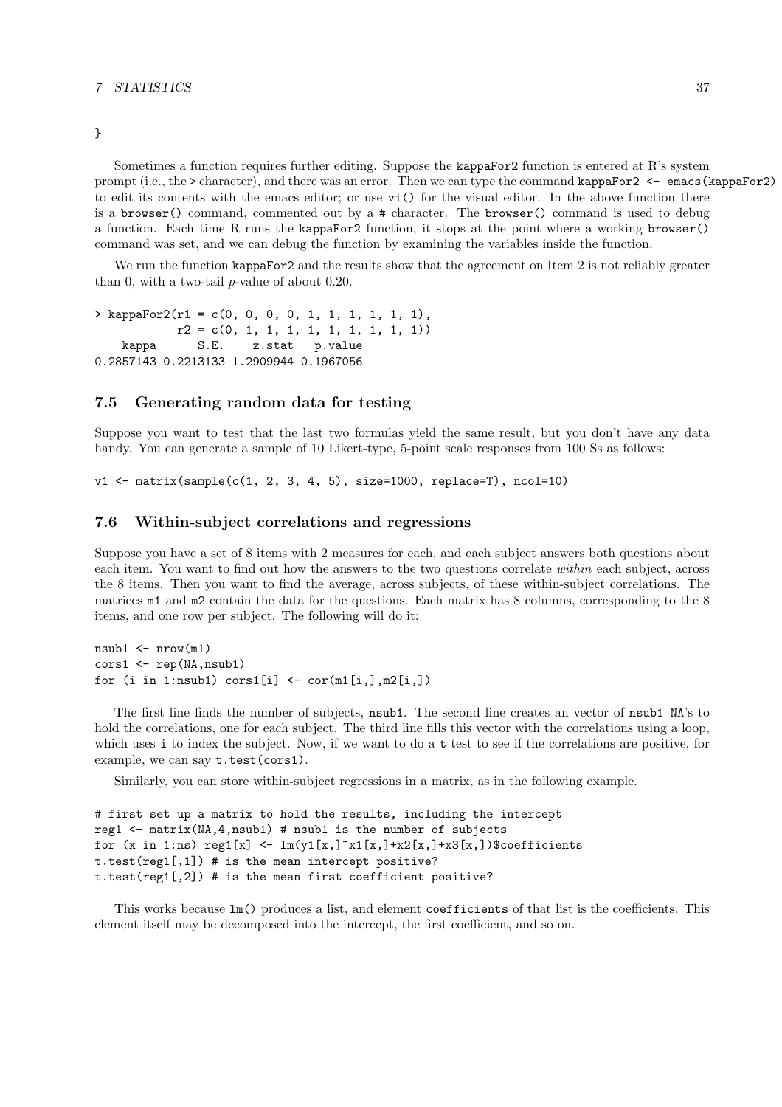}

Sometimes a function requires further editing. Suppose the kappaFor2 function is entered at R's system prompt (i.e., the > character), and there was an error. Then we can type the command kappaFor2 <- emacs(kappaFor2) to edit its contents with the emacs editor; or use vi() for the visual editor. In the above function there is a browser() command, commented out by a # character. The browser() command is used to debug a function. Each time R runs the kappaFor2 function, it stops at the point where a working browser() command was set, and we can debug the function by examining the variables inside the function.

We run the function kappaFor2 and the results show that the agreement on Item 2 is not reliably greater than 0, with a two-tail p-value of about 0.20.

```
> kappaFor2(r1 = c(0, 0, 0, 0, 1, 1, 1, 1, 1, 1),
           r2 = c(0, 1, 1, 1, 1, 1, 1, 1, 1, 1, 1))kappa S.E. z.stat p.value
0.2857143 0.2213133 1.2909944 0.1967056
```
# 7.5 Generating random data for testing

Suppose you want to test that the last two formulas yield the same result, but you don't have any data handy. You can generate a sample of 10 Likert-type, 5-point scale responses from 100 Ss as follows:

 $v1$  <- matrix(sample( $c(1, 2, 3, 4, 5)$ , size=1000, replace=T), ncol=10)

# 7.6 Within-subject correlations and regressions

Suppose you have a set of 8 items with 2 measures for each, and each subject answers both questions about each item. You want to find out how the answers to the two questions correlate within each subject, across the 8 items. Then you want to find the average, across subjects, of these within-subject correlations. The matrices m1 and m2 contain the data for the questions. Each matrix has 8 columns, corresponding to the 8 items, and one row per subject. The following will do it:

```
nsub1 < - nrow(m1)cors1 <- rep(NA,nsub1)
for (i in 1:nsub1) \text{cost}[i] \leftarrow \text{cor}(m1[i], m2[i],])
```
The first line finds the number of subjects, nsub1. The second line creates an vector of nsub1 NA's to hold the correlations, one for each subject. The third line fills this vector with the correlations using a loop, which uses i to index the subject. Now, if we want to do a t test to see if the correlations are positive, for example, we can say t.test(cors1).

Similarly, you can store within-subject regressions in a matrix, as in the following example.

```
# first set up a matrix to hold the results, including the intercept
reg1 \leftarrow matrix(NA, 4, nsub1) # nsub1 is the number of subjects
for (x in 1:ns) reg1[x] <- lm(y1[x, ]^x1[x, ]+x2[x, ]+x3[x, ])$coefficients
t.test(reg1[,1]) # is the mean intercept positive?
t.test(reg1[,2]) # is the mean first coefficient positive?
```
This works because lm() produces a list, and element coefficients of that list is the coefficients. This element itself may be decomposed into the intercept, the first coefficient, and so on.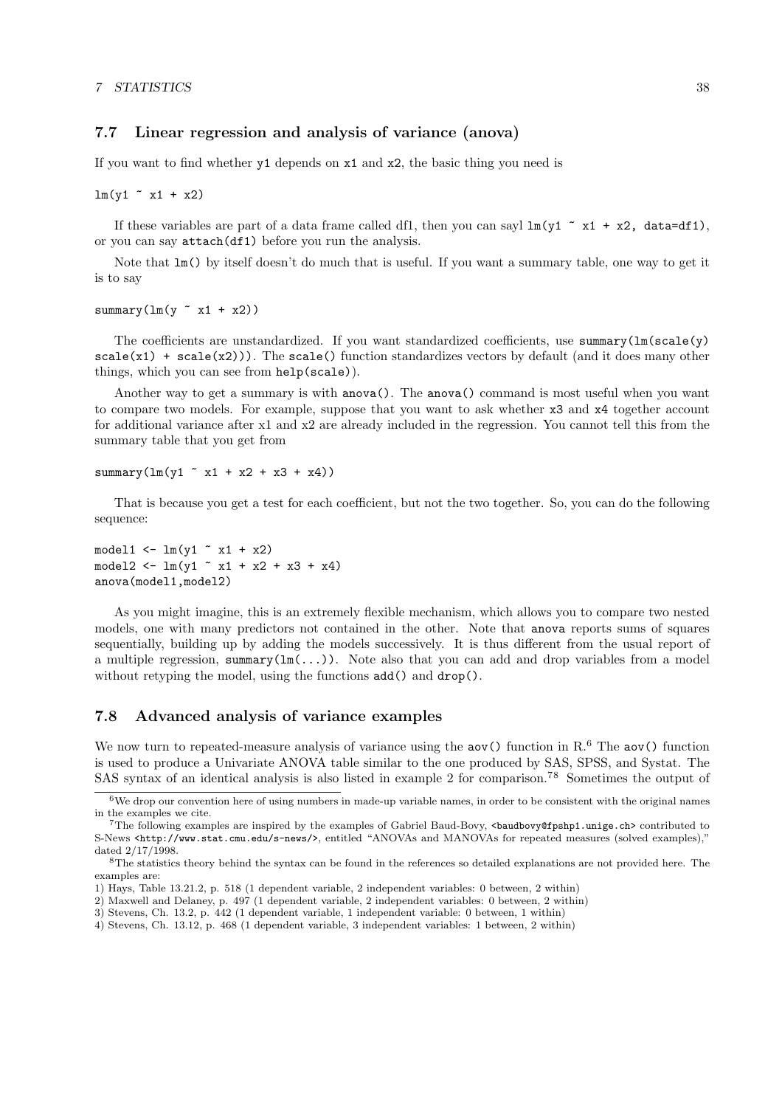### 7.7 Linear regression and analysis of variance (anova)

If you want to find whether y1 depends on x1 and x2, the basic thing you need is

 $lm(y1 \sim x1 + x2)$ 

If these variables are part of a data frame called df1, then you can sayl  $\text{Im}(y1 - x1 + x2)$ , data=df1). or you can say attach(df1) before you run the analysis.

Note that  $\text{Im}(\cdot)$  by itself doesn't do much that is useful. If you want a summary table, one way to get it is to say

summary( $lm(y \sim x1 + x2)$ )

The coefficients are unstandardized. If you want standardized coefficients, use summary $(\text{Im}(scale(y)))$  $scale(x1) + scale(x2))$ . The scale() function standardizes vectors by default (and it does many other things, which you can see from help(scale)).

Another way to get a summary is with anova(). The anova() command is most useful when you want to compare two models. For example, suppose that you want to ask whether x3 and x4 together account for additional variance after x1 and x2 are already included in the regression. You cannot tell this from the summary table that you get from

summary( $\text{lm}(y1 - x1 + x2 + x3 + x4)$ )

That is because you get a test for each coefficient, but not the two together. So, you can do the following sequence:

model1  $\leftarrow$  lm(y1  $\tilde{r}$  x1 + x2) model2 <-  $\text{lm}(y1 - x1 + x2 + x3 + x4)$ anova(model1,model2)

As you might imagine, this is an extremely flexible mechanism, which allows you to compare two nested models, one with many predictors not contained in the other. Note that anova reports sums of squares sequentially, building up by adding the models successively. It is thus different from the usual report of a multiple regression, summary $(\text{Im}(\ldots))$ . Note also that you can add and drop variables from a model without retyping the model, using the functions add() and drop().

# 7.8 Advanced analysis of variance examples

We now turn to repeated-measure analysis of variance using the  $aov()$  function in R.<sup>6</sup> The  $aov()$  function is used to produce a Univariate ANOVA table similar to the one produced by SAS, SPSS, and Systat. The SAS syntax of an identical analysis is also listed in example 2 for comparison.<sup>78</sup> Sometimes the output of

 $6$ We drop our convention here of using numbers in made-up variable names, in order to be consistent with the original names in the examples we cite.

<sup>&</sup>lt;sup>7</sup>The following examples are inspired by the examples of Gabriel Baud-Bovy, <br/>**baudbovy@fpshp1.unige.ch>** contributed to S-News <http://www.stat.cmu.edu/s-news/>, entitled "ANOVAs and MANOVAs for repeated measures (solved examples)," dated 2/17/1998.

 ${}^{8}$ The statistics theory behind the syntax can be found in the references so detailed explanations are not provided here. The examples are:

<sup>1)</sup> Hays, Table 13.21.2, p. 518 (1 dependent variable, 2 independent variables: 0 between, 2 within)

<sup>2)</sup> Maxwell and Delaney, p. 497 (1 dependent variable, 2 independent variables: 0 between, 2 within)

<sup>3)</sup> Stevens, Ch. 13.2, p. 442 (1 dependent variable, 1 independent variable: 0 between, 1 within)

<sup>4)</sup> Stevens, Ch. 13.12, p. 468 (1 dependent variable, 3 independent variables: 1 between, 2 within)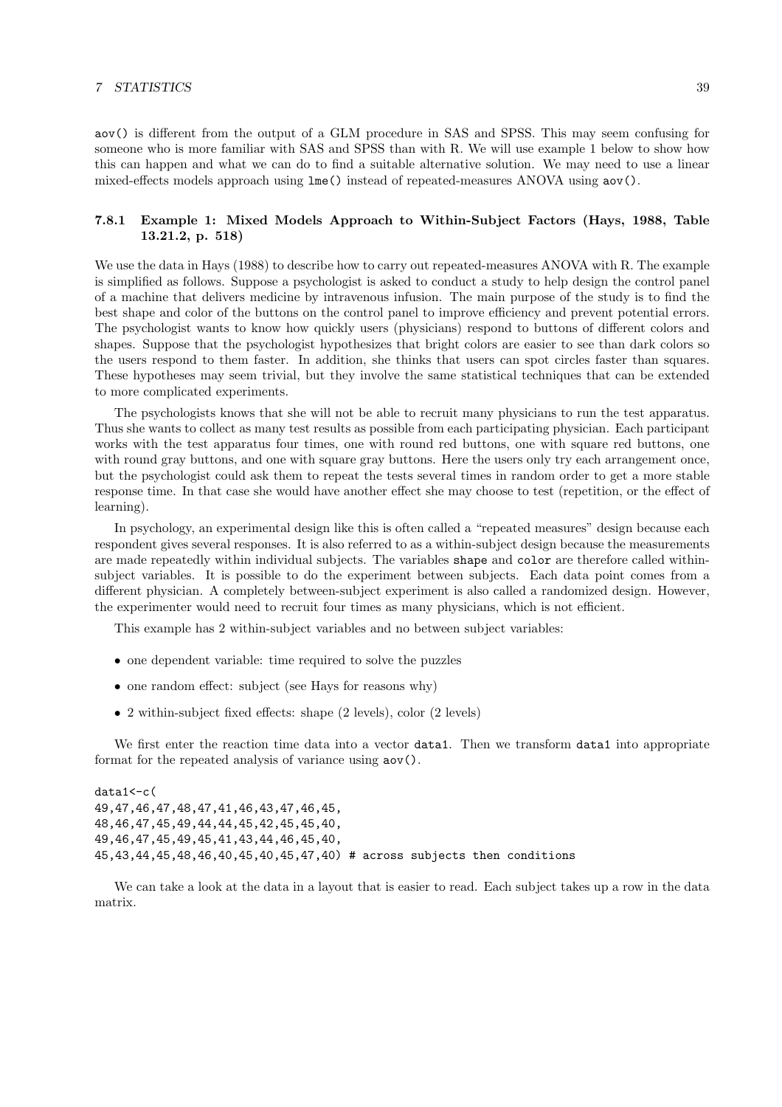aov() is different from the output of a GLM procedure in SAS and SPSS. This may seem confusing for someone who is more familiar with SAS and SPSS than with R. We will use example 1 below to show how this can happen and what we can do to find a suitable alternative solution. We may need to use a linear mixed-effects models approach using lme() instead of repeated-measures ANOVA using aov().

# 7.8.1 Example 1: Mixed Models Approach to Within-Subject Factors (Hays, 1988, Table 13.21.2, p. 518)

We use the data in Hays (1988) to describe how to carry out repeated-measures ANOVA with R. The example is simplified as follows. Suppose a psychologist is asked to conduct a study to help design the control panel of a machine that delivers medicine by intravenous infusion. The main purpose of the study is to find the best shape and color of the buttons on the control panel to improve efficiency and prevent potential errors. The psychologist wants to know how quickly users (physicians) respond to buttons of different colors and shapes. Suppose that the psychologist hypothesizes that bright colors are easier to see than dark colors so the users respond to them faster. In addition, she thinks that users can spot circles faster than squares. These hypotheses may seem trivial, but they involve the same statistical techniques that can be extended to more complicated experiments.

The psychologists knows that she will not be able to recruit many physicians to run the test apparatus. Thus she wants to collect as many test results as possible from each participating physician. Each participant works with the test apparatus four times, one with round red buttons, one with square red buttons, one with round gray buttons, and one with square gray buttons. Here the users only try each arrangement once, but the psychologist could ask them to repeat the tests several times in random order to get a more stable response time. In that case she would have another effect she may choose to test (repetition, or the effect of learning).

In psychology, an experimental design like this is often called a "repeated measures" design because each respondent gives several responses. It is also referred to as a within-subject design because the measurements are made repeatedly within individual subjects. The variables shape and color are therefore called withinsubject variables. It is possible to do the experiment between subjects. Each data point comes from a different physician. A completely between-subject experiment is also called a randomized design. However, the experimenter would need to recruit four times as many physicians, which is not efficient.

This example has 2 within-subject variables and no between subject variables:

- one dependent variable: time required to solve the puzzles
- one random effect: subject (see Hays for reasons why)
- 2 within-subject fixed effects: shape (2 levels), color (2 levels)

We first enter the reaction time data into a vector **data1**. Then we transform **data1** into appropriate format for the repeated analysis of variance using aov().

```
data1<-c(
49,47,46,47,48,47,41,46,43,47,46,45,
48,46,47,45,49,44,44,45,42,45,45,40,
49,46,47,45,49,45,41,43,44,46,45,40,
45,43,44,45,48,46,40,45,40,45,47,40) # across subjects then conditions
```
We can take a look at the data in a layout that is easier to read. Each subject takes up a row in the data matrix.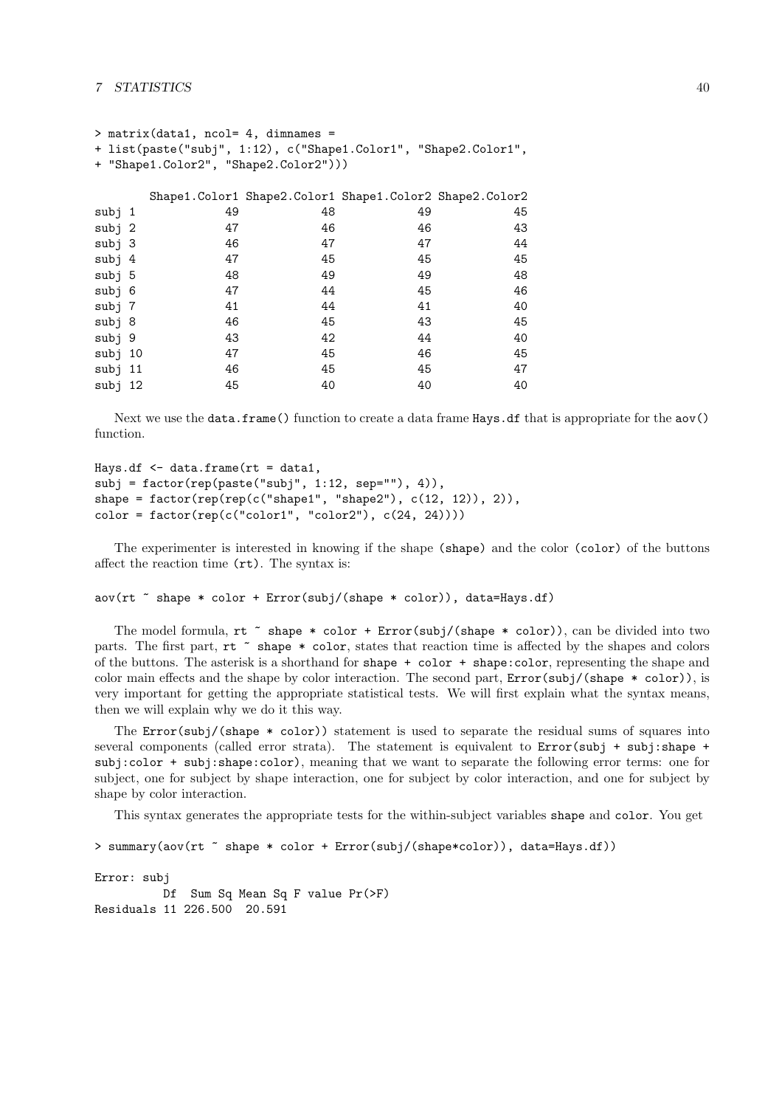```
> matrix(data1, ncol= 4, dimnames =
+ list(paste("subj", 1:12), c("Shape1.Color1", "Shape2.Color1",
+ "Shape1.Color2", "Shape2.Color2")))
   Shape1.Color1 Shape2.Color1 Shape1.Color2 Shape2.Color2
subj 1 49 48 49 45
subj 2 47 46 46 43
subj 3 46 47 47 44
subj 4 \begin{array}{ccccc} & 47 & & 45 & & 45 \end{array} 45
subj 5 48 49 49 48
subj 6 47 44 45 46
subj 7 41 44 41 40
subj 8 46 45 43 45
subj 9 43 42 44 40
subj 10 47 45 46 45
subj 11 46 45 45 47
subj 12 45 40 40 40 40
```
Next we use the data.frame() function to create a data frame Hays.df that is appropriate for the aov() function.

```
Hays.df \leq data.frame(rt = data1,
subj = factor(rep(paste("subj", 1:12, sep=""), 4)),
shape = factor(rep(repe(c("shape1", "shape2"), c(12, 12)), 2)),color = factor(rep(c("color1", "color2"), c(24, 24))))
```
The experimenter is interested in knowing if the shape (shape) and the color (color) of the buttons affect the reaction time (rt). The syntax is:

```
aov(rt \uparrow \text{shape} * color + Error(sub)/(\text{shape} * color)), data=Hays.df)
```
The model formula,  $rt \tilde{ }$  shape  $*$  color + Error(subj/(shape  $*$  color)), can be divided into two parts. The first part,  $rt \tilde{ }$  shape  $*$  color, states that reaction time is affected by the shapes and colors of the buttons. The asterisk is a shorthand for shape  $+$  color  $+$  shape:color, representing the shape and color main effects and the shape by color interaction. The second part, Error(subj/(shape \* color)), is very important for getting the appropriate statistical tests. We will first explain what the syntax means, then we will explain why we do it this way.

The  $Error(subj/(shape * color))$  statement is used to separate the residual sums of squares into several components (called error strata). The statement is equivalent to Error(subj + subj:shape + subj:color + subj:shape:color), meaning that we want to separate the following error terms: one for subject, one for subject by shape interaction, one for subject by color interaction, and one for subject by shape by color interaction.

This syntax generates the appropriate tests for the within-subject variables shape and color. You get

```
> summary(aov(rt ~ shape * color + Error(subj/(shape*color)), data=Hays.df))
```
Error: subj Df Sum Sq Mean Sq F value Pr(>F) Residuals 11 226.500 20.591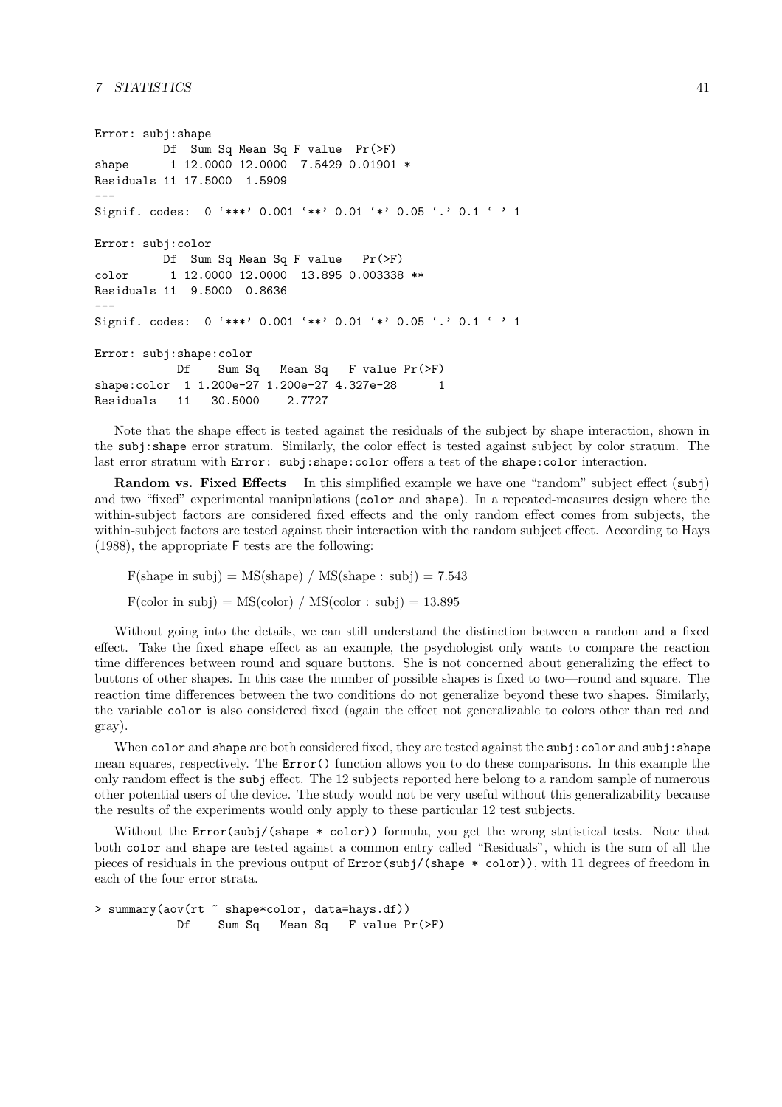```
Error: subj:shape
         Df Sum Sq Mean Sq F value Pr(>F)
shape 1 12.0000 12.0000 7.5429 0.01901 *
Residuals 11 17.5000 1.5909
---
Signif. codes: 0 '***' 0.001 '**' 0.01 '*' 0.05 '.' 0.1 ' ' 1
Error: subj:color
         Df Sum Sq Mean Sq F value Pr(>F)
color 1 12.0000 12.0000 13.895 0.003338 **
Residuals 11 9.5000 0.8636
---Signif. codes: 0 '***' 0.001 '**' 0.01 '*' 0.05 '.' 0.1 ' ' 1
Error: subj:shape:color
           Df Sum Sq Mean Sq F value Pr(>F)
shape:color 1 1.200e-27 1.200e-27 4.327e-28 1
Residuals 11 30.5000 2.7727
```
Note that the shape effect is tested against the residuals of the subject by shape interaction, shown in the subj:shape error stratum. Similarly, the color effect is tested against subject by color stratum. The last error stratum with Error: subj:shape:color offers a test of the shape:color interaction.

Random vs. Fixed Effects In this simplified example we have one "random" subject effect (subj) and two "fixed" experimental manipulations (color and shape). In a repeated-measures design where the within-subject factors are considered fixed effects and the only random effect comes from subjects, the within-subject factors are tested against their interaction with the random subject effect. According to Hays (1988), the appropriate F tests are the following:

 $F(\text{shape in subj}) = MS(\text{shape}) / MS(\text{shape} : \text{subj}) = 7.543$  $F(color in subj) = MS(color) / MS(color : subj) = 13.895$ 

Without going into the details, we can still understand the distinction between a random and a fixed effect. Take the fixed shape effect as an example, the psychologist only wants to compare the reaction time differences between round and square buttons. She is not concerned about generalizing the effect to buttons of other shapes. In this case the number of possible shapes is fixed to two—round and square. The reaction time differences between the two conditions do not generalize beyond these two shapes. Similarly, the variable color is also considered fixed (again the effect not generalizable to colors other than red and gray).

When color and shape are both considered fixed, they are tested against the subj:color and subj:shape mean squares, respectively. The Error() function allows you to do these comparisons. In this example the only random effect is the subj effect. The 12 subjects reported here belong to a random sample of numerous other potential users of the device. The study would not be very useful without this generalizability because the results of the experiments would only apply to these particular 12 test subjects.

Without the Error(subj/(shape \* color)) formula, you get the wrong statistical tests. Note that both color and shape are tested against a common entry called "Residuals", which is the sum of all the pieces of residuals in the previous output of Error(subj/(shape \* color)), with 11 degrees of freedom in each of the four error strata.

```
> summary(aov(rt ~ shape*color, data=hays.df))
           Df Sum Sq Mean Sq F value Pr(>F)
```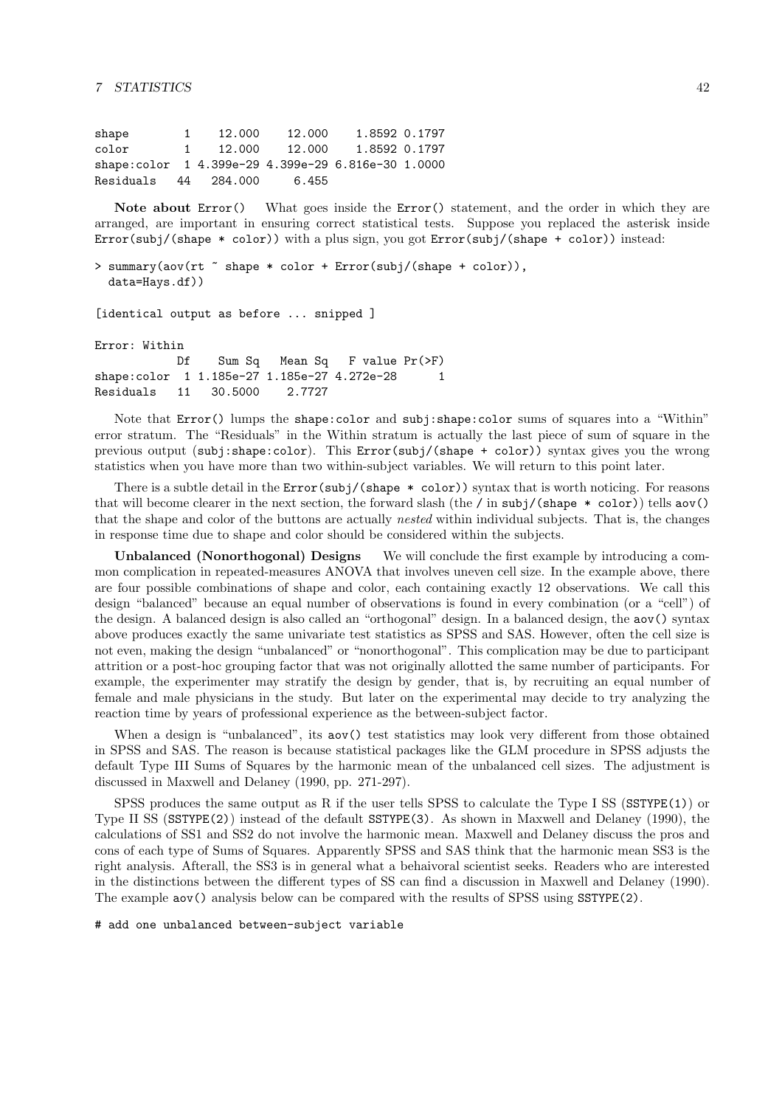shape 1 12.000 12.000 1.8592 0.1797 color 1 12.000 12.000 1.8592 0.1797 shape:color 1 4.399e-29 4.399e-29 6.816e-30 1.0000 Residuals 44 284.000 6.455

Residuals 11 30.5000 2.7727

Note about Error() What goes inside the Error() statement, and the order in which they are arranged, are important in ensuring correct statistical tests. Suppose you replaced the asterisk inside Error(subj/(shape  $*$  color)) with a plus sign, you got Error(subj/(shape  $*$  color)) instead:

```
> summary(aov(rt ~ shape * color + Error(subj/(shape + color)),
 data=Hays.df))
[identical output as before ... snipped ]
Error: Within
           Df Sum Sq Mean Sq F value Pr(>F)
shape:color 1 1.185e-27 1.185e-27 4.272e-28 1
```
Note that Error() lumps the shape:color and subj:shape:color sums of squares into a "Within" error stratum. The "Residuals" in the Within stratum is actually the last piece of sum of square in the previous output (subj:shape:color). This Error(subj/(shape + color)) syntax gives you the wrong statistics when you have more than two within-subject variables. We will return to this point later.

There is a subtle detail in the  $Error(subj/(shape * color))$  syntax that is worth noticing. For reasons that will become clearer in the next section, the forward slash (the / in subj/(shape \* color)) tells aov() that the shape and color of the buttons are actually nested within individual subjects. That is, the changes in response time due to shape and color should be considered within the subjects.

Unbalanced (Nonorthogonal) Designs We will conclude the first example by introducing a common complication in repeated-measures ANOVA that involves uneven cell size. In the example above, there are four possible combinations of shape and color, each containing exactly 12 observations. We call this design "balanced" because an equal number of observations is found in every combination (or a "cell") of the design. A balanced design is also called an "orthogonal" design. In a balanced design, the aov() syntax above produces exactly the same univariate test statistics as SPSS and SAS. However, often the cell size is not even, making the design "unbalanced" or "nonorthogonal". This complication may be due to participant attrition or a post-hoc grouping factor that was not originally allotted the same number of participants. For example, the experimenter may stratify the design by gender, that is, by recruiting an equal number of female and male physicians in the study. But later on the experimental may decide to try analyzing the reaction time by years of professional experience as the between-subject factor.

When a design is "unbalanced", its  $aov()$  test statistics may look very different from those obtained in SPSS and SAS. The reason is because statistical packages like the GLM procedure in SPSS adjusts the default Type III Sums of Squares by the harmonic mean of the unbalanced cell sizes. The adjustment is discussed in Maxwell and Delaney (1990, pp. 271-297).

SPSS produces the same output as R if the user tells SPSS to calculate the Type I SS (SSTYPE(1)) or Type II SS (SSTYPE(2)) instead of the default SSTYPE(3). As shown in Maxwell and Delaney (1990), the calculations of SS1 and SS2 do not involve the harmonic mean. Maxwell and Delaney discuss the pros and cons of each type of Sums of Squares. Apparently SPSS and SAS think that the harmonic mean SS3 is the right analysis. Afterall, the SS3 is in general what a behaivoral scientist seeks. Readers who are interested in the distinctions between the different types of SS can find a discussion in Maxwell and Delaney (1990). The example aov() analysis below can be compared with the results of SPSS using SSTYPE(2).

# add one unbalanced between-subject variable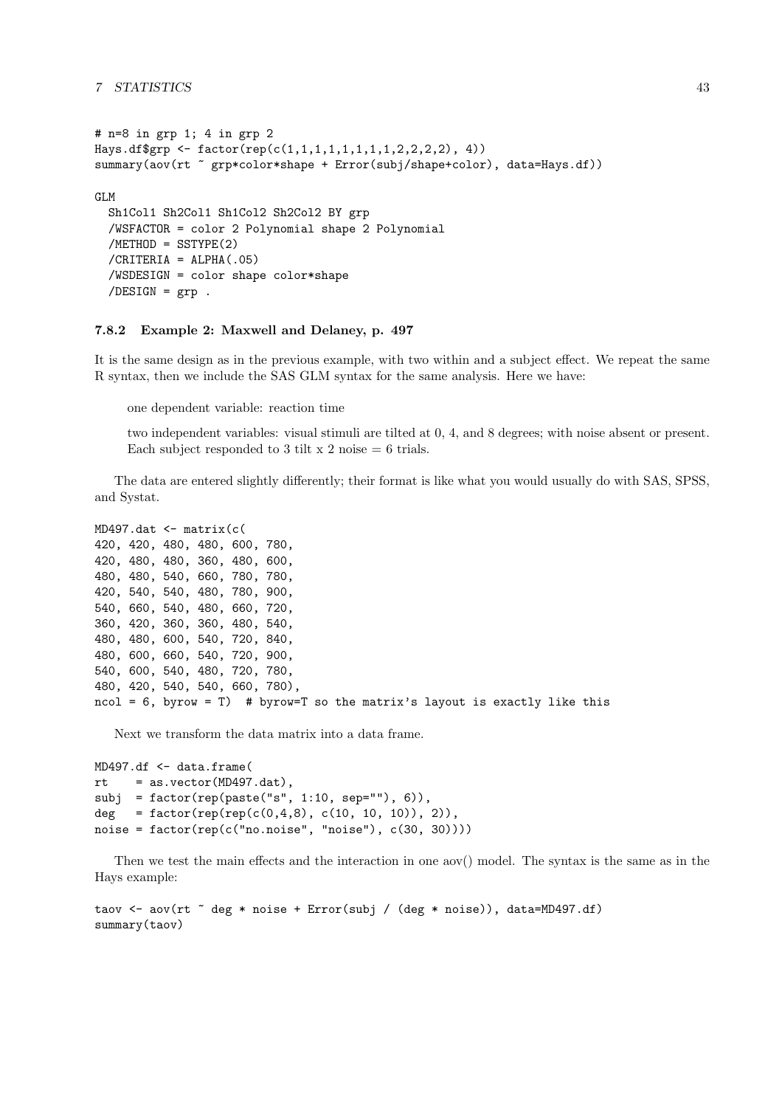```
7 STATISTICS 43
```

```
# n=8 in grp 1; 4 in grp 2
Hays.df$grp <- factor(rep(c(1,1,1,1,1,1,1,1,2,2,2,2), 4))
summary(aov(rt ~ grp*color*shape + Error(subj/shape+color), data=Hays.df))
GLM
 Sh1Col1 Sh2Col1 Sh1Col2 Sh2Col2 BY grp
  /WSFACTOR = color 2 Polynomial shape 2 Polynomial
  /METHOD = SSTYPE(2)
  /CHITERIA = ALPHA(.05)/WSDESIGN = color shape color*shape
 /DESIGN = grp .
```
### 7.8.2 Example 2: Maxwell and Delaney, p. 497

It is the same design as in the previous example, with two within and a subject effect. We repeat the same R syntax, then we include the SAS GLM syntax for the same analysis. Here we have:

one dependent variable: reaction time

two independent variables: visual stimuli are tilted at 0, 4, and 8 degrees; with noise absent or present. Each subject responded to 3 tilt  $x 2$  noise  $= 6$  trials.

The data are entered slightly differently; their format is like what you would usually do with SAS, SPSS, and Systat.

```
MD497.dat <- matrix(c(
420, 420, 480, 480, 600, 780,
420, 480, 480, 360, 480, 600,
480, 480, 540, 660, 780, 780,
420, 540, 540, 480, 780, 900,
540, 660, 540, 480, 660, 720,
360, 420, 360, 360, 480, 540,
480, 480, 600, 540, 720, 840,
480, 600, 660, 540, 720, 900,
540, 600, 540, 480, 720, 780,
480, 420, 540, 540, 660, 780),
ncol = 6, byrow = T) # byrow=T so the matrix's layout is exactly like this
```
Next we transform the data matrix into a data frame.

```
MD497.df <- data.frame(
rt = as.vector(MD497.dat),
subj = factor(rep(paste("s", 1:10, sep=""), 6)),
deg = factor(rep(rep(c(0,4,8), c(10, 10, 10)), 2)),
noise = factor(rep(c("no.noise", "noise"), c(30, 30))))
```
Then we test the main effects and the interaction in one aov() model. The syntax is the same as in the Hays example:

```
taov <- aov(rt ~ deg * noise + Error(subj / (deg * noise)), data=MD497.df)
summary(taov)
```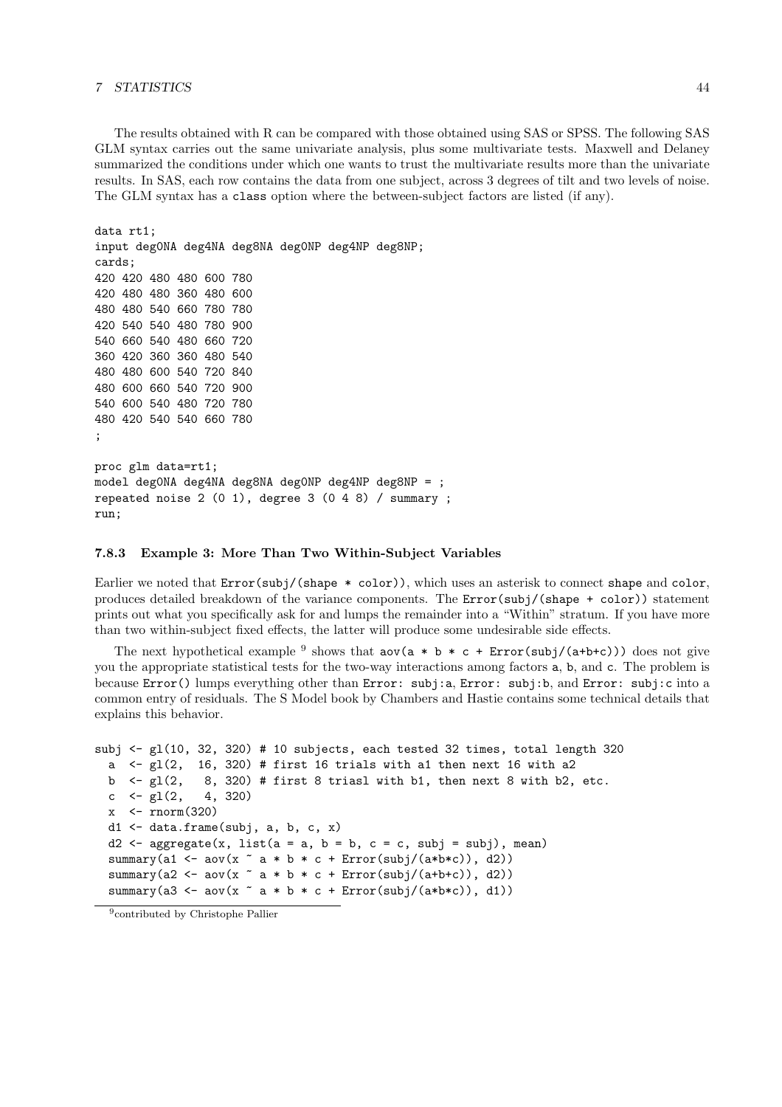### 7 STATISTICS 44

The results obtained with R can be compared with those obtained using SAS or SPSS. The following SAS GLM syntax carries out the same univariate analysis, plus some multivariate tests. Maxwell and Delaney summarized the conditions under which one wants to trust the multivariate results more than the univariate results. In SAS, each row contains the data from one subject, across 3 degrees of tilt and two levels of noise. The GLM syntax has a class option where the between-subject factors are listed (if any).

```
data rt1;
input deg0NA deg4NA deg8NA deg0NP deg4NP deg8NP;
cards;
420 420 480 480 600 780
420 480 480 360 480 600
480 480 540 660 780 780
420 540 540 480 780 900
540 660 540 480 660 720
360 420 360 360 480 540
480 480 600 540 720 840
480 600 660 540 720 900
540 600 540 480 720 780
480 420 540 540 660 780
;
proc glm data=rt1;
model deg0NA deg4NA deg8NA deg0NP deg4NP deg8NP = ;
repeated noise 2 (0 1), degree 3 (0 4 8) / summary ;
run;
```
### 7.8.3 Example 3: More Than Two Within-Subject Variables

Earlier we noted that Error(subj/(shape \* color)), which uses an asterisk to connect shape and color, produces detailed breakdown of the variance components. The Error(subj/(shape + color)) statement prints out what you specifically ask for and lumps the remainder into a "Within" stratum. If you have more than two within-subject fixed effects, the latter will produce some undesirable side effects.

The next hypothetical example <sup>9</sup> shows that  $aov(a * b * c + Error(subj/(a+b+c)))$  does not give you the appropriate statistical tests for the two-way interactions among factors a, b, and c. The problem is because Error() lumps everything other than Error: subj:a, Error: subj:b, and Error: subj:c into a common entry of residuals. The S Model book by Chambers and Hastie contains some technical details that explains this behavior.

```
subj <- gl(10, 32, 320) # 10 subjects, each tested 32 times, total length 320
  a \leftarrow gl(2, 16, 320) # first 16 trials with a1 then next 16 with a2
 b \leq gl(2, 8, 320) # first 8 triasl with b1, then next 8 with b2, etc.
  c \leq -g1(2, 4, 320)x <- rnorm(320)
 d1 <- data.frame(subj, a, b, c, x)
 d2 \leq - aggregate(x, list(a = a, b = b, c = c, subj = subj), mean)
  summary(a1 <- aov(x \tilde{ } a * b * c + Error(subj/(a*b*c)), d2))
  summary(a2 <- aov(x a * b * c + Error(subj/(a+b+c)), d2))
  summary(a3 <- aov(x \tilde{a} \tilde{b} \tilde{c} + Error(subj/(a*b*c)), d1))
```
<sup>9</sup>contributed by Christophe Pallier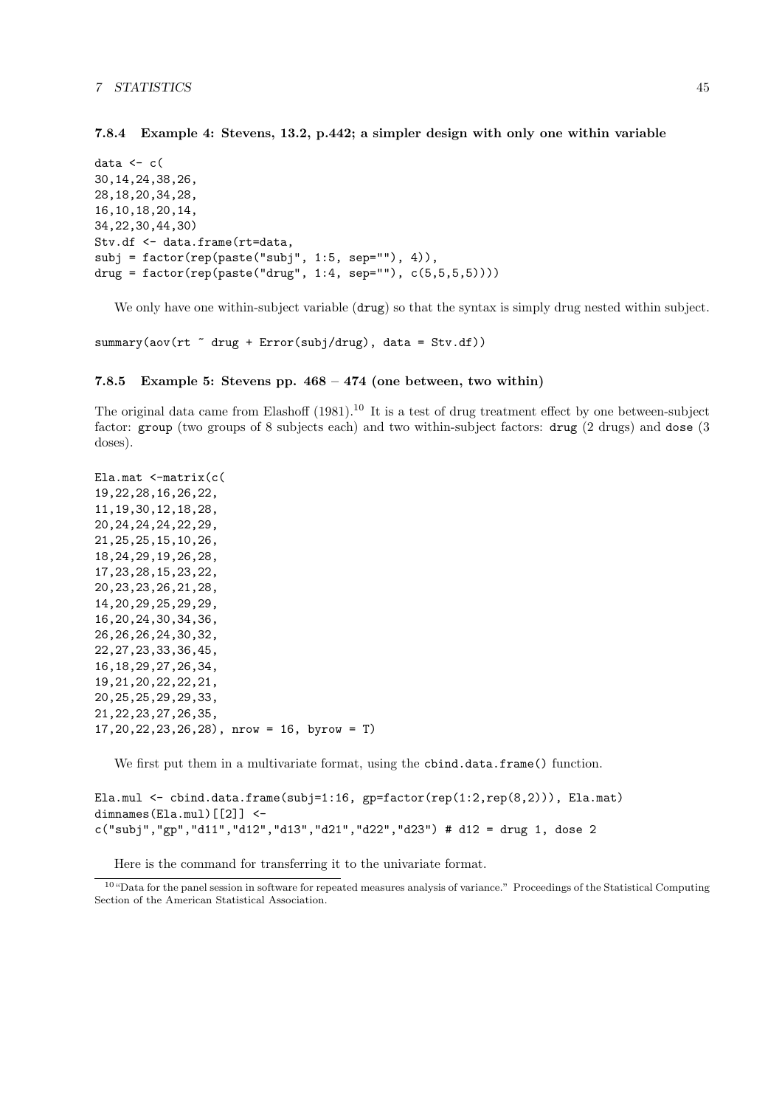7.8.4 Example 4: Stevens, 13.2, p.442; a simpler design with only one within variable

```
data <-c(30,14,24,38,26,
28,18,20,34,28,
16,10,18,20,14,
34,22,30,44,30)
Stv.df <- data.frame(rt=data,
subj = factor(rep(paste("subj", 1:5, sep=""), 4)),drug = factor(rep(paste("drug", 1:4, sep=""), c(5,5,5,5))))
```
We only have one within-subject variable ( $\text{drug}$ ) so that the syntax is simply drug nested within subject.

```
summary(aov(rt \space^* drug + Error(subj/drug), data = Stv.df))
```
### 7.8.5 Example 5: Stevens pp. 468 – 474 (one between, two within)

The original data came from Elashoff (1981).<sup>10</sup> It is a test of drug treatment effect by one between-subject factor: group (two groups of 8 subjects each) and two within-subject factors: drug (2 drugs) and dose (3 doses).

```
Ela.mat <-matrix(c(
19,22,28,16,26,22,
11,19,30,12,18,28,
20,24,24,24,22,29,
21,25,25,15,10,26,
18,24,29,19,26,28,
17,23,28,15,23,22,
20,23,23,26,21,28,
14,20,29,25,29,29,
16,20,24,30,34,36,
26,26,26,24,30,32,
22,27,23,33,36,45,
16,18,29,27,26,34,
19,21,20,22,22,21,
20,25,25,29,29,33,
21,22,23,27,26,35,
17,20,22,23,26,28), nrow = 16, byrow = T)
```
We first put them in a multivariate format, using the cbind.data.frame() function.

```
Ela.mul <- cbind.data.frame(subj=1:16, gp=factor(rep(1:2,rep(8,2))), Ela.mat)
dimnames(Ela.mul)[2]] <-
c("subj","gp","d11","d12","d13","d21","d22","d23") # d12 = drug 1, dose 2
```
Here is the command for transferring it to the univariate format.

<sup>10</sup>"Data for the panel session in software for repeated measures analysis of variance." Proceedings of the Statistical Computing Section of the American Statistical Association.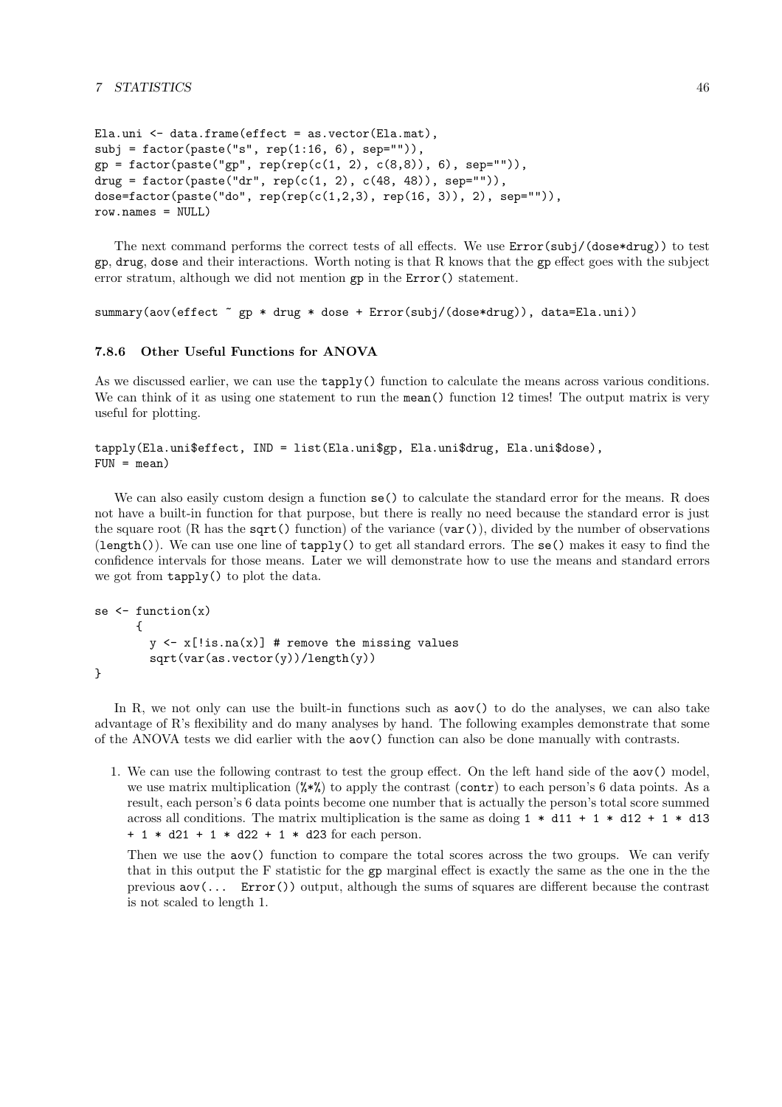```
Ela.uni <- data.frame(effect = as.vector(Ela.mat),
subj = factor(paste("s", rep(1:16, 6), sep="")),
gp = factor(paste("gp", rep(rep(c(1, 2), c(8,8)), 6), sep="")),
drug = factor(paste("dr", rep(c(1, 2), c(48, 48)), sep="")),
dose=factor(paste("do", rep(rep(c(1,2,3), rep(16, 3)), 2), sep="")),
row.names = NULL)
```
The next command performs the correct tests of all effects. We use Error(subj/(dose\*drug)) to test gp, drug, dose and their interactions. Worth noting is that R knows that the gp effect goes with the subject error stratum, although we did not mention gp in the Error() statement.

```
summary(aov(effect ~ gp * drug * dose + Error(subj/(dose*drug)), data=Ela.uni))
```
### 7.8.6 Other Useful Functions for ANOVA

As we discussed earlier, we can use the tapply() function to calculate the means across various conditions. We can think of it as using one statement to run the mean() function 12 times! The output matrix is very useful for plotting.

```
tapply(Ela.uni$effect, IND = list(Ela.uni$gp, Ela.uni$drug, Ela.uni$dose),
FUN = mean)
```
We can also easily custom design a function  $\mathbf{se}(\cdot)$  to calculate the standard error for the means. R does not have a built-in function for that purpose, but there is really no need because the standard error is just the square root (R has the sqrt() function) of the variance  $(\text{var}(\cdot))$ , divided by the number of observations (length()). We can use one line of tapply() to get all standard errors. The se() makes it easy to find the confidence intervals for those means. Later we will demonstrate how to use the means and standard errors we got from tapply() to plot the data.

```
se \leftarrow function(x){
         y \leftarrow x[!is.na(x)] # remove the missing values
         sqrt(var(as.vector(y))/length(y))
}
```
In R, we not only can use the built-in functions such as  $aov()$  to do the analyses, we can also take advantage of R's flexibility and do many analyses by hand. The following examples demonstrate that some of the ANOVA tests we did earlier with the aov() function can also be done manually with contrasts.

1. We can use the following contrast to test the group effect. On the left hand side of the aov() model, we use matrix multiplication  $(\frac{1}{2} \cdot \frac{1}{2})$  to apply the contrast (contr) to each person's 6 data points. As a result, each person's 6 data points become one number that is actually the person's total score summed across all conditions. The matrix multiplication is the same as doing  $1 * d11 + 1 * d12 + 1 * d13$ + 1 \* d21 + 1 \* d22 + 1 \* d23 for each person.

Then we use the aov() function to compare the total scores across the two groups. We can verify that in this output the F statistic for the gp marginal effect is exactly the same as the one in the the previous  $aov(...$  Error()) output, although the sums of squares are different because the contrast is not scaled to length 1.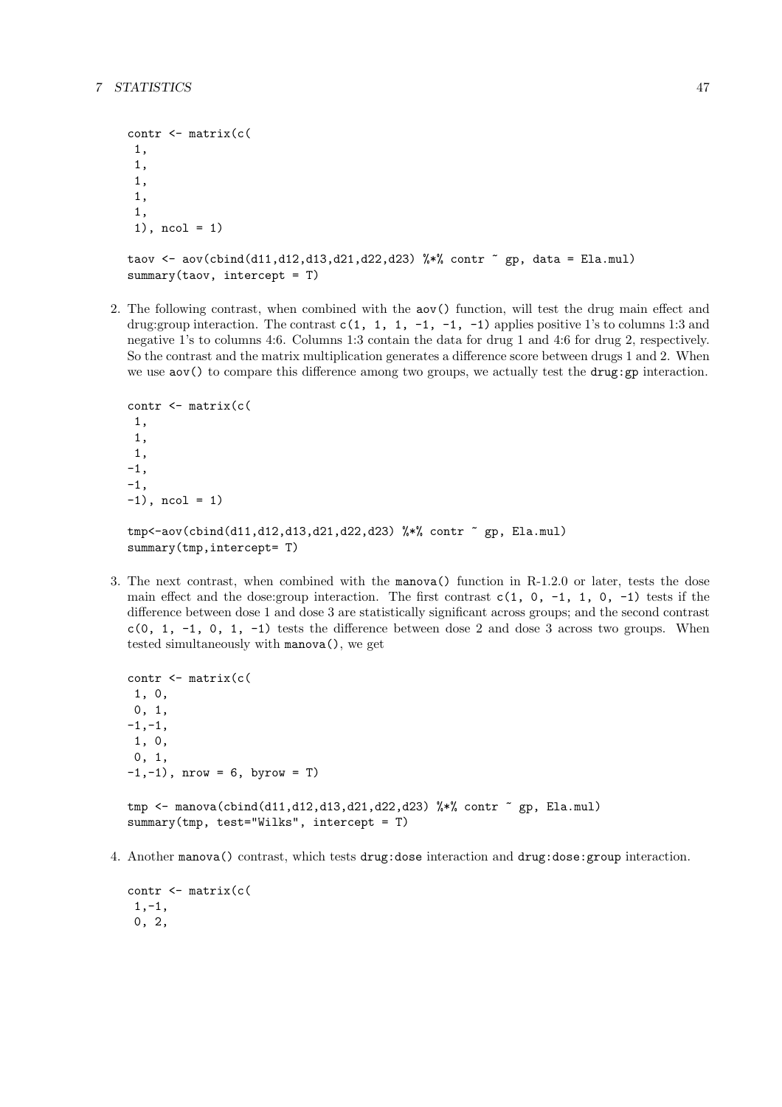```
contr <- matrix(c(
 1,
 1,
 1,
 1,
 1,
 1), ncol = 1)
taov <- aov(cbind(d11,d12,d13,d21,d22,d23) %*% contr ~ gp, data = Ela.mul)
summary(taov, intercept = T)
```
2. The following contrast, when combined with the aov() function, will test the drug main effect and drug: group interaction. The contrast  $c(1, 1, 1, -1, -1, -1)$  applies positive 1's to columns 1:3 and negative 1's to columns 4:6. Columns 1:3 contain the data for drug 1 and 4:6 for drug 2, respectively. So the contrast and the matrix multiplication generates a difference score between drugs 1 and 2. When we use  $aov()$  to compare this difference among two groups, we actually test the drug:gp interaction.

```
contr <- matrix(c(
1,
1,
1,
-1,
-1,
-1), ncol = 1)
tmp<-aov(cbind(d11,d12,d13,d21,d22,d23) %*% contr ~ gp, Ela.mul)
summary(tmp,intercept= T)
```
3. The next contrast, when combined with the manova() function in R-1.2.0 or later, tests the dose main effect and the dose: group interaction. The first contrast  $c(1, 0, -1, 1, 0, -1)$  tests if the difference between dose 1 and dose 3 are statistically significant across groups; and the second contrast  $c(0, 1, -1, 0, 1, -1)$  tests the difference between dose 2 and dose 3 across two groups. When tested simultaneously with manova(), we get

```
contr <- matrix(c(
1, 0,
0, 1,
-1, -1,1, 0,
0, 1,
-1, -1), nrow = 6, byrow = T)
tmp <- manova(cbind(d11,d12,d13,d21,d22,d23) %*% contr ~ gp, Ela.mul)
summary(tmp, test="Wilks", intercept = T)
```
4. Another manova() contrast, which tests drug:dose interaction and drug:dose:group interaction.

```
contr <- matrix(c(
1, -1,0, 2,
```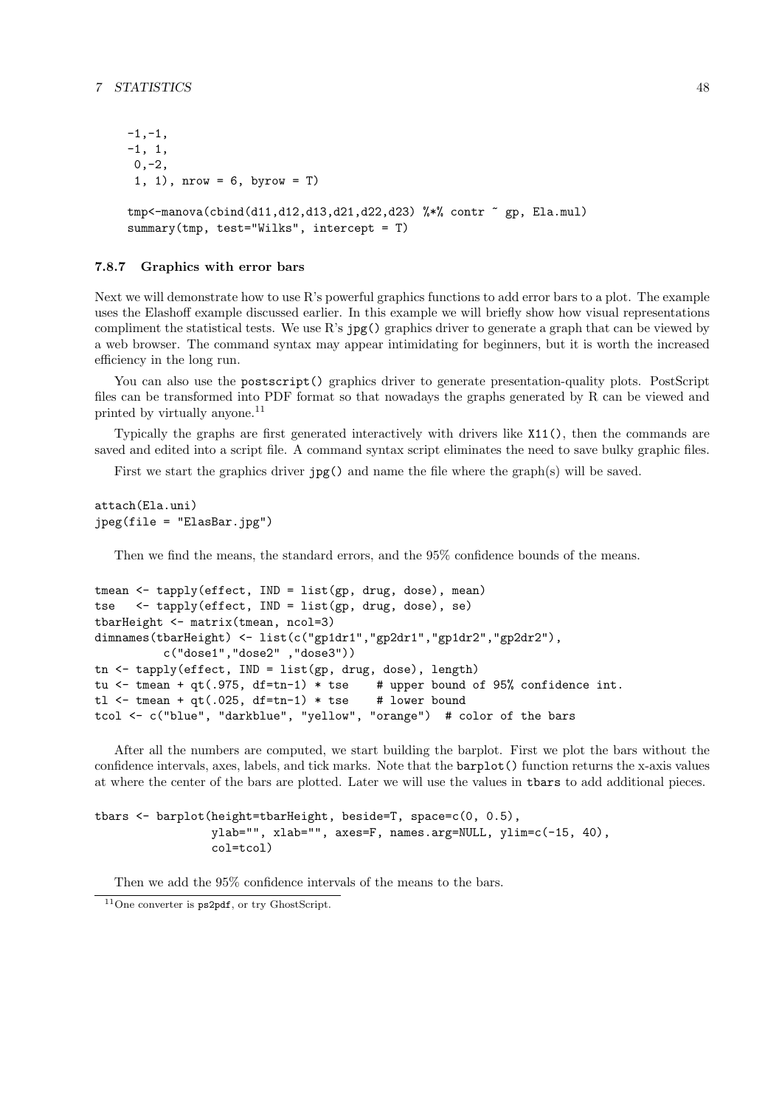```
-1, -1,-1, 1,
0, -2,1, 1), nrow = 6, byrow = T)
tmp<-manova(cbind(d11,d12,d13,d21,d22,d23) %*% contr ~ gp, Ela.mul)
summary(tmp, test="Wilks", intercept = T)
```
# 7.8.7 Graphics with error bars

Next we will demonstrate how to use R's powerful graphics functions to add error bars to a plot. The example uses the Elashoff example discussed earlier. In this example we will briefly show how visual representations compliment the statistical tests. We use R's jpg() graphics driver to generate a graph that can be viewed by a web browser. The command syntax may appear intimidating for beginners, but it is worth the increased efficiency in the long run.

You can also use the postscript() graphics driver to generate presentation-quality plots. PostScript files can be transformed into PDF format so that nowadays the graphs generated by R can be viewed and printed by virtually anyone.<sup>11</sup>

Typically the graphs are first generated interactively with drivers like X11(), then the commands are saved and edited into a script file. A command syntax script eliminates the need to save bulky graphic files.

First we start the graphics driver jpg() and name the file where the graph(s) will be saved.

```
attach(Ela.uni)
jpeg(file = "ElasBar.jpg")
```
Then we find the means, the standard errors, and the 95% confidence bounds of the means.

```
tmean <- tapply(effect, IND = list(gp, drug, dose), mean)
tse <- tapply(effect, IND = list(gp, drug, dose), se)
tbarHeight <- matrix(tmean, ncol=3)
dimnames(tbarHeight) <- list(c("gp1dr1","gp2dr1","gp1dr2","gp2dr2"),
          c("dose1","dose2" ,"dose3"))
tn <- tapply(effect, IND = list(gp, drug, dose), length)
tu \le tmean + qt(.975, df=tn-1) * tse # upper bound of 95% confidence int.
tl \leftarrow tmean + qt(.025, df=tn-1) * tse # lower bound
tcol <- c("blue", "darkblue", "yellow", "orange") # color of the bars
```
After all the numbers are computed, we start building the barplot. First we plot the bars without the confidence intervals, axes, labels, and tick marks. Note that the barplot() function returns the x-axis values at where the center of the bars are plotted. Later we will use the values in tbars to add additional pieces.

```
tbars <- barplot(height=tbarHeight, beside=T, space=c(0, 0.5),
                 ylab="", xlab="", axes=F, names.arg=NULL, ylim=c(-15, 40),
                 col=tcol)
```
Then we add the 95% confidence intervals of the means to the bars.

<sup>11</sup>One converter is ps2pdf, or try GhostScript.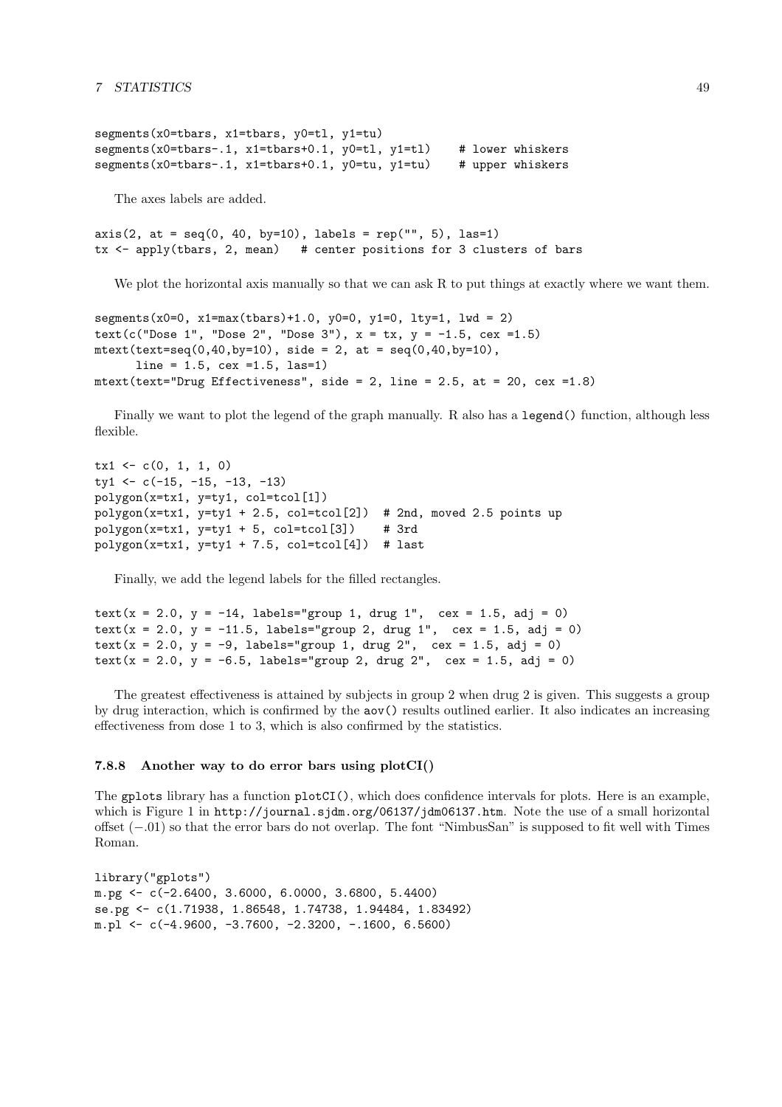segments(x0=tbars, x1=tbars, y0=tl, y1=tu) segments(x0=tbars-.1, x1=tbars+0.1, y0=tl, y1=tl) # lower whiskers  $segments(x0=thars-.1, x1=thars+0.1, y0=tu, y1=tu)$  # upper whiskers

The axes labels are added.

```
axis(2, at = seq(0, 40, by=10), labels = rep("", 5), las=1)tx <- apply(tbars, 2, mean) # center positions for 3 clusters of bars
```
We plot the horizontal axis manually so that we can ask R to put things at exactly where we want them.

```
segments(x0=0, x1=max(tbars)+1.0, y0=0, y1=0, lty=1, lwd = 2)text(c("Dose 1", "Dose 2", "Dose 3"), x = tx, y = -1.5, cex =1.5)
mtext{text}(\text{text-seq}(0, 40, \text{by=10}), side = 2, at = seq(0, 40, \text{by=10}),line = 1.5, cex =1.5, las=1)
mtext(text="Drug Effectiveness", side = 2, line = 2.5, at = 20, cex =1.8)
```
Finally we want to plot the legend of the graph manually. R also has a **legend**() function, although less flexible.

```
tx1 \leftarrow c(0, 1, 1, 0)ty1 <- c(-15, -15, -13, -13)polygon(x=tx1, y=ty1, col=tcol[1])
polygon(x=tx1, y=ty1 + 2.5, col=tcol[2]) # 2nd, moved 2.5 points up
polygon(x=tx1, y=ty1 + 5, col=tcol[3]) # 3rd
polygon(x=tx1, y=ty1 + 7.5, col=tcol[4]) # last
```
Finally, we add the legend labels for the filled rectangles.

```
text(x = 2.0, y = -14, labels="group 1, drug 1", cex = 1.5, adj = 0)text(x = 2.0, y = -11.5, labels="group 2, drug 1", cex = 1.5, adj = 0)
text(x = 2.0, y = -9, labels="group 1, drug 2", cex = 1.5, adj = 0)
text(x = 2.0, y = -6.5, labels="group 2, drug 2", cex = 1.5, adj = 0)
```
The greatest effectiveness is attained by subjects in group 2 when drug 2 is given. This suggests a group by drug interaction, which is confirmed by the aov() results outlined earlier. It also indicates an increasing effectiveness from dose 1 to 3, which is also confirmed by the statistics.

### 7.8.8 Another way to do error bars using plotCI()

The gplots library has a function plotCI(), which does confidence intervals for plots. Here is an example, which is Figure 1 in http://journal.sjdm.org/06137/jdm06137.htm. Note the use of a small horizontal offset (−.01) so that the error bars do not overlap. The font "NimbusSan" is supposed to fit well with Times Roman.

```
library("gplots")
m.pg <- c(-2.6400, 3.6000, 6.0000, 3.6800, 5.4400)
se.pg <- c(1.71938, 1.86548, 1.74738, 1.94484, 1.83492)
m.pl <- c(-4.9600, -3.7600, -2.3200, -.1600, 6.5600)
```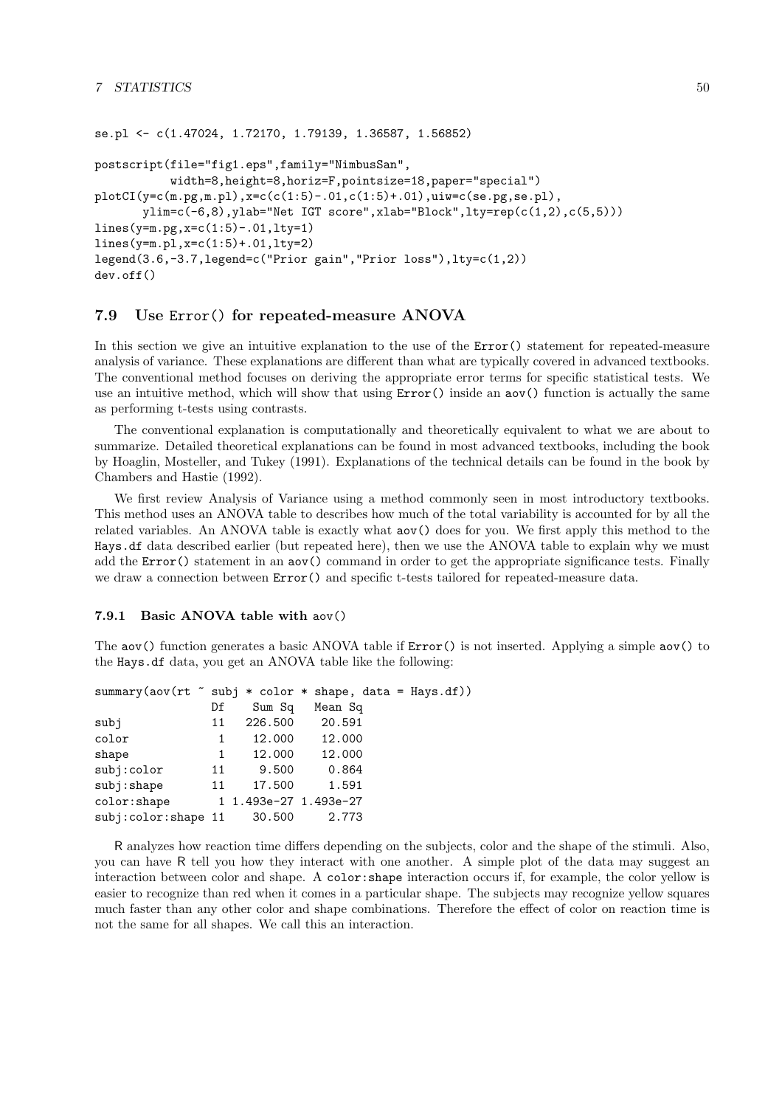```
se.pl <- c(1.47024, 1.72170, 1.79139, 1.36587, 1.56852)
postscript(file="fig1.eps",family="NimbusSan",
           width=8,height=8,horiz=F,pointsize=18,paper="special")
plotCI(y=c(m,pg,m,p1),x=c(c(1:5)-.01,c(1:5)+.01),uiv=c(se,pg,se.p1),ylim=c(-6,8),ylab="Net IGT score",xlab="Block",lty=rep(c(1,2),c(5,5)))
lines(y=m.pg,x=c(1:5)-.01,lty=1)
lines(y=m.pl,x=c(1:5)+.01,lty=2)
legend(3.6,-3.7,legend=c("Prior gain","Prior loss"),lty=c(1,2))
dev.off()
```
# 7.9 Use Error() for repeated-measure ANOVA

In this section we give an intuitive explanation to the use of the **Error**() statement for repeated-measure analysis of variance. These explanations are different than what are typically covered in advanced textbooks. The conventional method focuses on deriving the appropriate error terms for specific statistical tests. We use an intuitive method, which will show that using  $Error()$  inside an  $aov()$  function is actually the same as performing t-tests using contrasts.

The conventional explanation is computationally and theoretically equivalent to what we are about to summarize. Detailed theoretical explanations can be found in most advanced textbooks, including the book by Hoaglin, Mosteller, and Tukey (1991). Explanations of the technical details can be found in the book by Chambers and Hastie (1992).

We first review Analysis of Variance using a method commonly seen in most introductory textbooks. This method uses an ANOVA table to describes how much of the total variability is accounted for by all the related variables. An ANOVA table is exactly what aov() does for you. We first apply this method to the Hays.df data described earlier (but repeated here), then we use the ANOVA table to explain why we must add the Error() statement in an  $aov($ ) command in order to get the appropriate significance tests. Finally we draw a connection between  $Error()$  and specific t-tests tailored for repeated-measure data.

### 7.9.1 Basic ANOVA table with aov()

The aov() function generates a basic ANOVA table if  $Error()$  is not inserted. Applying a simple aov() to the Hays.df data, you get an ANOVA table like the following:

| Df | Sum Sq              | Mean Sq |                                  |                                                                             |
|----|---------------------|---------|----------------------------------|-----------------------------------------------------------------------------|
| 11 |                     | 20.591  |                                  |                                                                             |
| 1  | 12.000              | 12.000  |                                  |                                                                             |
| 1  | 12.000              | 12.000  |                                  |                                                                             |
| 11 | 9.500               | 0.864   |                                  |                                                                             |
| 11 | 17.500              | 1.591   |                                  |                                                                             |
|    |                     |         |                                  |                                                                             |
|    | 30.500              | 2.773   |                                  |                                                                             |
|    | subj:color:shape 11 |         | 226.500<br>1 1.493e-27 1.493e-27 | summary(aov(rt $\tilde{\phantom{a}}$ subj * color * shape, data = Hays.df)) |

R analyzes how reaction time differs depending on the subjects, color and the shape of the stimuli. Also, you can have R tell you how they interact with one another. A simple plot of the data may suggest an interaction between color and shape. A color:shape interaction occurs if, for example, the color yellow is easier to recognize than red when it comes in a particular shape. The subjects may recognize yellow squares much faster than any other color and shape combinations. Therefore the effect of color on reaction time is not the same for all shapes. We call this an interaction.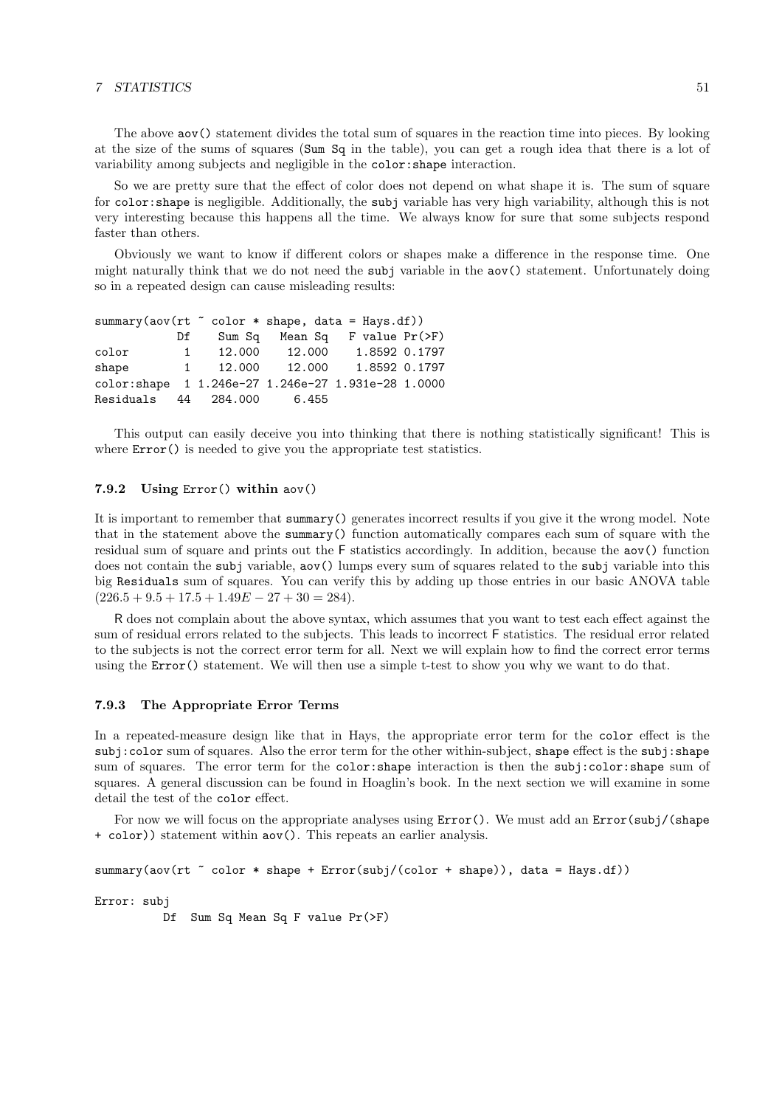### 7 STATISTICS 51

The above aov() statement divides the total sum of squares in the reaction time into pieces. By looking at the size of the sums of squares (Sum Sq in the table), you can get a rough idea that there is a lot of variability among subjects and negligible in the color:shape interaction.

So we are pretty sure that the effect of color does not depend on what shape it is. The sum of square for color:shape is negligible. Additionally, the subj variable has very high variability, although this is not very interesting because this happens all the time. We always know for sure that some subjects respond faster than others.

Obviously we want to know if different colors or shapes make a difference in the response time. One might naturally think that we do not need the subj variable in the aov() statement. Unfortunately doing so in a repeated design can cause misleading results:

```
summary(aov(rt \text{ color} * shape, data = Hays.df))Df Sum Sq Mean Sq F value Pr(>F)
color 1 12.000 12.000 1.8592 0.1797
shape 1 12.000 12.000 1.8592 0.1797
color:shape 1 1.246e-27 1.246e-27 1.931e-28 1.0000
Residuals 44 284.000 6.455
```
This output can easily deceive you into thinking that there is nothing statistically significant! This is where  $Error()$  is needed to give you the appropriate test statistics.

### 7.9.2 Using Error() within aov()

It is important to remember that summary() generates incorrect results if you give it the wrong model. Note that in the statement above the summary() function automatically compares each sum of square with the residual sum of square and prints out the F statistics accordingly. In addition, because the aov() function does not contain the subj variable, aov() lumps every sum of squares related to the subj variable into this big Residuals sum of squares. You can verify this by adding up those entries in our basic ANOVA table  $(226.5 + 9.5 + 17.5 + 1.49E - 27 + 30 = 284).$ 

R does not complain about the above syntax, which assumes that you want to test each effect against the sum of residual errors related to the subjects. This leads to incorrect F statistics. The residual error related to the subjects is not the correct error term for all. Next we will explain how to find the correct error terms using the Error() statement. We will then use a simple t-test to show you why we want to do that.

### 7.9.3 The Appropriate Error Terms

In a repeated-measure design like that in Hays, the appropriate error term for the color effect is the subj:color sum of squares. Also the error term for the other within-subject, shape effect is the subj:shape sum of squares. The error term for the color: shape interaction is then the subj:color: shape sum of squares. A general discussion can be found in Hoaglin's book. In the next section we will examine in some detail the test of the color effect.

For now we will focus on the appropriate analyses using  $Error()$ . We must add an  $Error(subj/(shape)$ + color)) statement within aov(). This repeats an earlier analysis.

```
summary(aov(rt \degree color * shape + Error(subj/(color + shape)), data = Hays.df))
```
Error: subj

Df Sum Sq Mean Sq F value Pr(>F)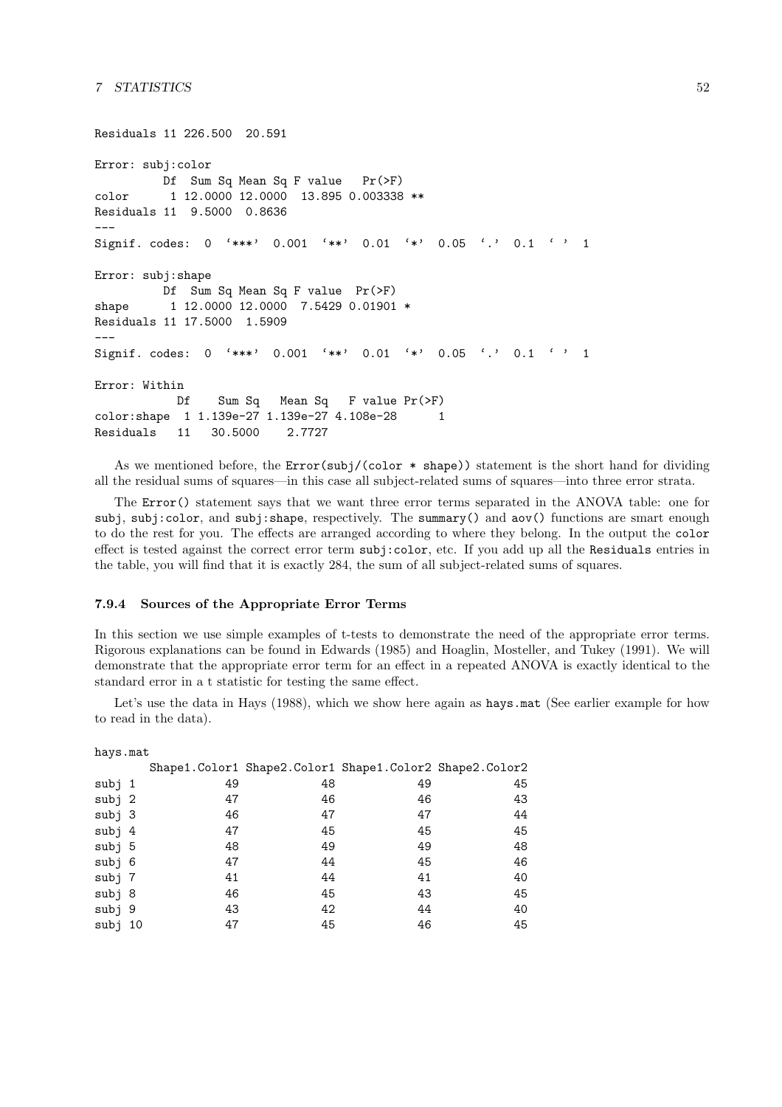hays.mat

```
Residuals 11 226.500 20.591
Error: subj:color
        Df Sum Sq Mean Sq F value Pr(>F)
color 1 12.0000 12.0000 13.895 0.003338 **
Residuals 11 9.5000 0.8636
---
Signif. codes: 0 '***' 0.001 '**' 0.01 '*' 0.05 '.' 0.1 ' ' 1
Error: subj:shape
        Df Sum Sq Mean Sq F value Pr(>F)
shape 1 12.0000 12.0000 7.5429 0.01901 *
Residuals 11 17.5000 1.5909
---
Signif. codes: 0 '***' 0.001 '**' 0.01 '*' 0.05 '.' 0.1 '' 1
Error: Within
          Df Sum Sq Mean Sq F value Pr(>F)
color:shape 1 1.139e-27 1.139e-27 4.108e-28 1
Residuals 11 30.5000 2.7727
```
As we mentioned before, the Error(subj/(color \* shape)) statement is the short hand for dividing all the residual sums of squares—in this case all subject-related sums of squares—into three error strata.

The Error() statement says that we want three error terms separated in the ANOVA table: one for subj, subj:color, and subj:shape, respectively. The summary() and aov() functions are smart enough to do the rest for you. The effects are arranged according to where they belong. In the output the color effect is tested against the correct error term subj:color, etc. If you add up all the Residuals entries in the table, you will find that it is exactly 284, the sum of all subject-related sums of squares.

### 7.9.4 Sources of the Appropriate Error Terms

In this section we use simple examples of t-tests to demonstrate the need of the appropriate error terms. Rigorous explanations can be found in Edwards (1985) and Hoaglin, Mosteller, and Tukey (1991). We will demonstrate that the appropriate error term for an effect in a repeated ANOVA is exactly identical to the standard error in a t statistic for testing the same effect.

Let's use the data in Hays (1988), which we show here again as hays.mat (See earlier example for how to read in the data).

| 11 a y 10 . 111 a v |    |    |                                                         |    |
|---------------------|----|----|---------------------------------------------------------|----|
|                     |    |    | Shape1.Color1 Shape2.Color1 Shape1.Color2 Shape2.Color2 |    |
| subj 1              | 49 | 48 | 49                                                      | 45 |
| subj 2              | 47 | 46 | 46                                                      | 43 |
| subj 3              | 46 | 47 | 47                                                      | 44 |
| subj 4              | 47 | 45 | 45                                                      | 45 |
| subj 5              | 48 | 49 | 49                                                      | 48 |
| subj 6              | 47 | 44 | 45                                                      | 46 |
| subj 7              | 41 | 44 | 41                                                      | 40 |
| subj 8              | 46 | 45 | 43                                                      | 45 |
| subj 9              | 43 | 42 | 44                                                      | 40 |
| subj 10             | 47 | 45 | 46                                                      | 45 |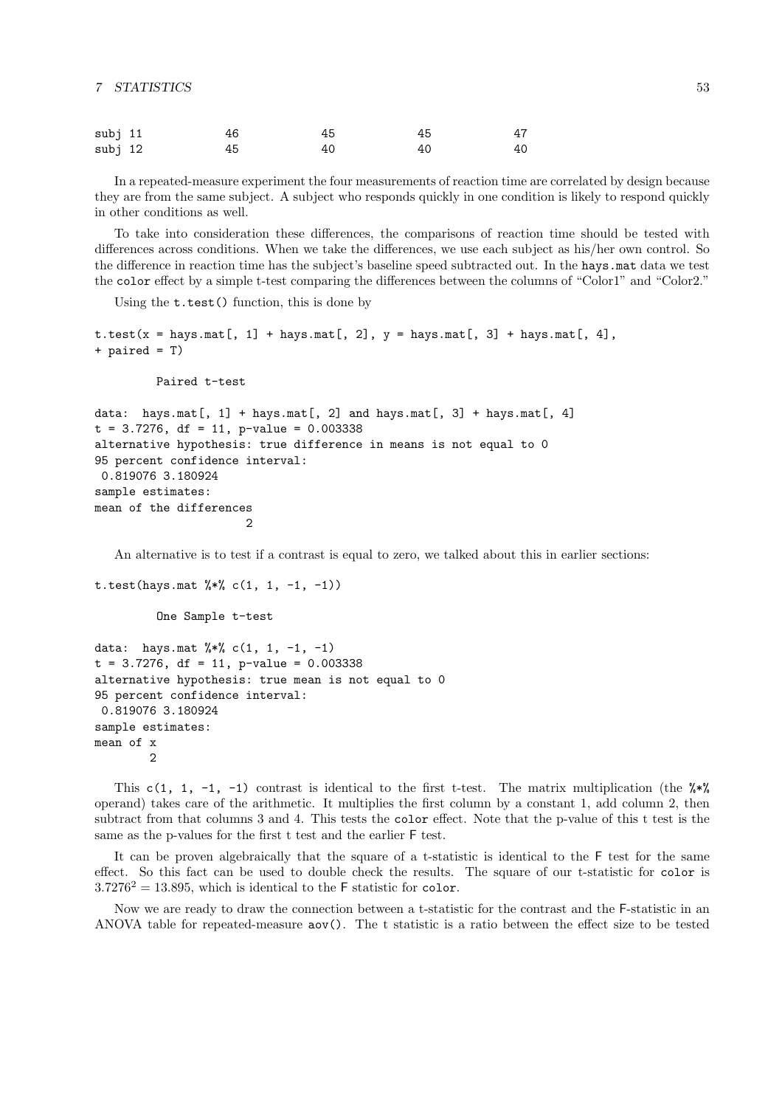7 STATISTICS 53

| subj 11 | 46 | 45 | 45 | 47 |
|---------|----|----|----|----|
| subj 12 | 45 | 40 | 40 | 40 |

In a repeated-measure experiment the four measurements of reaction time are correlated by design because they are from the same subject. A subject who responds quickly in one condition is likely to respond quickly in other conditions as well.

To take into consideration these differences, the comparisons of reaction time should be tested with differences across conditions. When we take the differences, we use each subject as his/her own control. So the difference in reaction time has the subject's baseline speed subtracted out. In the hays.mat data we test the color effect by a simple t-test comparing the differences between the columns of "Color1" and "Color2."

Using the t.test() function, this is done by

```
t.test(x = \text{hays.mat}[, 1] + hays.mat[, 2], y = \text{hays.mat}[, 3] + hays.mat[, 4],
+ paired = T)
```

```
Paired t-test
```

```
data: hays.mat \lceil, 1] + hays.mat \lceil, 2] and hays.mat \lceil, 3] + hays.mat \lceil, 4]
t = 3.7276, df = 11, p-value = 0.003338
alternative hypothesis: true difference in means is not equal to 0
95 percent confidence interval:
0.819076 3.180924
sample estimates:
mean of the differences
                         \mathfrak{D}
```
An alternative is to test if a contrast is equal to zero, we talked about this in earlier sections:

```
t.test(hays.mat \frac{1}{2} / \frac{1}{2}, \frac{1}{2}, \frac{-1}{2})
```

```
One Sample t-test
```

```
data: hays.mat \frac{1}{2} (1, 1, -1, -1)
t = 3.7276, df = 11, p-value = 0.003338
alternative hypothesis: true mean is not equal to 0
95 percent confidence interval:
0.819076 3.180924
sample estimates:
mean of x
        2
```
This  $c(1, 1, -1, -1)$  contrast is identical to the first t-test. The matrix multiplication (the  $\frac{1}{6}$ \*%) operand) takes care of the arithmetic. It multiplies the first column by a constant 1, add column 2, then subtract from that columns 3 and 4. This tests the color effect. Note that the p-value of this t test is the same as the p-values for the first t test and the earlier F test.

It can be proven algebraically that the square of a t-statistic is identical to the F test for the same effect. So this fact can be used to double check the results. The square of our t-statistic for color is  $3.7276<sup>2</sup> = 13.895$ , which is identical to the F statistic for color.

Now we are ready to draw the connection between a t-statistic for the contrast and the F-statistic in an ANOVA table for repeated-measure aov(). The t statistic is a ratio between the effect size to be tested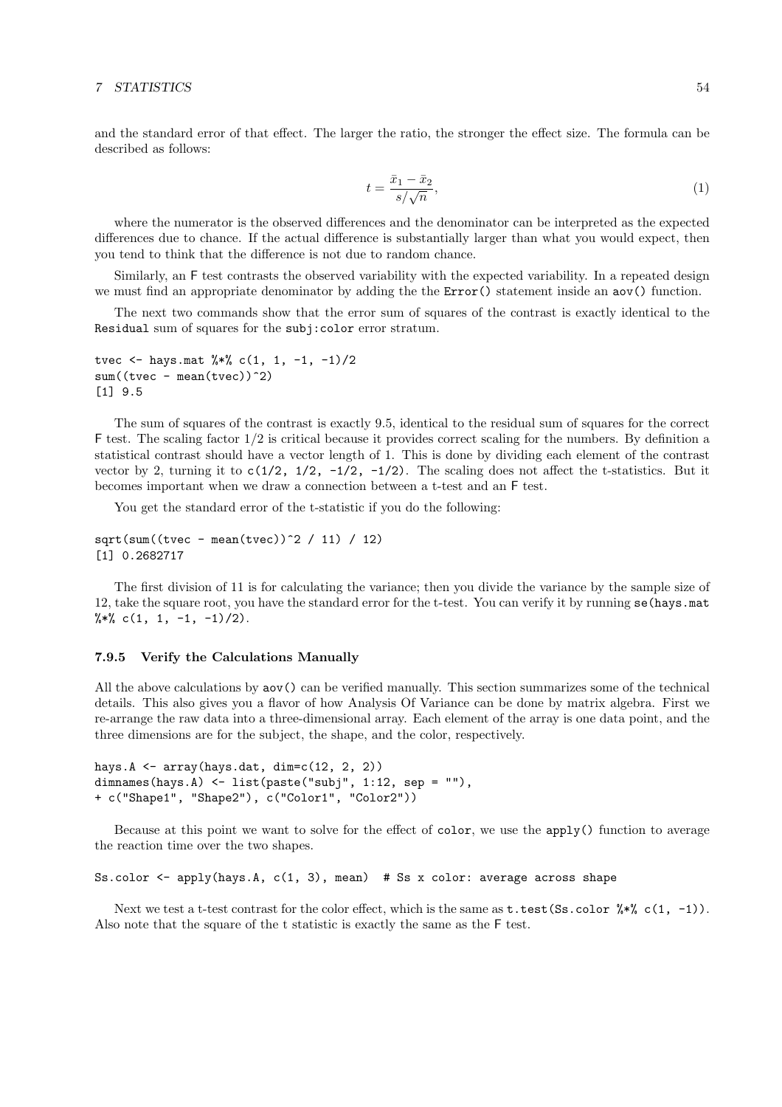#### 7 STATISTICS 54

and the standard error of that effect. The larger the ratio, the stronger the effect size. The formula can be described as follows:

$$
t = \frac{\bar{x}_1 - \bar{x}_2}{s / \sqrt{n}},\tag{1}
$$

where the numerator is the observed differences and the denominator can be interpreted as the expected differences due to chance. If the actual difference is substantially larger than what you would expect, then you tend to think that the difference is not due to random chance.

Similarly, an F test contrasts the observed variability with the expected variability. In a repeated design we must find an appropriate denominator by adding the the  $Error()$  statement inside an aov() function.

The next two commands show that the error sum of squares of the contrast is exactly identical to the Residual sum of squares for the subj:color error stratum.

```
tvec <- hays.mat %*% c(1, 1, -1, -1)/2
sum((tvec - mean(tvec))^2)
[1] 9.5
```
The sum of squares of the contrast is exactly 9.5, identical to the residual sum of squares for the correct  $F$  test. The scaling factor  $1/2$  is critical because it provides correct scaling for the numbers. By definition a statistical contrast should have a vector length of 1. This is done by dividing each element of the contrast vector by 2, turning it to  $c(1/2, 1/2, -1/2, -1/2)$ . The scaling does not affect the t-statistics. But it becomes important when we draw a connection between a t-test and an F test.

You get the standard error of the t-statistic if you do the following:

```
sqrt(\text{sum}(\text{tvec} - \text{mean}(\text{tvec}))^2 / 11) / 12)[1] 0.2682717
```
The first division of 11 is for calculating the variance; then you divide the variance by the sample size of 12, take the square root, you have the standard error for the t-test. You can verify it by running se(hays.mat  $\frac{1}{2}$  ( $\frac{1}{2}$ ,  $\frac{1}{2}$ ,  $\frac{-1}{2}$ ).

### 7.9.5 Verify the Calculations Manually

All the above calculations by aov() can be verified manually. This section summarizes some of the technical details. This also gives you a flavor of how Analysis Of Variance can be done by matrix algebra. First we re-arrange the raw data into a three-dimensional array. Each element of the array is one data point, and the three dimensions are for the subject, the shape, and the color, respectively.

```
hays.A \leftarrow array(hays.dat, dim=c(12, 2, 2))
dimnames(hays.A) <- list(paste("subj", 1:12, sep = ""),
+ c("Shape1", "Shape2"), c("Color1", "Color2"))
```
Because at this point we want to solve for the effect of color, we use the apply() function to average the reaction time over the two shapes.

Ss.color  $\leq$  apply(hays.A, c(1, 3), mean) # Ss x color: average across shape

Next we test a t-test contrast for the color effect, which is the same as  $t.$  test(Ss.color  $\frac{1}{2}$ , c(1, -1)). Also note that the square of the t statistic is exactly the same as the F test.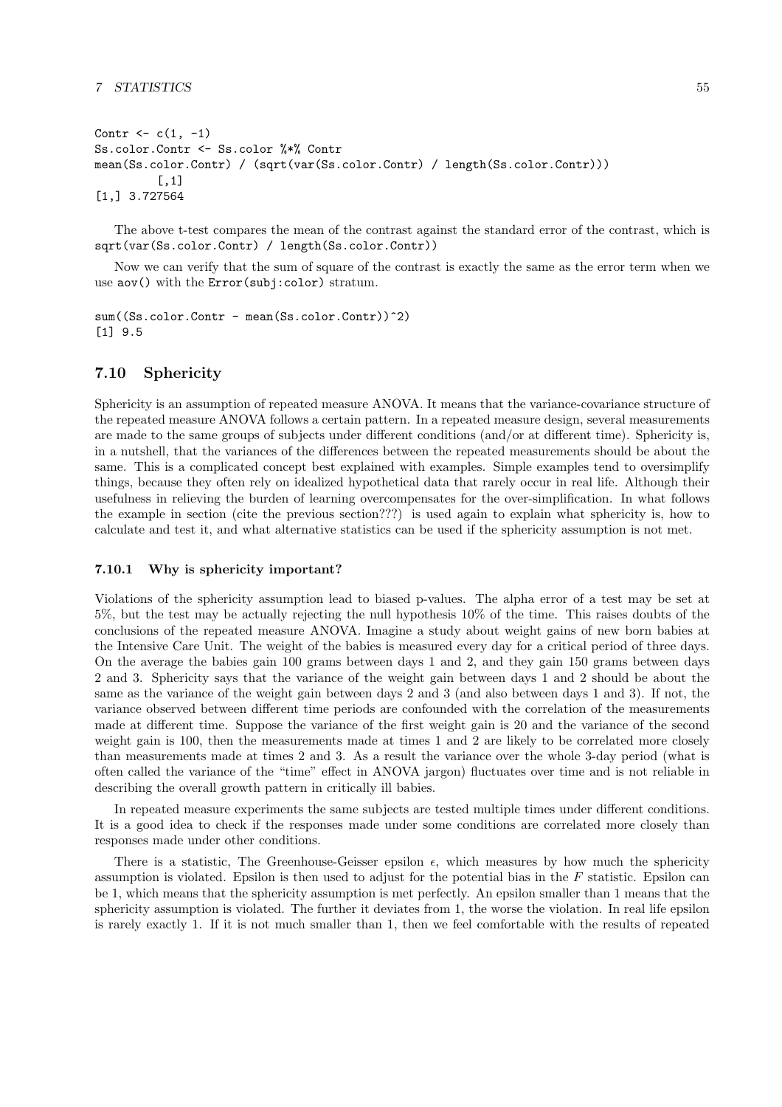```
Contr \leq c(1, -1)Ss.color.Contr <- Ss.color %*% Contr
mean(Ss.color.Contr) / (sqrt(var(Ss.color.Contr) / length(Ss.color.Contr)))
         [,1]
[1,] 3.727564
```
The above t-test compares the mean of the contrast against the standard error of the contrast, which is sqrt(var(Ss.color.Contr) / length(Ss.color.Contr))

Now we can verify that the sum of square of the contrast is exactly the same as the error term when we use aov() with the Error(subj:color) stratum.

```
sum((Ss.color.Contr - mean(Ss.color.Contr))<sup>2</sup>)
[1] 9.5
```
# 7.10 Sphericity

Sphericity is an assumption of repeated measure ANOVA. It means that the variance-covariance structure of the repeated measure ANOVA follows a certain pattern. In a repeated measure design, several measurements are made to the same groups of subjects under different conditions (and/or at different time). Sphericity is, in a nutshell, that the variances of the differences between the repeated measurements should be about the same. This is a complicated concept best explained with examples. Simple examples tend to oversimplify things, because they often rely on idealized hypothetical data that rarely occur in real life. Although their usefulness in relieving the burden of learning overcompensates for the over-simplification. In what follows the example in section (cite the previous section???) is used again to explain what sphericity is, how to calculate and test it, and what alternative statistics can be used if the sphericity assumption is not met.

### 7.10.1 Why is sphericity important?

Violations of the sphericity assumption lead to biased p-values. The alpha error of a test may be set at 5%, but the test may be actually rejecting the null hypothesis 10% of the time. This raises doubts of the conclusions of the repeated measure ANOVA. Imagine a study about weight gains of new born babies at the Intensive Care Unit. The weight of the babies is measured every day for a critical period of three days. On the average the babies gain 100 grams between days 1 and 2, and they gain 150 grams between days 2 and 3. Sphericity says that the variance of the weight gain between days 1 and 2 should be about the same as the variance of the weight gain between days 2 and 3 (and also between days 1 and 3). If not, the variance observed between different time periods are confounded with the correlation of the measurements made at different time. Suppose the variance of the first weight gain is 20 and the variance of the second weight gain is 100, then the measurements made at times 1 and 2 are likely to be correlated more closely than measurements made at times 2 and 3. As a result the variance over the whole 3-day period (what is often called the variance of the "time" effect in ANOVA jargon) fluctuates over time and is not reliable in describing the overall growth pattern in critically ill babies.

In repeated measure experiments the same subjects are tested multiple times under different conditions. It is a good idea to check if the responses made under some conditions are correlated more closely than responses made under other conditions.

There is a statistic, The Greenhouse-Geisser epsilon  $\epsilon$ , which measures by how much the sphericity assumption is violated. Epsilon is then used to adjust for the potential bias in the  $F$  statistic. Epsilon can be 1, which means that the sphericity assumption is met perfectly. An epsilon smaller than 1 means that the sphericity assumption is violated. The further it deviates from 1, the worse the violation. In real life epsilon is rarely exactly 1. If it is not much smaller than 1, then we feel comfortable with the results of repeated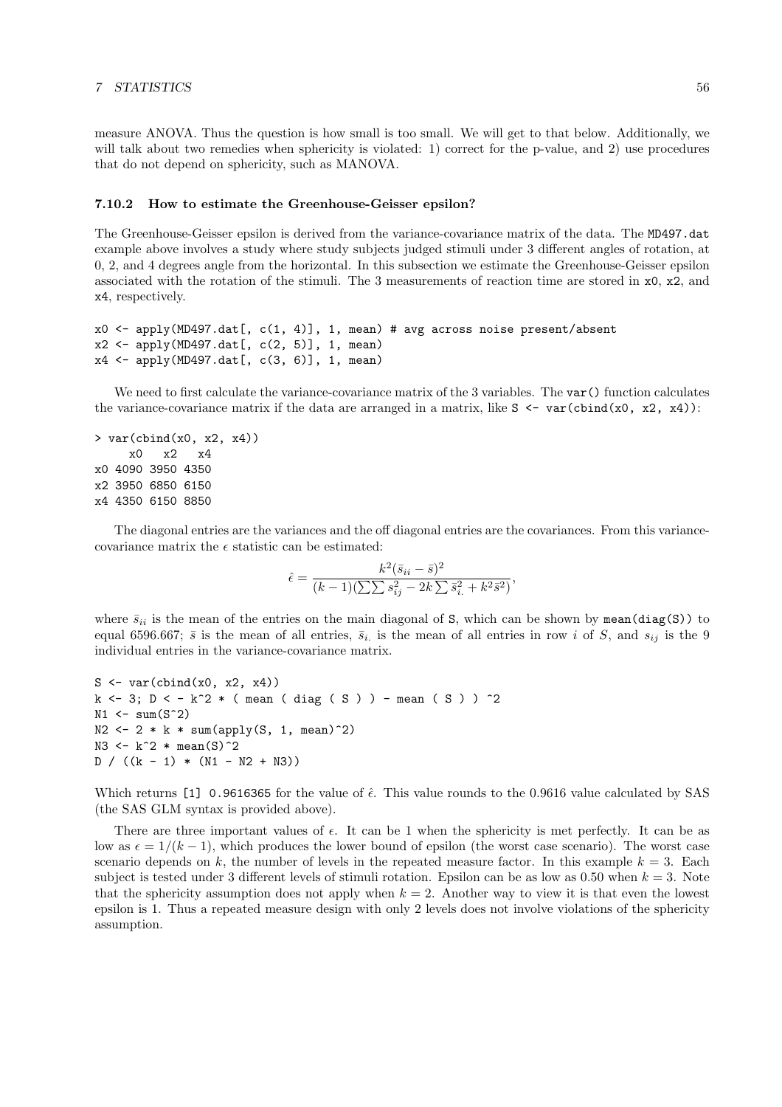measure ANOVA. Thus the question is how small is too small. We will get to that below. Additionally, we will talk about two remedies when sphericity is violated: 1) correct for the p-value, and 2) use procedures that do not depend on sphericity, such as MANOVA.

### 7.10.2 How to estimate the Greenhouse-Geisser epsilon?

The Greenhouse-Geisser epsilon is derived from the variance-covariance matrix of the data. The MD497.dat example above involves a study where study subjects judged stimuli under 3 different angles of rotation, at 0, 2, and 4 degrees angle from the horizontal. In this subsection we estimate the Greenhouse-Geisser epsilon associated with the rotation of the stimuli. The 3 measurements of reaction time are stored in x0, x2, and x4, respectively.

```
x0 <- apply(MD497.dat[, c(1, 4)], 1, mean) # avg across noise present/absent
x2 \leftarrow apply(MD497.dat[, c(2, 5)], 1, mean)x4 <- apply(MD497.dat[, c(3, 6)], 1, mean)
```
We need to first calculate the variance-covariance matrix of the 3 variables. The var() function calculates the variance-covariance matrix if the data are arranged in a matrix, like  $S \leftarrow \text{var}(\text{cbind}(x0, x2, x4))$ :

```
> var(cbind(x0, x2, x4))x0 x2 x4
x0 4090 3950 4350
x2 3950 6850 6150
x4 4350 6150 8850
```
The diagonal entries are the variances and the off diagonal entries are the covariances. From this variancecovariance matrix the  $\epsilon$  statistic can be estimated:

$$
\hat{\epsilon} = \frac{k^2(\bar{s}_{ii} - \bar{s})^2}{(k-1)(\sum \sum s_{ij}^2 - 2k \sum \bar{s}_{i}^2 + k^2 \bar{s}^2)},
$$

where  $\bar{s}_{ii}$  is the mean of the entries on the main diagonal of S, which can be shown by mean(diag(S)) to equal 6596.667;  $\bar{s}$  is the mean of all entries,  $\bar{s}_i$  is the mean of all entries in row i of S, and  $s_{ij}$  is the 9 individual entries in the variance-covariance matrix.

```
S \leftarrow \text{var}(\text{cbind}(x0, x2, x4))k \le -3; D \le -k^2 * (mean (diag (S ) ) - mean (S ) ) ^2
N1 <- sum(S^2)N2 \leftarrow 2 * k * sum(\text{apply}(S, 1, \text{mean})^2)N3 <- k^2 * \text{mean}(S)^2D / ((k - 1) * (N1 - N2 + N3))
```
Which returns [1] 0.9616365 for the value of  $\hat{\epsilon}$ . This value rounds to the 0.9616 value calculated by SAS (the SAS GLM syntax is provided above).

There are three important values of  $\epsilon$ . It can be 1 when the sphericity is met perfectly. It can be as low as  $\epsilon = 1/(k-1)$ , which produces the lower bound of epsilon (the worst case scenario). The worst case scenario depends on k, the number of levels in the repeated measure factor. In this example  $k = 3$ . Each subject is tested under 3 different levels of stimuli rotation. Epsilon can be as low as 0.50 when  $k = 3$ . Note that the sphericity assumption does not apply when  $k = 2$ . Another way to view it is that even the lowest epsilon is 1. Thus a repeated measure design with only 2 levels does not involve violations of the sphericity assumption.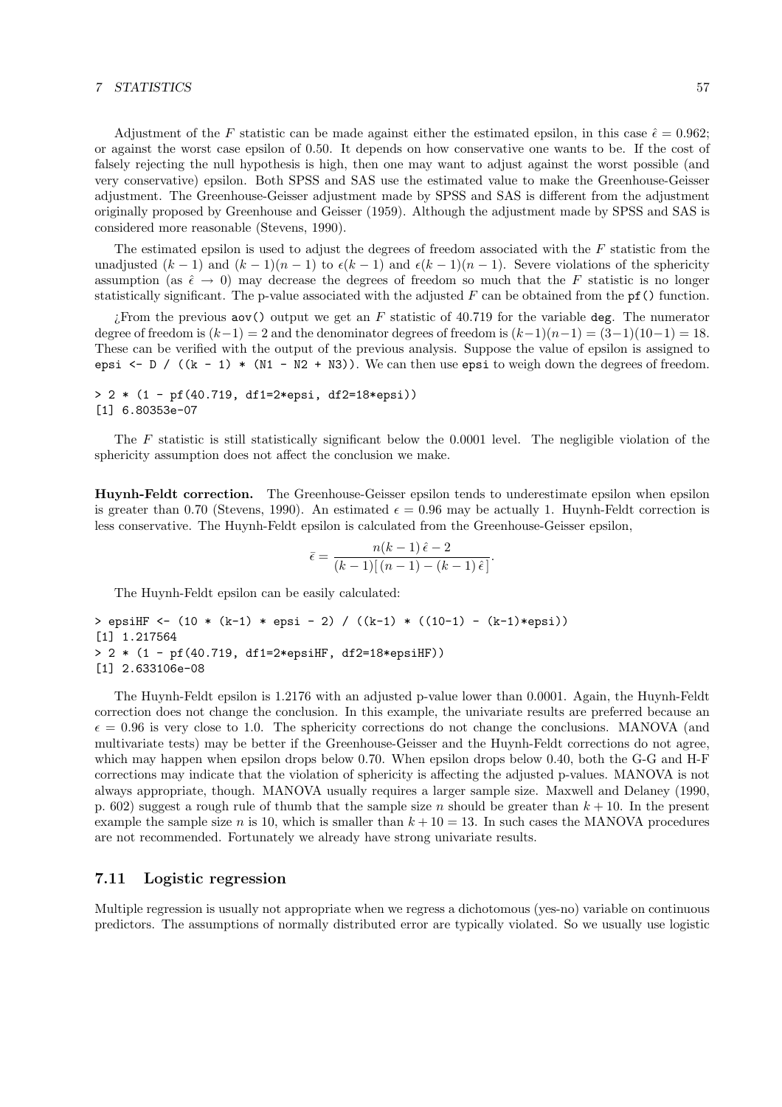#### 7 STATISTICS 57

Adjustment of the F statistic can be made against either the estimated epsilon, in this case  $\hat{\epsilon} = 0.962$ ; or against the worst case epsilon of 0.50. It depends on how conservative one wants to be. If the cost of falsely rejecting the null hypothesis is high, then one may want to adjust against the worst possible (and very conservative) epsilon. Both SPSS and SAS use the estimated value to make the Greenhouse-Geisser adjustment. The Greenhouse-Geisser adjustment made by SPSS and SAS is different from the adjustment originally proposed by Greenhouse and Geisser (1959). Although the adjustment made by SPSS and SAS is considered more reasonable (Stevens, 1990).

The estimated epsilon is used to adjust the degrees of freedom associated with the  $F$  statistic from the unadjusted  $(k-1)$  and  $(k-1)(n-1)$  to  $\epsilon(k-1)$  and  $\epsilon(k-1)(n-1)$ . Severe violations of the sphericity assumption (as  $\hat{\epsilon} \to 0$ ) may decrease the degrees of freedom so much that the F statistic is no longer statistically significant. The p-value associated with the adjusted  $F$  can be obtained from the  $pf()$  function.

From the previous  $aov()$  output we get an F statistic of 40.719 for the variable deg. The numerator degree of freedom is  $(k-1) = 2$  and the denominator degrees of freedom is  $(k-1)(n-1) = (3-1)(10-1) = 18$ . These can be verified with the output of the previous analysis. Suppose the value of epsilon is assigned to epsi  $\leq D$  / ((k - 1)  $\ast$  (N1 - N2 + N3)). We can then use epsi to weigh down the degrees of freedom.

 $> 2 * (1 - pf(40.719, df1=2*epsi, df2=18*epsi))$ [1] 6.80353e-07

The  $F$  statistic is still statistically significant below the 0.0001 level. The negligible violation of the sphericity assumption does not affect the conclusion we make.

Huynh-Feldt correction. The Greenhouse-Geisser epsilon tends to underestimate epsilon when epsilon is greater than 0.70 (Stevens, 1990). An estimated  $\epsilon = 0.96$  may be actually 1. Huynh-Feldt correction is less conservative. The Huynh-Feldt epsilon is calculated from the Greenhouse-Geisser epsilon,

$$
\bar{\epsilon} = \frac{n(k-1)\,\hat{\epsilon} - 2}{(k-1)\,[\,(n-1)-(k-1)\,\hat{\epsilon}\,]}.
$$

The Huynh-Feldt epsilon can be easily calculated:

```
> epsiHF <- (10 * (k-1) * epsi - 2) / ((k-1) * ((10-1) - (k-1)*epsi) )[1] 1.217564
> 2 * (1 - pf(40.719, df1=2*epsiHF, df2=18*epsiHF))
[1] 2.633106e-08
```
The Huynh-Feldt epsilon is 1.2176 with an adjusted p-value lower than 0.0001. Again, the Huynh-Feldt correction does not change the conclusion. In this example, the univariate results are preferred because an  $\epsilon = 0.96$  is very close to 1.0. The sphericity corrections do not change the conclusions. MANOVA (and multivariate tests) may be better if the Greenhouse-Geisser and the Huynh-Feldt corrections do not agree, which may happen when epsilon drops below 0.70. When epsilon drops below 0.40, both the G-G and H-F corrections may indicate that the violation of sphericity is affecting the adjusted p-values. MANOVA is not always appropriate, though. MANOVA usually requires a larger sample size. Maxwell and Delaney (1990, p. 602) suggest a rough rule of thumb that the sample size n should be greater than  $k + 10$ . In the present example the sample size n is 10, which is smaller than  $k + 10 = 13$ . In such cases the MANOVA procedures are not recommended. Fortunately we already have strong univariate results.

# 7.11 Logistic regression

Multiple regression is usually not appropriate when we regress a dichotomous (yes-no) variable on continuous predictors. The assumptions of normally distributed error are typically violated. So we usually use logistic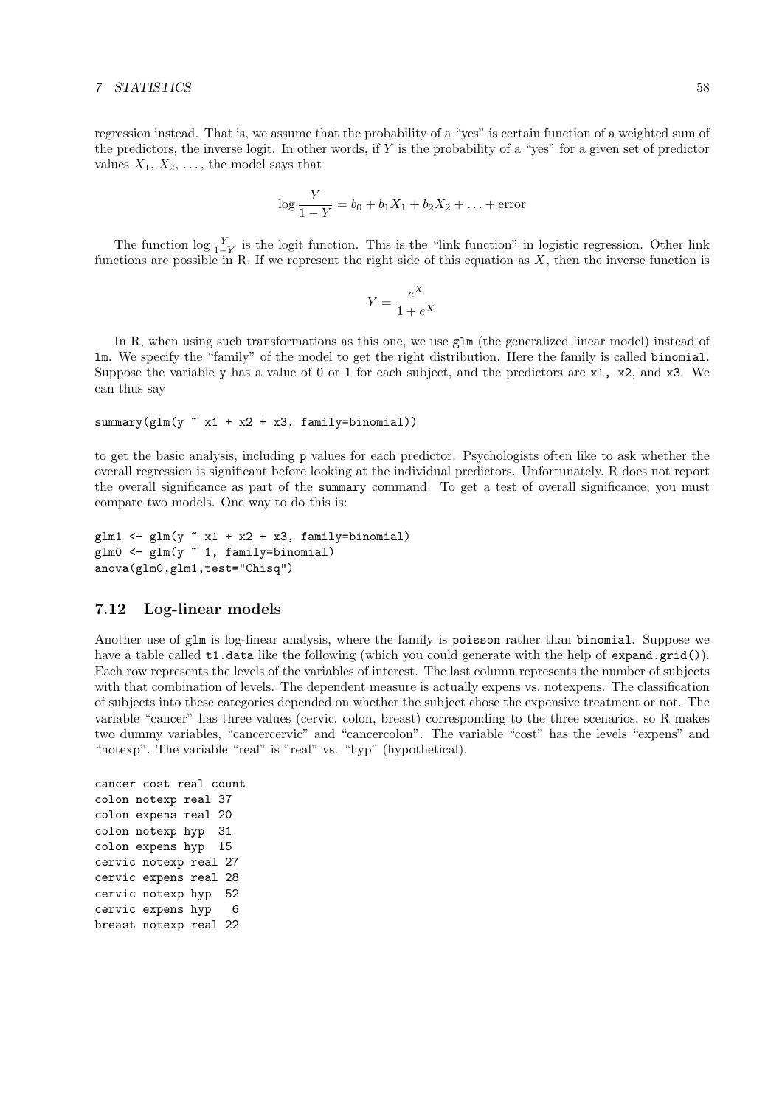regression instead. That is, we assume that the probability of a "yes" is certain function of a weighted sum of the predictors, the inverse logit. In other words, if  $Y$  is the probability of a "yes" for a given set of predictor values  $X_1, X_2, \ldots$ , the model says that

$$
\log \frac{Y}{1 - Y} = b_0 + b_1 X_1 + b_2 X_2 + \dots + \text{error}
$$

The function log  $\frac{Y}{1-Y}$  is the logit function. This is the "link function" in logistic regression. Other link functions are possible in R. If we represent the right side of this equation as  $X$ , then the inverse function is

$$
Y = \frac{e^X}{1 + e^X}
$$

In R, when using such transformations as this one, we use  $g \text{Im}$  (the generalized linear model) instead of lm. We specify the "family" of the model to get the right distribution. Here the family is called binomial. Suppose the variable y has a value of 0 or 1 for each subject, and the predictors are  $x1$ ,  $x2$ , and  $x3$ . We can thus say

```
summary(glm(y ~x1 + x2 + x3, family=binomial))
```
to get the basic analysis, including p values for each predictor. Psychologists often like to ask whether the overall regression is significant before looking at the individual predictors. Unfortunately, R does not report the overall significance as part of the summary command. To get a test of overall significance, you must compare two models. One way to do this is:

```
glm1 \leftarrow glm(y \sim x1 + x2 + x3, family=binomial)glm0 \leftarrow glm(y \sim 1, fanily=binomial)anova(glm0,glm1,test="Chisq")
```
# 7.12 Log-linear models

Another use of glm is log-linear analysis, where the family is poisson rather than binomial. Suppose we have a table called  $t1$ . data like the following (which you could generate with the help of expand.grid()). Each row represents the levels of the variables of interest. The last column represents the number of subjects with that combination of levels. The dependent measure is actually expens vs. notexpens. The classification of subjects into these categories depended on whether the subject chose the expensive treatment or not. The variable "cancer" has three values (cervic, colon, breast) corresponding to the three scenarios, so R makes two dummy variables, "cancercervic" and "cancercolon". The variable "cost" has the levels "expens" and "notexp". The variable "real" is "real" vs. "hyp" (hypothetical).

cancer cost real count colon notexp real 37 colon expens real 20 colon notexp hyp 31 colon expens hyp 15 cervic notexp real 27 cervic expens real 28 cervic notexp hyp 52 cervic expens hyp 6 breast notexp real 22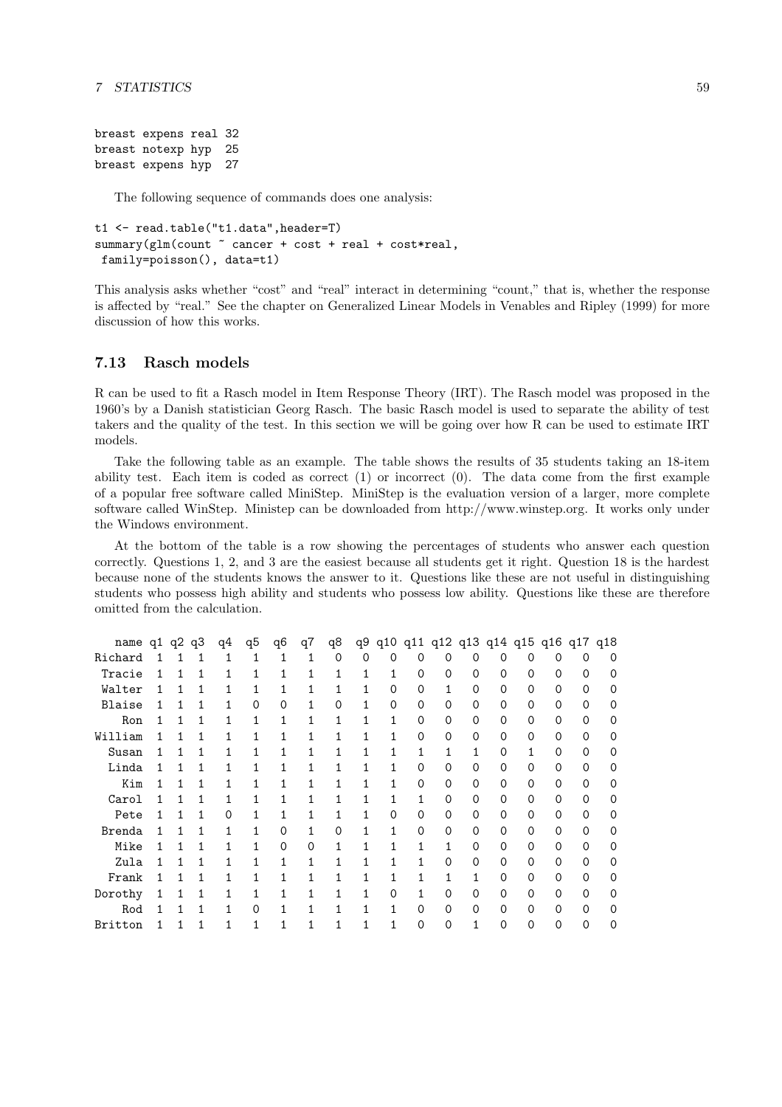```
breast expens real 32
breast notexp hyp 25
breast expens hyp 27
```
The following sequence of commands does one analysis:

```
t1 <- read.table("t1.data",header=T)
summary(glm(count ~ cancer + cost + real + cost*real,
family=poisson(), data=t1)
```
This analysis asks whether "cost" and "real" interact in determining "count," that is, whether the response is affected by "real." See the chapter on Generalized Linear Models in Venables and Ripley (1999) for more discussion of how this works.

# 7.13 Rasch models

R can be used to fit a Rasch model in Item Response Theory (IRT). The Rasch model was proposed in the 1960's by a Danish statistician Georg Rasch. The basic Rasch model is used to separate the ability of test takers and the quality of the test. In this section we will be going over how R can be used to estimate IRT models.

Take the following table as an example. The table shows the results of 35 students taking an 18-item ability test. Each item is coded as correct  $(1)$  or incorrect  $(0)$ . The data come from the first example of a popular free software called MiniStep. MiniStep is the evaluation version of a larger, more complete software called WinStep. Ministep can be downloaded from http://www.winstep.org. It works only under the Windows environment.

At the bottom of the table is a row showing the percentages of students who answer each question correctly. Questions 1, 2, and 3 are the easiest because all students get it right. Question 18 is the hardest because none of the students knows the answer to it. Questions like these are not useful in distinguishing students who possess high ability and students who possess low ability. Questions like these are therefore omitted from the calculation.

| name q1 q2 q3 |   |   |   | q4       | q5       | q6 | q7 | q8       |   |   |          | q9 q10 q11 q12 q13 q14 q15 q16 q17 q18 |          |          |          |          |          |          |
|---------------|---|---|---|----------|----------|----|----|----------|---|---|----------|----------------------------------------|----------|----------|----------|----------|----------|----------|
| Richard       |   |   |   |          |          |    |    | $\Omega$ | 0 | 0 | O        | O                                      | 0        | O        | O        | O        | O        | 0        |
| Tracie        |   |   |   |          |          |    |    |          |   |   | 0        | 0                                      | $\Omega$ | $\Omega$ | 0        | 0        | 0        | $\Omega$ |
| Walter        |   |   |   |          |          |    |    |          |   | 0 | 0        |                                        | 0        | $\Omega$ | 0        | 0        | $\Omega$ | $\Omega$ |
| Blaise        |   |   |   |          | $\Omega$ | 0  |    | ი        |   | 0 | $\Omega$ | 0                                      | 0        | $\Omega$ | 0        | $\Omega$ | $\Omega$ | 0        |
| Ron           | 1 |   |   |          |          |    |    |          |   |   | 0        | 0                                      | 0        | $\Omega$ | 0        | 0        | $\Omega$ | 0        |
| William       |   |   |   |          |          |    |    |          |   |   | $\Omega$ | 0                                      | 0        | $\Omega$ | 0        | $\Omega$ | $\Omega$ | 0        |
| Susan         | 1 |   |   |          |          |    |    |          |   |   |          |                                        |          | $\Omega$ |          | $\Omega$ | $\Omega$ | 0        |
| Linda         | 1 |   |   |          |          |    |    |          |   |   | 0        | 0                                      | 0        | $\Omega$ | 0        | $\Omega$ | $\Omega$ | $\Omega$ |
| Kim           | 1 | 1 |   |          |          |    |    |          |   |   | $\Omega$ | 0                                      | $\Omega$ | $\Omega$ | 0        | $\Omega$ | $\Omega$ | 0        |
| Carol         | 1 |   |   |          |          |    |    |          |   |   |          | 0                                      | $\Omega$ | $\Omega$ | 0        | $\Omega$ | $\Omega$ | $\Omega$ |
| Pete          | 1 | 1 | 1 | $\Omega$ |          |    |    |          |   | 0 | $\Omega$ | 0                                      | $\Omega$ | $\Omega$ | 0        | $\Omega$ | $\Omega$ | 0        |
| Brenda        | 1 |   |   | 1        |          | Ω  |    | ი        |   |   | $\Omega$ | $\Omega$                               | $\Omega$ | $\Omega$ | 0        | $\Omega$ | $\Omega$ | $\Omega$ |
| Mike          | 1 |   |   |          |          | Ω  | 0  |          |   |   |          |                                        | Ω        | $\Omega$ | 0        | $\Omega$ | $\Omega$ | 0        |
| Zula          | 1 |   |   |          |          |    |    |          |   |   |          | 0                                      | Ω        | $\Omega$ | 0        | $\Omega$ | $\Omega$ | 0        |
| Frank         |   |   |   |          |          |    |    |          |   |   |          |                                        |          | $\Omega$ | 0        | $\Omega$ | 0        | $\Omega$ |
| Dorothy       |   |   |   |          |          |    |    |          |   | ი |          | 0                                      | Ω        | $\Omega$ | $\Omega$ | $\Omega$ | $\Omega$ | 0        |
| Rod           |   |   |   |          | 0        |    |    |          |   |   | 0        | $\Omega$                               | Ω        | $\Omega$ | 0        | $\Omega$ | $\Omega$ | 0        |
| Britton       |   |   |   |          |          |    |    |          |   |   | 0        | 0                                      |          | $\Omega$ | 0        | $\Omega$ | 0        | Ω        |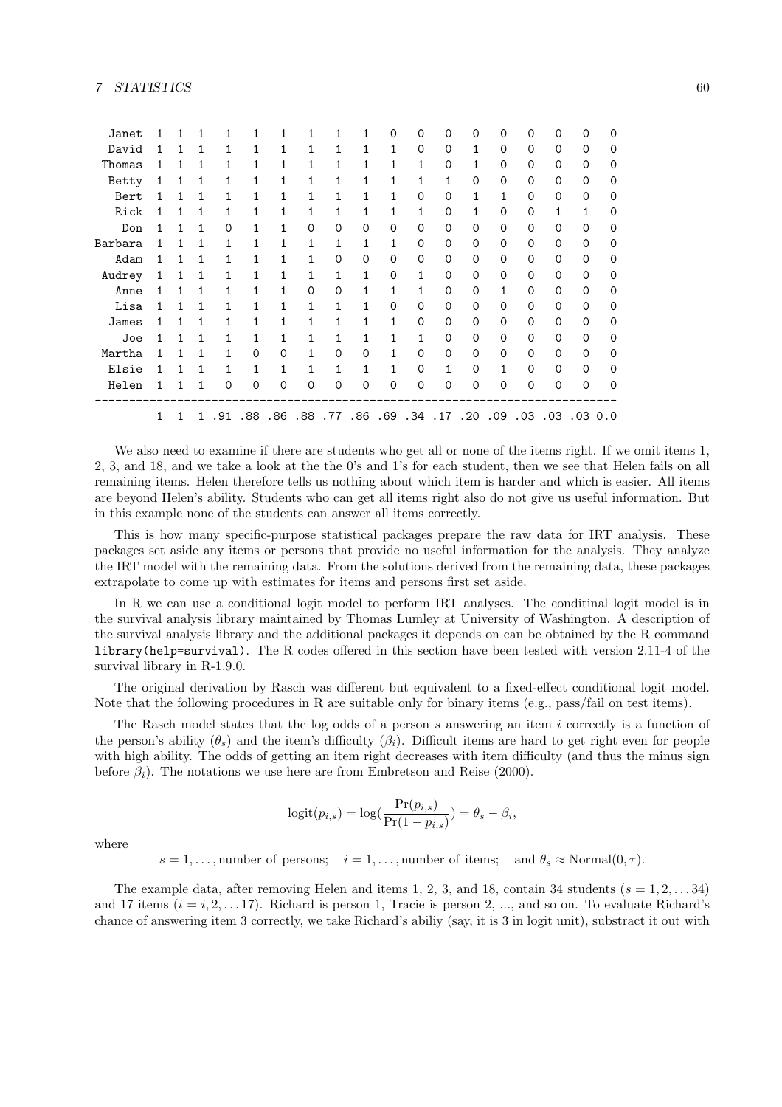| Janet   |   |   |   |     |          |          | 1        | 1            | 1            | 0            | $\mathbf 0$  | $\mathbf 0$ | 0           | 0        | 0        | 0        | $\Omega$     | 0        |
|---------|---|---|---|-----|----------|----------|----------|--------------|--------------|--------------|--------------|-------------|-------------|----------|----------|----------|--------------|----------|
| David   |   | 1 |   |     | 1        | 1        | 1        | 1            | 1            | $\mathbf{1}$ | $\mathbf 0$  | $\mathbf 0$ | 1           | $\Omega$ | 0        | 0        | 0            | 0        |
| Thomas  |   | 1 |   |     | 1        | 1        | 1        | $\mathbf 1$  | 1            | $\mathbf{1}$ | 1            | $\Omega$    | 1           | $\Omega$ | $\Omega$ | $\Omega$ | $\mathbf 0$  | $\Omega$ |
| Betty   |   | 1 | 1 | 1   | 1        | 1        | 1        | $\mathbf 1$  | 1            | $\mathbf{1}$ | 1            | 1           | 0           | $\Omega$ | $\Omega$ | $\Omega$ | $\mathbf 0$  | 0        |
| Bert    |   | 1 |   |     |          | 1        | 1        | 1            | 1            | 1            | $\Omega$     | $\Omega$    | 1           | 1        | $\Omega$ | $\Omega$ | $\Omega$     | $\Omega$ |
| Rick    |   |   |   |     |          |          |          |              | 1            |              | 1            | $\mathbf 0$ | 1           | $\Omega$ | 0        | 1        | $\mathbf{1}$ | $\Omega$ |
| Don     |   |   |   | Ω   |          | 1        | $\Omega$ | $\Omega$     | $\mathbf 0$  | 0            | $\Omega$     | $\mathbf 0$ | $\Omega$    | $\Omega$ | $\Omega$ | $\Omega$ | $\Omega$     | $\Omega$ |
| Barbara |   |   |   | 1   |          |          | 1        | $\mathbf 1$  | 1            | 1            | 0            | $\mathbf 0$ | $\mathbf 0$ | $\Omega$ | $\Omega$ | $\Omega$ | $\Omega$     | 0        |
| Adam    |   |   |   |     |          |          | 1        | $\Omega$     | $\Omega$     | 0            | $\Omega$     | $\Omega$    | $\Omega$    | $\Omega$ | $\Omega$ | $\Omega$ | $\Omega$     | $\Omega$ |
| Audrey  | 1 |   |   |     |          |          |          | 1            | 1            | $\mathbf 0$  | 1            | $\mathbf 0$ | 0           | $\Omega$ | 0        | 0        | $\Omega$     | 0        |
| Anne    |   |   |   |     |          |          | $\Omega$ | 0            | 1            | 1            | 1            | $\mathbf 0$ | 0           | 1        | 0        | 0        | $\mathbf 0$  | $\Omega$ |
| Lisa    |   |   |   |     |          |          | 1        | 1            | 1            | $\mathbf 0$  | 0            | $\mathbf 0$ | 0           | $\Omega$ | $\Omega$ | $\Omega$ | $\Omega$     | 0        |
| James   |   |   |   |     |          |          |          | $\mathbf{1}$ | $\mathbf{1}$ | 1            | $\Omega$     | $\mathbf 0$ | 0           | $\Omega$ | $\Omega$ | $\Omega$ | $\Omega$     | 0        |
| Joe     |   |   |   |     |          |          |          |              |              |              | 1            | $\Omega$    | 0           | $\Omega$ | $\Omega$ | $\Omega$ | $\Omega$     | $\Omega$ |
| Martha  |   |   |   |     | $\Omega$ | $\Omega$ | 1        | 0            | 0            | $\mathbf{1}$ | $\Omega$     | $\Omega$    | 0           | $\Omega$ | 0        | $\Omega$ | $\Omega$     | $\Omega$ |
| Elsie   |   |   |   |     |          |          |          | 1            | 1            |              | $\Omega$     | 1           | 0           | 1        | $\Omega$ | $\Omega$ | $\Omega$     | $\Omega$ |
| Helen   | 1 |   |   | 0   | $\Omega$ | $\Omega$ | $\Omega$ | $\Omega$     | 0            | $\Omega$     | $\Omega$     | $\Omega$    | 0           | $\Omega$ | $\Omega$ | $\Omega$ | $\Omega$     | $\Omega$ |
|         | 1 | 1 | 1 | .91 | .88      | .86      | .88      | .77          | .86          |              | .69.34.17.20 |             |             | .09      | .03      | .03      | .03          | 0.0      |

We also need to examine if there are students who get all or none of the items right. If we omit items 1, 2, 3, and 18, and we take a look at the the 0's and 1's for each student, then we see that Helen fails on all remaining items. Helen therefore tells us nothing about which item is harder and which is easier. All items are beyond Helen's ability. Students who can get all items right also do not give us useful information. But in this example none of the students can answer all items correctly.

This is how many specific-purpose statistical packages prepare the raw data for IRT analysis. These packages set aside any items or persons that provide no useful information for the analysis. They analyze the IRT model with the remaining data. From the solutions derived from the remaining data, these packages extrapolate to come up with estimates for items and persons first set aside.

In R we can use a conditional logit model to perform IRT analyses. The conditinal logit model is in the survival analysis library maintained by Thomas Lumley at University of Washington. A description of the survival analysis library and the additional packages it depends on can be obtained by the R command library(help=survival). The R codes offered in this section have been tested with version 2.11-4 of the survival library in R-1.9.0.

The original derivation by Rasch was different but equivalent to a fixed-effect conditional logit model. Note that the following procedures in R are suitable only for binary items (e.g., pass/fail on test items).

The Rasch model states that the log odds of a person s answering an item i correctly is a function of the person's ability  $(\theta_s)$  and the item's difficulty  $(\beta_i)$ . Difficult items are hard to get right even for people with high ability. The odds of getting an item right decreases with item difficulty (and thus the minus sign before  $\beta_i$ ). The notations we use here are from Embretson and Reise (2000).

$$
logit(p_{i,s}) = log(\frac{Pr(p_{i,s})}{Pr(1-p_{i,s})}) = \theta_s - \beta_i,
$$

where

 $s = 1, \ldots$ , number of persons;  $i = 1, \ldots$ , number of items; and  $\theta_s \approx \text{Normal}(0, \tau)$ .

The example data, after removing Helen and items 1, 2, 3, and 18, contain 34 students ( $s = 1, 2, \ldots, 34$ ) and 17 items  $(i = i, 2, \ldots, 17)$ . Richard is person 1, Tracie is person 2, ..., and so on. To evaluate Richard's chance of answering item 3 correctly, we take Richard's abiliy (say, it is 3 in logit unit), substract it out with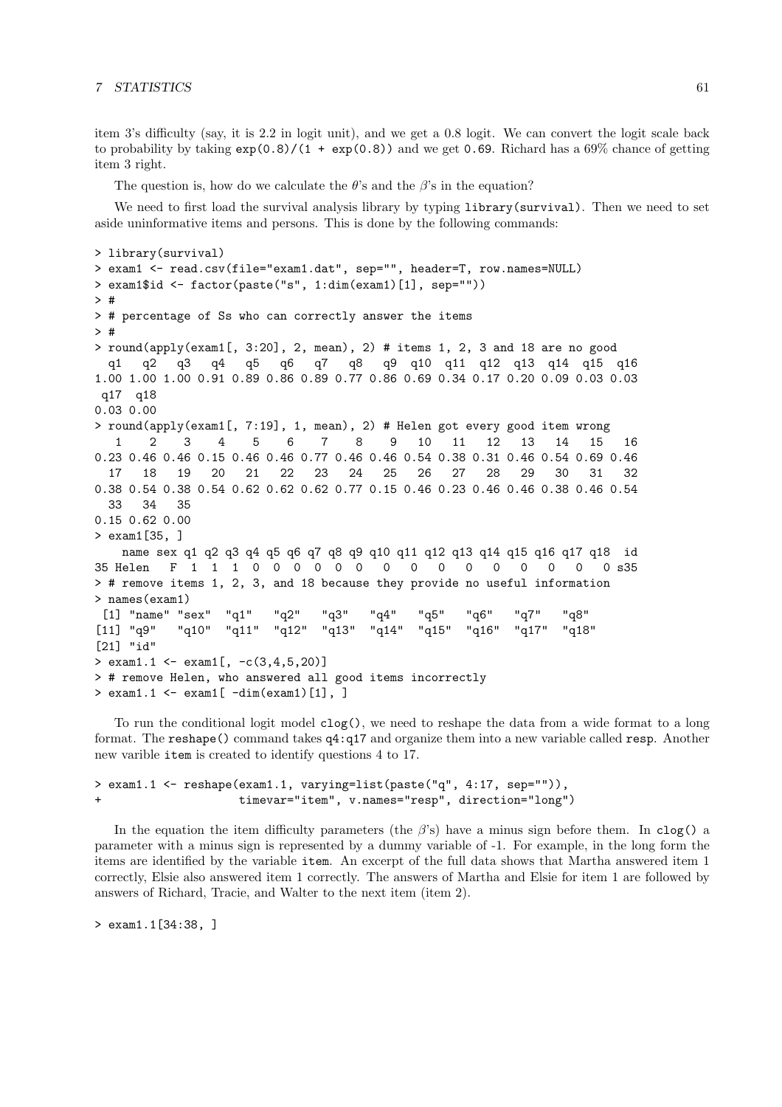item 3's difficulty (say, it is 2.2 in logit unit), and we get a 0.8 logit. We can convert the logit scale back to probability by taking  $\exp(0.8)/(1 + \exp(0.8))$  and we get 0.69. Richard has a 69% chance of getting item 3 right.

The question is, how do we calculate the  $\theta$ 's and the  $\beta$ 's in the equation?

We need to first load the survival analysis library by typing library(survival). Then we need to set aside uninformative items and persons. This is done by the following commands:

```
> library(survival)
> exam1 <- read.csv(file="exam1.dat", sep="", header=T, row.names=NULL)
> exam1$id <- factor(paste("s", 1:dim(exam1)[1], sep=""))
> #
> # percentage of Ss who can correctly answer the items
> #
> round(apply(exam1[, 3:20], 2, mean), 2) # items 1, 2, 3 and 18 are no good
 q1 q2 q3 q4 q5 q6 q7 q8 q9 q10 q11 q12 q13 q14 q15 q16
1.00 1.00 1.00 0.91 0.89 0.86 0.89 0.77 0.86 0.69 0.34 0.17 0.20 0.09 0.03 0.03
q17 q18
0.03 0.00
> round(apply(exam1[, 7:19], 1, mean), 2) # Helen got every good item wrong
  1 2 3 4 5 6 7 8 9 10 11 12 13 14 15 16
0.23 0.46 0.46 0.15 0.46 0.46 0.77 0.46 0.46 0.54 0.38 0.31 0.46 0.54 0.69 0.46
  17 18 19 20 21 22 23 24 25 26 27 28 29 30 31 32
0.38 0.54 0.38 0.54 0.62 0.62 0.62 0.77 0.15 0.46 0.23 0.46 0.46 0.38 0.46 0.54
 33 34 35
0.15 0.62 0.00
> exam1[35, ]
   name sex q1 q2 q3 q4 q5 q6 q7 q8 q9 q10 q11 q12 q13 q14 q15 q16 q17 q18 id
35 Helen F 1 1 1 0 0 0 0 0 0 0 0 0 0 0 0 0 0 0 s35
> # remove items 1, 2, 3, and 18 because they provide no useful information
> names(exam1)
[1] "name" "sex" "q1" "q2" "q3" "q4" "q5" "q6" "q7" "q8"
[11] "q9" "q10" "q11" "q12" "q13" "q14" "q15" "q16" "q17" "q18"
[21] "id"
> exam1.1 <- exam1[, -c(3,4,5,20)]
> # remove Helen, who answered all good items incorrectly
> exam1.1 \le exam1[ -dim(exam1)[1], ]
```
To run the conditional logit model clog(), we need to reshape the data from a wide format to a long format. The reshape() command takes q4:q17 and organize them into a new variable called resp. Another new varible item is created to identify questions 4 to 17.

### > exam1.1 <- reshape(exam1.1, varying=list(paste("q", 4:17, sep="")), + timevar="item", v.names="resp", direction="long")

In the equation the item difficulty parameters (the  $\beta$ 's) have a minus sign before them. In clog() a parameter with a minus sign is represented by a dummy variable of -1. For example, in the long form the items are identified by the variable item. An excerpt of the full data shows that Martha answered item 1 correctly, Elsie also answered item 1 correctly. The answers of Martha and Elsie for item 1 are followed by answers of Richard, Tracie, and Walter to the next item (item 2).

> exam1.1[34:38, ]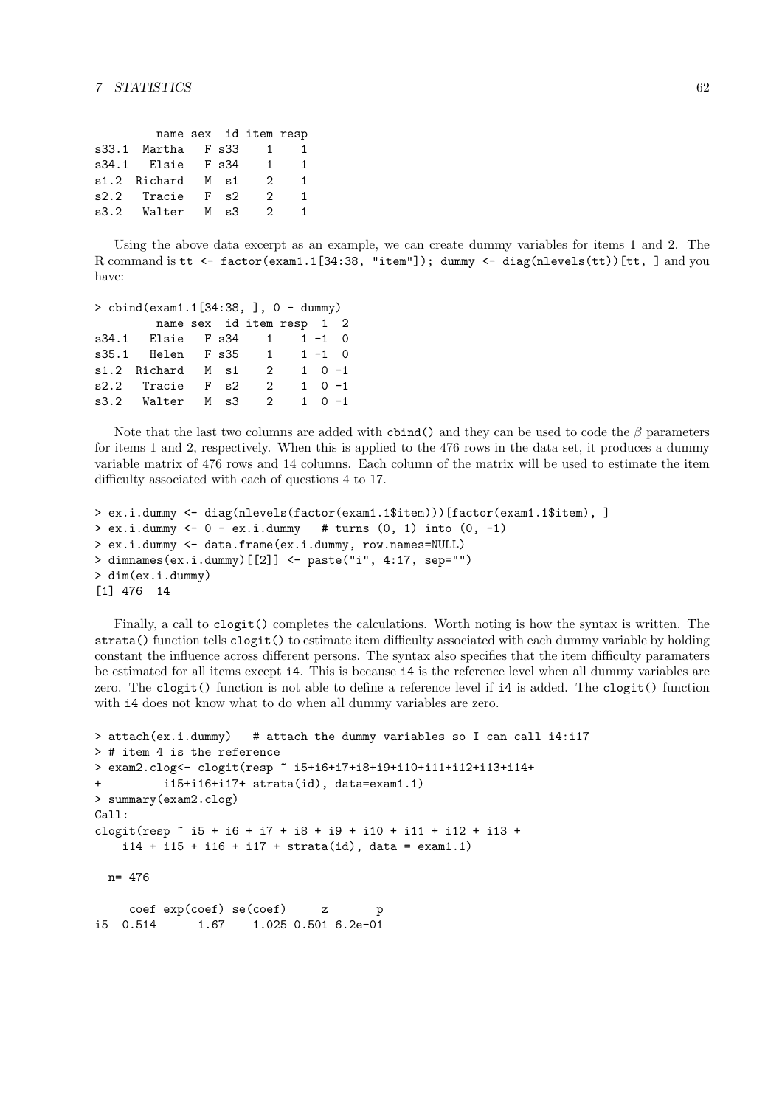|                      |  | name sex id item resp |                |
|----------------------|--|-----------------------|----------------|
| s33.1 Martha F s33   |  | $\sim$ 1              | $\overline{1}$ |
| s34.1 Elsie F s34    |  | $\overline{1}$        | $\overline{1}$ |
| s1.2 Richard M s1    |  | $\mathcal{P}$         | 1.             |
| $s2.2$ Tracie F $s2$ |  | 2                     | 1              |
| s3.2 Walter M s3     |  | $\mathcal{L}$         | 1.             |

Using the above data excerpt as an example, we can create dummy variables for items 1 and 2. The R command is tt <- factor(exam1.1[34:38, "item"]); dummy <- diag(nlevels(tt))[tt, ] and you have:

| $>$ cbind(exam1.1[34:38, ], 0 - dummy) |  |                |                           |                |  |
|----------------------------------------|--|----------------|---------------------------|----------------|--|
|                                        |  |                | name sex id item resp 1 2 |                |  |
| s34.1 Elsie F s34 1 1-1 0              |  |                |                           |                |  |
| s35.1 Helen F s35 1 1-1 0              |  |                |                           |                |  |
| s1.2 Richard M s1 2                    |  |                |                           | $1 \t 0 \t -1$ |  |
| s2.2 Tracie F s2                       |  | $\overline{2}$ |                           | $1 \t 0 \t -1$ |  |
| s3.2 Walter M s3 2 1 0-1               |  |                |                           |                |  |

Note that the last two columns are added with cbind() and they can be used to code the  $\beta$  parameters for items 1 and 2, respectively. When this is applied to the 476 rows in the data set, it produces a dummy variable matrix of 476 rows and 14 columns. Each column of the matrix will be used to estimate the item difficulty associated with each of questions 4 to 17.

```
> ex.i.dummy <- diag(nlevels(factor(exam1.1$item)))[factor(exam1.1$item), ]
> ex.i.dummy <- 0 - ex.i.dummy # turns (0, 1) into (0, -1)> ex.i.dummy <- data.frame(ex.i.dummy, row.names=NULL)
> dimnames(ex.i.dummy)[[2]] <- paste("i", 4:17, sep="")
> dim(ex.i.dummy)
[1] 476 14
```
Finally, a call to clogit() completes the calculations. Worth noting is how the syntax is written. The strata() function tells clogit() to estimate item difficulty associated with each dummy variable by holding constant the influence across different persons. The syntax also specifies that the item difficulty paramaters be estimated for all items except i4. This is because i4 is the reference level when all dummy variables are zero. The clogit() function is not able to define a reference level if i4 is added. The clogit() function with  $i4$  does not know what to do when all dummy variables are zero.

```
> attach(ex.i.dummy) # attach the dummy variables so I can call i4:i17
> # item 4 is the reference
> exam2.clog<- clogit(resp ~ i5+i6+i7+i8+i9+i10+i11+i12+i13+i14+
+ i15+i16+i17+ strata(id), data=exam1.1)
> summary(exam2.clog)
Call:
clogit(resp \tilde{ } i5 + i6 + i7 + i8 + i9 + i10 + i11 + i12 + i13 +
    i14 + i15 + i16 + i17 + \text{strata}(id), \text{ data} = \text{exam1.1}n= 476
     coef exp(coef) se(coef) z p
i5 0.514 1.67 1.025 0.501 6.2e-01
```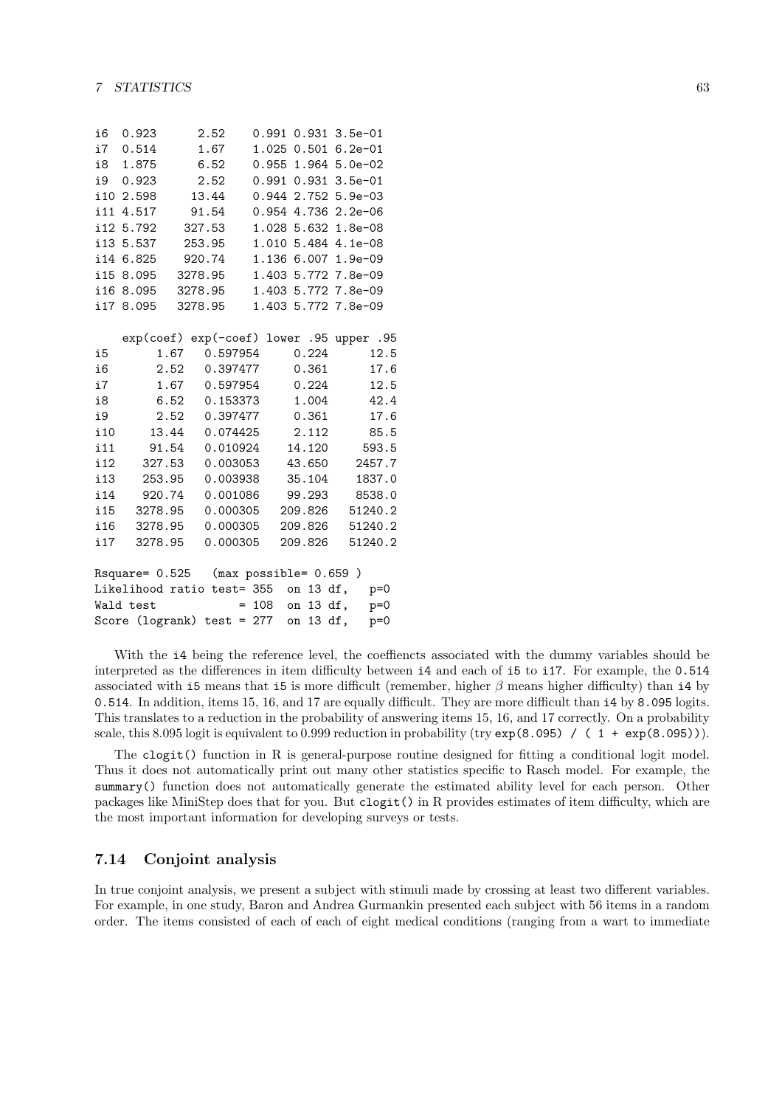| i6  | 0.923     | 2.52    |  | $0.991$ $0.931$ $3.5e-01$ |
|-----|-----------|---------|--|---------------------------|
| i7  | 0.514     | 1.67    |  | 1.025 0.501 6.2e-01       |
| i8  | 1.875     | 6.52    |  | $0.955$ 1.964 $5.0e-02$   |
| i 9 | 0.923     | 2.52    |  | $0.991$ $0.931$ $3.5e-01$ |
|     | i10 2.598 | 13.44   |  | $0.944$ 2.752 5.9e-03     |
|     | i11 4.517 | 91.54   |  | $0.954$ 4.736 2.2e-06     |
|     | i12 5.792 | 327.53  |  | 1.028 5.632 1.8e-08       |
|     | i13 5.537 | 253.95  |  | 1.010 5.484 4.1e-08       |
|     | i14 6.825 | 920.74  |  | 1.136 6.007 1.9e-09       |
|     | i15 8.095 | 3278.95 |  | 1.403 5.772 7.8e-09       |
|     | i16 8.095 | 3278.95 |  | 1.403 5.772 7.8e-09       |
|     | i17 8.095 | 3278.95 |  | 1.403 5.772 7.8e-09       |
|     |           |         |  |                           |

|                                            |           |                                        |                   | exp(coef) exp(-coef) lower .95 upper .95 |  |
|--------------------------------------------|-----------|----------------------------------------|-------------------|------------------------------------------|--|
| i5                                         | 1.67      | 0.597954                               |                   | 0.224<br>12.5                            |  |
| i6                                         | 2.52      | 0.397477                               | 0.361             | 17.6                                     |  |
| i7                                         | 1.67      | 0.597954                               | 0.224             | 12.5                                     |  |
| i8                                         | 6.52      | 0.153373                               | 1.004             | 42.4                                     |  |
| i9                                         | 2.52      | 0.397477                               | 0.361             | 17.6                                     |  |
| i10                                        | 13.44     | 0.074425                               | 2.112             | 85.5                                     |  |
| i11                                        | 91.54     | 0.010924                               | 14.120            | 593.5                                    |  |
| i12                                        | 327.53    | 0.003053                               | 43.650            | 2457.7                                   |  |
| 113                                        | 253.95    | 0.003938                               | 35.104            | 1837.0                                   |  |
| i14                                        | 920.74    | 0.001086                               | 99.293            | 8538.0                                   |  |
| i15                                        | 3278.95   | 0.000305                               | 209.826           | 51240.2                                  |  |
| i16                                        | 3278.95   | 0.000305                               | 209.826           | 51240.2                                  |  |
| i17                                        | 3278.95   | 0.000305                               | 209.826           | 51240.2                                  |  |
| $Rsquare = 0.525$ (max possible= $0.659$ ) |           |                                        |                   |                                          |  |
| Likelihood ratio test= 355 on 13 df,       |           |                                        |                   |                                          |  |
|                                            |           |                                        |                   | $p=0$                                    |  |
|                                            | Wald test |                                        | $= 108$ on 13 df, | $p=0$                                    |  |
|                                            |           | Score (logrank) test = $277$ on 13 df, |                   | $p=0$                                    |  |

With the  $i4$  being the reference level, the coeffiencts associated with the dummy variables should be interpreted as the differences in item difficulty between i4 and each of i5 to i17. For example, the 0.514 associated with i5 means that i5 is more difficult (remember, higher  $\beta$  means higher difficulty) than i4 by 0.514. In addition, items 15, 16, and 17 are equally difficult. They are more difficult than i4 by 8.095 logits. This translates to a reduction in the probability of answering items 15, 16, and 17 correctly. On a probability scale, this 8.095 logit is equivalent to 0.999 reduction in probability (try  $\exp(8.095)$  / (1 +  $\exp(8.095))$ ).

The clogit() function in R is general-purpose routine designed for fitting a conditional logit model. Thus it does not automatically print out many other statistics specific to Rasch model. For example, the summary() function does not automatically generate the estimated ability level for each person. Other packages like MiniStep does that for you. But clogit() in R provides estimates of item difficulty, which are the most important information for developing surveys or tests.

# 7.14 Conjoint analysis

In true conjoint analysis, we present a subject with stimuli made by crossing at least two different variables. For example, in one study, Baron and Andrea Gurmankin presented each subject with 56 items in a random order. The items consisted of each of each of eight medical conditions (ranging from a wart to immediate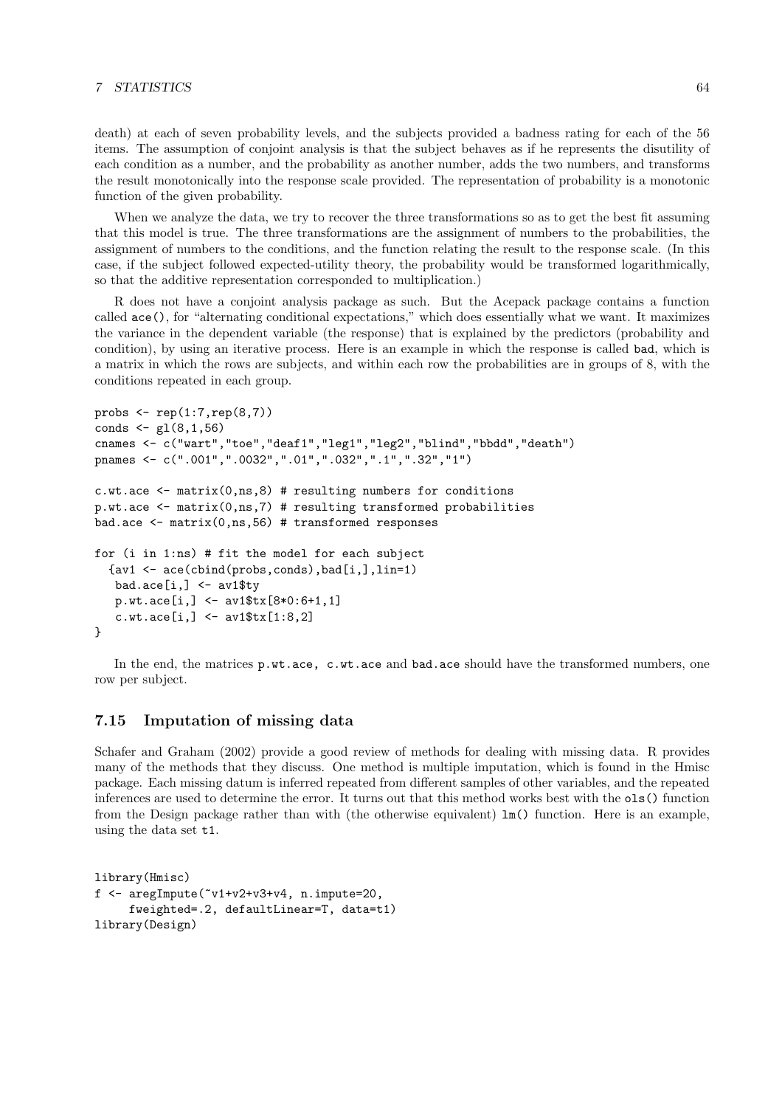### 7 STATISTICS 64

death) at each of seven probability levels, and the subjects provided a badness rating for each of the 56 items. The assumption of conjoint analysis is that the subject behaves as if he represents the disutility of each condition as a number, and the probability as another number, adds the two numbers, and transforms the result monotonically into the response scale provided. The representation of probability is a monotonic function of the given probability.

When we analyze the data, we try to recover the three transformations so as to get the best fit assuming that this model is true. The three transformations are the assignment of numbers to the probabilities, the assignment of numbers to the conditions, and the function relating the result to the response scale. (In this case, if the subject followed expected-utility theory, the probability would be transformed logarithmically, so that the additive representation corresponded to multiplication.)

R does not have a conjoint analysis package as such. But the Acepack package contains a function called ace(), for "alternating conditional expectations," which does essentially what we want. It maximizes the variance in the dependent variable (the response) that is explained by the predictors (probability and condition), by using an iterative process. Here is an example in which the response is called bad, which is a matrix in which the rows are subjects, and within each row the probabilities are in groups of 8, with the conditions repeated in each group.

```
probs \leq rep(1:7, \text{rep}(8,7))conds \leq -g1(8.1.56)cnames <- c("wart","toe","deaf1","leg1","leg2","blind","bbdd","death")
pnames <- c(".001",".0032",".01",".032",".1",".32","1")
c.wt.ace \leq matrix(0,ns,8) # resulting numbers for conditions
p.wt.ace <- matrix(0,ns,7) # resulting transformed probabilities
bad.ace \leq matrix(0,ns,56) # transformed responses
for (i in 1:ns) # fit the model for each subject
  {av1 <- ace(cbind(probs,conds),bad[i,],lin=1)
   bad.ace[i, ] \leftarrow \text{av1}\p.wt.ace[i,] <- av1$tx[8*0:6+1,1]
   c.wt.ace[i,] <- av1$tx[1:8,2]
}
```
In the end, the matrices  $p.wt.$  ace, c.wt.ace and bad.ace should have the transformed numbers, one row per subject.

# 7.15 Imputation of missing data

Schafer and Graham (2002) provide a good review of methods for dealing with missing data. R provides many of the methods that they discuss. One method is multiple imputation, which is found in the Hmisc package. Each missing datum is inferred repeated from different samples of other variables, and the repeated inferences are used to determine the error. It turns out that this method works best with the ols() function from the Design package rather than with (the otherwise equivalent)  $\text{Im}(\cdot)$  function. Here is an example, using the data set t1.

```
library(Hmisc)
f \leq aregImpute(\simv1+v2+v3+v4, n.impute=20,
     fweighted=.2, defaultLinear=T, data=t1)
library(Design)
```